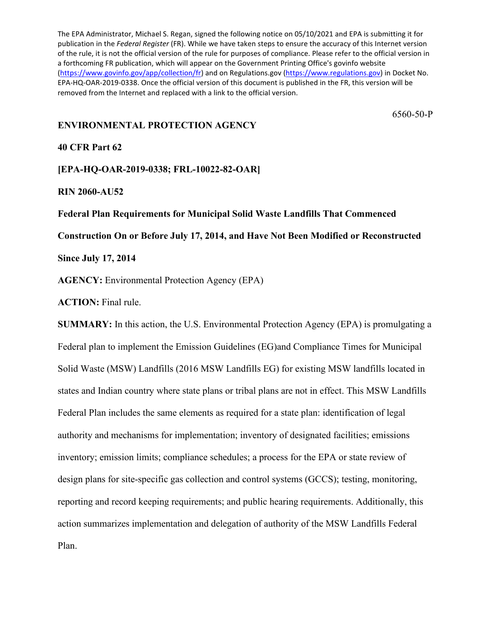The EPA Administrator, Michael S. Regan, signed the following notice on 05/10/2021 and EPA is submitting it for publication in the *Federal Register* (FR). While we have taken steps to ensure the accuracy of this Internet version of the rule, it is not the official version of the rule for purposes of compliance. Please refer to the official version in a forthcoming FR publication, which will appear on the Government Printing Office's govinfo website [\(https://www.govinfo.gov/app/collection/fr\)](https://www.govinfo.gov/app/collection/fr) and on Regulations.gov [\(https://www.regulations.gov\)](https://www.regulations.gov/) in Docket No. EPA-HQ-OAR-2019-0338. Once the official version of this document is published in the FR, this version will be removed from the Internet and replaced with a link to the official version.

6560-50-P

## **ENVIRONMENTAL PROTECTION AGENCY**

# **40 CFR Part 62**

**[EPA-HQ-OAR-2019-0338; FRL-10022-82-OAR]**

#### **RIN 2060-AU52**

#### **Federal Plan Requirements for Municipal Solid Waste Landfills That Commenced**

**Construction On or Before July 17, 2014, and Have Not Been Modified or Reconstructed** 

**Since July 17, 2014**

**AGENCY:** Environmental Protection Agency (EPA)

**ACTION:** Final rule.

**SUMMARY:** In this action, the U.S. Environmental Protection Agency (EPA) is promulgating a Federal plan to implement the Emission Guidelines (EG)and Compliance Times for Municipal Solid Waste (MSW) Landfills (2016 MSW Landfills EG) for existing MSW landfills located in states and Indian country where state plans or tribal plans are not in effect. This MSW Landfills Federal Plan includes the same elements as required for a state plan: identification of legal authority and mechanisms for implementation; inventory of designated facilities; emissions inventory; emission limits; compliance schedules; a process for the EPA or state review of design plans for site-specific gas collection and control systems (GCCS); testing, monitoring, reporting and record keeping requirements; and public hearing requirements. Additionally, this action summarizes implementation and delegation of authority of the MSW Landfills Federal Plan.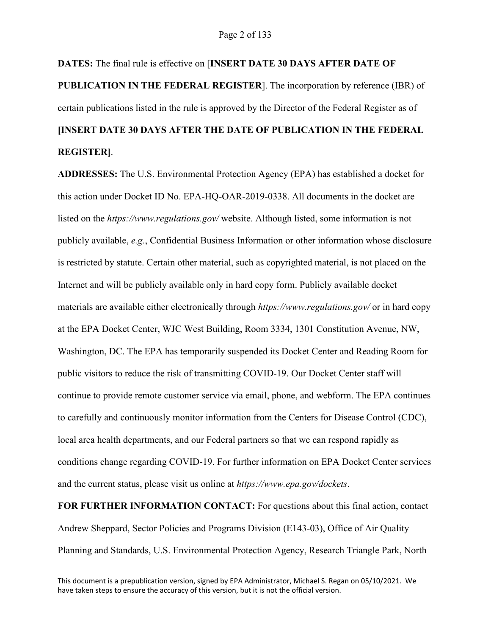# **DATES:** The final rule is effective on [**INSERT DATE 30 DAYS AFTER DATE OF PUBLICATION IN THE FEDERAL REGISTER**]. The incorporation by reference (IBR) of certain publications listed in the rule is approved by the Director of the Federal Register as of **[INSERT DATE 30 DAYS AFTER THE DATE OF PUBLICATION IN THE FEDERAL REGISTER]**.

**ADDRESSES:** The U.S. Environmental Protection Agency (EPA) has established a docket for this action under Docket ID No. EPA-HQ-OAR-2019-0338. All documents in the docket are listed on the *https://www.regulations.gov/* website. Although listed, some information is not publicly available, *e.g.*, Confidential Business Information or other information whose disclosure is restricted by statute. Certain other material, such as copyrighted material, is not placed on the Internet and will be publicly available only in hard copy form. Publicly available docket materials are available either electronically through *https://www.regulations.gov/* or in hard copy at the EPA Docket Center, WJC West Building, Room 3334, 1301 Constitution Avenue, NW, Washington, DC. The EPA has temporarily suspended its Docket Center and Reading Room for public visitors to reduce the risk of transmitting COVID-19. Our Docket Center staff will continue to provide remote customer service via email, phone, and webform. The EPA continues to carefully and continuously monitor information from the Centers for Disease Control (CDC), local area health departments, and our Federal partners so that we can respond rapidly as conditions change regarding COVID-19. For further information on EPA Docket Center services and the current status, please visit us online at *https://www.epa.gov/dockets*.

**FOR FURTHER INFORMATION CONTACT:** For questions about this final action, contact Andrew Sheppard, Sector Policies and Programs Division (E143-03), Office of Air Quality Planning and Standards, U.S. Environmental Protection Agency, Research Triangle Park, North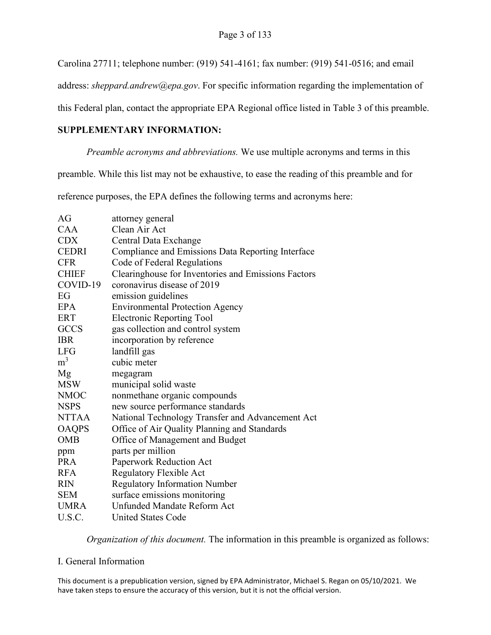Carolina 27711; telephone number: (919) 541-4161; fax number: (919) 541-0516; and email

address: *sheppard.andrew@epa.gov*. For specific information regarding the implementation of

this Federal plan, contact the appropriate EPA Regional office listed in Table 3 of this preamble.

## **SUPPLEMENTARY INFORMATION:**

*Preamble acronyms and abbreviations.* We use multiple acronyms and terms in this

preamble. While this list may not be exhaustive, to ease the reading of this preamble and for

reference purposes, the EPA defines the following terms and acronyms here:

| AG             | attorney general                                    |
|----------------|-----------------------------------------------------|
| CAA            | Clean Air Act                                       |
| <b>CDX</b>     |                                                     |
|                | Central Data Exchange                               |
| <b>CEDRI</b>   | Compliance and Emissions Data Reporting Interface   |
| <b>CFR</b>     | Code of Federal Regulations                         |
| <b>CHIEF</b>   | Clearinghouse for Inventories and Emissions Factors |
| COVID-19       | coronavirus disease of 2019                         |
| EG             | emission guidelines                                 |
| <b>EPA</b>     | <b>Environmental Protection Agency</b>              |
| <b>ERT</b>     | <b>Electronic Reporting Tool</b>                    |
| <b>GCCS</b>    | gas collection and control system                   |
| <b>IBR</b>     | incorporation by reference                          |
| <b>LFG</b>     | landfill gas                                        |
| m <sup>3</sup> | cubic meter                                         |
| Mg             | megagram                                            |
| <b>MSW</b>     | municipal solid waste                               |
| <b>NMOC</b>    | nonmethane organic compounds                        |
| <b>NSPS</b>    | new source performance standards                    |
| <b>NTTAA</b>   | National Technology Transfer and Advancement Act    |
| <b>OAQPS</b>   | Office of Air Quality Planning and Standards        |
| <b>OMB</b>     | Office of Management and Budget                     |
| ppm            | parts per million                                   |
| <b>PRA</b>     | Paperwork Reduction Act                             |
| <b>RFA</b>     | Regulatory Flexible Act                             |
| <b>RIN</b>     | <b>Regulatory Information Number</b>                |
| <b>SEM</b>     | surface emissions monitoring                        |
| <b>UMRA</b>    | Unfunded Mandate Reform Act                         |
| U.S.C.         | <b>United States Code</b>                           |

*Organization of this document.* The information in this preamble is organized as follows:

## I. General Information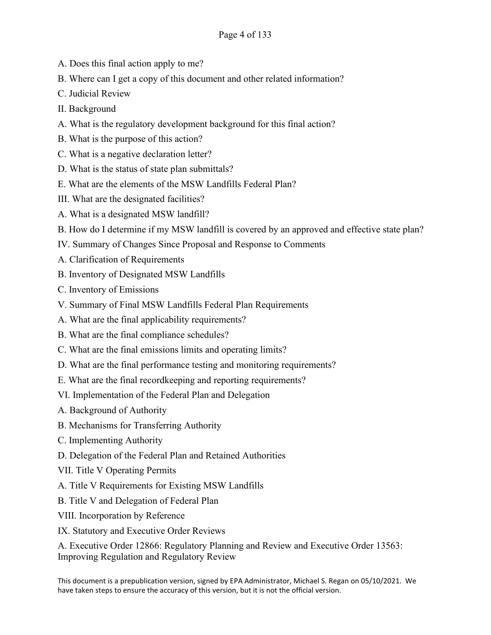- A. Does this final action apply to me?
- B. Where can I get a copy of this document and other related information?
- C. Judicial Review
- II. Background
- A. What is the regulatory development background for this final action?
- B. What is the purpose of this action?
- C. What is a negative declaration letter?
- D. What is the status of state plan submittals?
- E. What are the elements of the MSW Landfills Federal Plan?
- III. What are the designated facilities?
- A. What is a designated MSW landfill?
- B. How do I determine if my MSW landfill is covered by an approved and effective state plan?
- IV. Summary of Changes Since Proposal and Response to Comments
- A. Clarification of Requirements
- B. Inventory of Designated MSW Landfills
- C. Inventory of Emissions
- V. Summary of Final MSW Landfills Federal Plan Requirements
- A. What are the final applicability requirements?
- B. What are the final compliance schedules?
- C. What are the final emissions limits and operating limits?
- D. What are the final performance testing and monitoring requirements?
- E. What are the final recordkeeping and reporting requirements?
- VI. Implementation of the Federal Plan and Delegation
- A. Background of Authority
- B. Mechanisms for Transferring Authority
- C. Implementing Authority
- D. Delegation of the Federal Plan and Retained Authorities
- VII. Title V Operating Permits
- A. Title V Requirements for Existing MSW Landfills
- B. Title V and Delegation of Federal Plan
- VIII. Incorporation by Reference
- IX. Statutory and Executive Order Reviews

A. Executive Order 12866: Regulatory Planning and Review and Executive Order 13563: Improving Regulation and Regulatory Review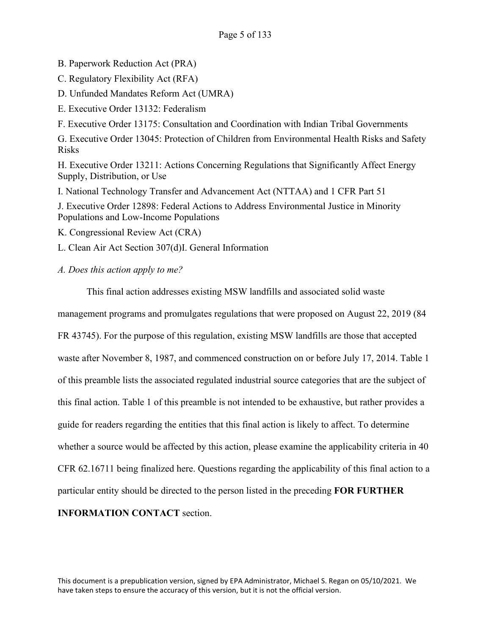B. Paperwork Reduction Act (PRA)

C. Regulatory Flexibility Act (RFA)

D. Unfunded Mandates Reform Act (UMRA)

E. Executive Order 13132: Federalism

F. Executive Order 13175: Consultation and Coordination with Indian Tribal Governments

G. Executive Order 13045: Protection of Children from Environmental Health Risks and Safety Risks

H. Executive Order 13211: Actions Concerning Regulations that Significantly Affect Energy Supply, Distribution, or Use

I. National Technology Transfer and Advancement Act (NTTAA) and 1 CFR Part 51

J. Executive Order 12898: Federal Actions to Address Environmental Justice in Minority Populations and Low-Income Populations

K. Congressional Review Act (CRA)

L. Clean Air Act Section 307(d)I. General Information

*A. Does this action apply to me?*

This final action addresses existing MSW landfills and associated solid waste

management programs and promulgates regulations that were proposed on August 22, 2019 (84 FR 43745). For the purpose of this regulation, existing MSW landfills are those that accepted waste after November 8, 1987, and commenced construction on or before July 17, 2014. Table 1 of this preamble lists the associated regulated industrial source categories that are the subject of this final action. Table 1 of this preamble is not intended to be exhaustive, but rather provides a guide for readers regarding the entities that this final action is likely to affect. To determine whether a source would be affected by this action, please examine the applicability criteria in 40 CFR 62.16711 being finalized here. Questions regarding the applicability of this final action to a particular entity should be directed to the person listed in the preceding **FOR FURTHER** 

**INFORMATION CONTACT** section.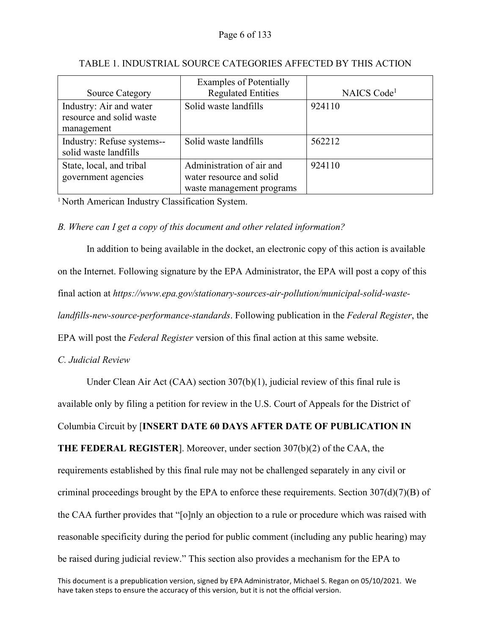| <b>Source Category</b>                                            | <b>Examples of Potentially</b><br><b>Regulated Entities</b>                        | NAICS Code <sup>1</sup> |
|-------------------------------------------------------------------|------------------------------------------------------------------------------------|-------------------------|
| Industry: Air and water<br>resource and solid waste<br>management | Solid waste landfills                                                              | 924110                  |
| Industry: Refuse systems--<br>solid waste landfills               | Solid waste landfills                                                              | 562212                  |
| State, local, and tribal<br>government agencies                   | Administration of air and<br>water resource and solid<br>waste management programs | 924110                  |

# TABLE 1. INDUSTRIAL SOURCE CATEGORIES AFFECTED BY THIS ACTION

<sup>1</sup> North American Industry Classification System.

# *B. Where can I get a copy of this document and other related information?*

In addition to being available in the docket, an electronic copy of this action is available on the Internet. Following signature by the EPA Administrator, the EPA will post a copy of this final action at *https://www.epa.gov/stationary-sources-air-pollution/municipal-solid-wastelandfills-new-source-performance-standards*. Following publication in the *Federal Register*, the EPA will post the *Federal Register* version of this final action at this same website.

## *C. Judicial Review*

Under Clean Air Act (CAA) section 307(b)(1), judicial review of this final rule is available only by filing a petition for review in the U.S. Court of Appeals for the District of

Columbia Circuit by [**INSERT DATE 60 DAYS AFTER DATE OF PUBLICATION IN** 

**THE FEDERAL REGISTER**]. Moreover, under section 307(b)(2) of the CAA, the

requirements established by this final rule may not be challenged separately in any civil or criminal proceedings brought by the EPA to enforce these requirements. Section  $307(d)(7)(B)$  of the CAA further provides that "[o]nly an objection to a rule or procedure which was raised with reasonable specificity during the period for public comment (including any public hearing) may be raised during judicial review." This section also provides a mechanism for the EPA to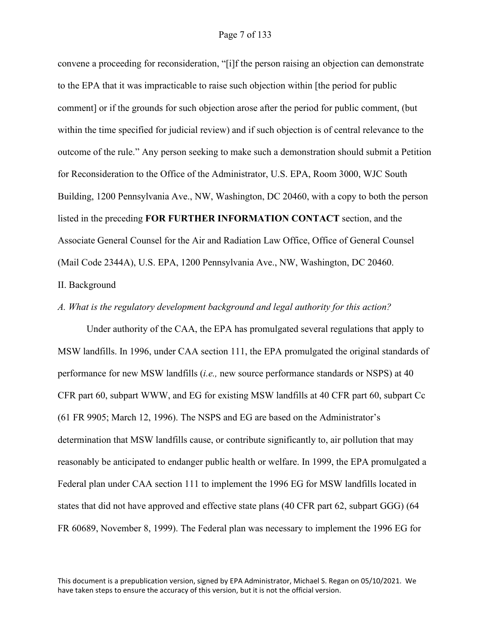convene a proceeding for reconsideration, "[i]f the person raising an objection can demonstrate to the EPA that it was impracticable to raise such objection within [the period for public comment] or if the grounds for such objection arose after the period for public comment, (but within the time specified for judicial review) and if such objection is of central relevance to the outcome of the rule." Any person seeking to make such a demonstration should submit a Petition for Reconsideration to the Office of the Administrator, U.S. EPA, Room 3000, WJC South Building, 1200 Pennsylvania Ave., NW, Washington, DC 20460, with a copy to both the person listed in the preceding **FOR FURTHER INFORMATION CONTACT** section, and the Associate General Counsel for the Air and Radiation Law Office, Office of General Counsel (Mail Code 2344A), U.S. EPA, 1200 Pennsylvania Ave., NW, Washington, DC 20460. II. Background

#### *A. What is the regulatory development background and legal authority for this action?*

Under authority of the CAA, the EPA has promulgated several regulations that apply to MSW landfills. In 1996, under CAA section 111, the EPA promulgated the original standards of performance for new MSW landfills (*i.e.,* new source performance standards or NSPS) at 40 CFR part 60, subpart WWW, and EG for existing MSW landfills at 40 CFR part 60, subpart Cc (61 FR 9905; March 12, 1996). The NSPS and EG are based on the Administrator's determination that MSW landfills cause, or contribute significantly to, air pollution that may reasonably be anticipated to endanger public health or welfare. In 1999, the EPA promulgated a Federal plan under CAA section 111 to implement the 1996 EG for MSW landfills located in states that did not have approved and effective state plans (40 CFR part 62, subpart GGG) (64 FR 60689, November 8, 1999). The Federal plan was necessary to implement the 1996 EG for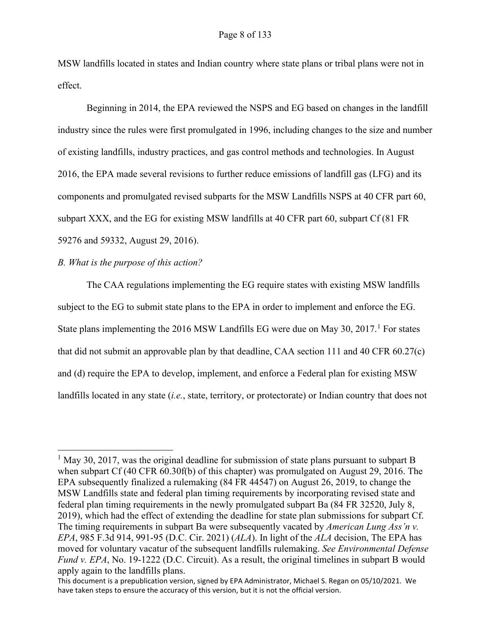MSW landfills located in states and Indian country where state plans or tribal plans were not in effect.

Beginning in 2014, the EPA reviewed the NSPS and EG based on changes in the landfill industry since the rules were first promulgated in 1996, including changes to the size and number of existing landfills, industry practices, and gas control methods and technologies. In August 2016, the EPA made several revisions to further reduce emissions of landfill gas (LFG) and its components and promulgated revised subparts for the MSW Landfills NSPS at 40 CFR part 60, subpart XXX, and the EG for existing MSW landfills at 40 CFR part 60, subpart Cf (81 FR 59276 and 59332, August 29, 2016).

#### *B. What is the purpose of this action?*

The CAA regulations implementing the EG require states with existing MSW landfills subject to the EG to submit state plans to the EPA in order to implement and enforce the EG. State plans implementing the  $2016$  $2016$  $2016$  MSW Landfills EG were due on May 30,  $2017<sup>1</sup>$  For states that did not submit an approvable plan by that deadline, CAA section 111 and 40 CFR 60.27(c) and (d) require the EPA to develop, implement, and enforce a Federal plan for existing MSW landfills located in any state (*i.e.*, state, territory, or protectorate) or Indian country that does not

<span id="page-7-0"></span><sup>&</sup>lt;sup>1</sup> May 30, 2017, was the original deadline for submission of state plans pursuant to subpart B when subpart Cf (40 CFR 60.30f(b) of this chapter) was promulgated on August 29, 2016. The EPA subsequently finalized a rulemaking (84 FR 44547) on August 26, 2019, to change the MSW Landfills state and federal plan timing requirements by incorporating revised state and federal plan timing requirements in the newly promulgated subpart Ba (84 FR 32520, July 8, 2019), which had the effect of extending the deadline for state plan submissions for subpart Cf. The timing requirements in subpart Ba were subsequently vacated by *American Lung Ass'n v. EPA*, 985 F.3d 914, 991-95 (D.C. Cir. 2021) (*ALA*). In light of the *ALA* decision, The EPA has moved for voluntary vacatur of the subsequent landfills rulemaking. *See Environmental Defense Fund v. EPA*, No. 19-1222 (D.C. Circuit). As a result, the original timelines in subpart B would apply again to the landfills plans.

This document is a prepublication version, signed by EPA Administrator, Michael S. Regan on 05/10/2021. We have taken steps to ensure the accuracy of this version, but it is not the official version.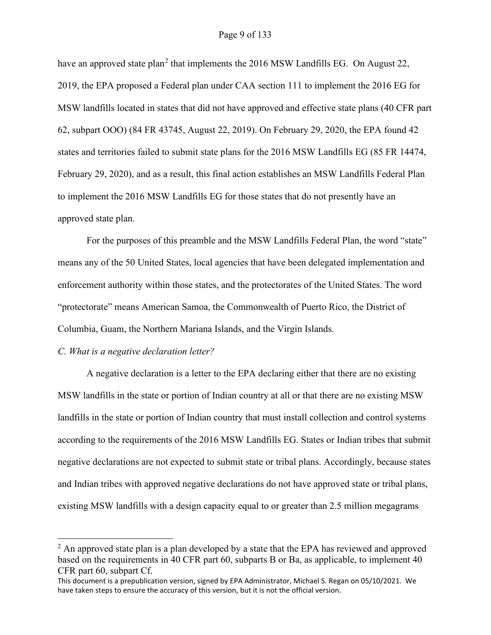#### Page 9 of 133

have an approved state plan<sup>[2](#page-8-0)</sup> that implements the  $2016$  MSW Landfills EG. On August 22, 2019, the EPA proposed a Federal plan under CAA section 111 to implement the 2016 EG for MSW landfills located in states that did not have approved and effective state plans (40 CFR part 62, subpart OOO) (84 FR 43745, August 22, 2019). On February 29, 2020, the EPA found 42 states and territories failed to submit state plans for the 2016 MSW Landfills EG (85 FR 14474, February 29, 2020), and as a result, this final action establishes an MSW Landfills Federal Plan to implement the 2016 MSW Landfills EG for those states that do not presently have an approved state plan.

For the purposes of this preamble and the MSW Landfills Federal Plan, the word "state" means any of the 50 United States, local agencies that have been delegated implementation and enforcement authority within those states, and the protectorates of the United States. The word "protectorate" means American Samoa, the Commonwealth of Puerto Rico, the District of Columbia, Guam, the Northern Mariana Islands, and the Virgin Islands.

#### *C. What is a negative declaration letter?*

A negative declaration is a letter to the EPA declaring either that there are no existing MSW landfills in the state or portion of Indian country at all or that there are no existing MSW landfills in the state or portion of Indian country that must install collection and control systems according to the requirements of the 2016 MSW Landfills EG. States or Indian tribes that submit negative declarations are not expected to submit state or tribal plans. Accordingly, because states and Indian tribes with approved negative declarations do not have approved state or tribal plans, existing MSW landfills with a design capacity equal to or greater than 2.5 million megagrams

<span id="page-8-0"></span> $<sup>2</sup>$  An approved state plan is a plan developed by a state that the EPA has reviewed and approved</sup> based on the requirements in 40 CFR part 60, subparts B or Ba, as applicable, to implement 40 CFR part 60, subpart Cf.

This document is a prepublication version, signed by EPA Administrator, Michael S. Regan on 05/10/2021. We have taken steps to ensure the accuracy of this version, but it is not the official version.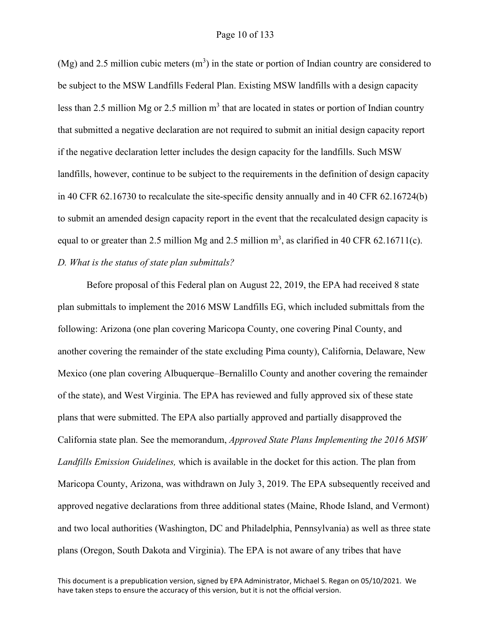#### Page 10 of 133

(Mg) and 2.5 million cubic meters  $(m<sup>3</sup>)$  in the state or portion of Indian country are considered to be subject to the MSW Landfills Federal Plan. Existing MSW landfills with a design capacity less than 2.5 million Mg or 2.5 million  $m<sup>3</sup>$  that are located in states or portion of Indian country that submitted a negative declaration are not required to submit an initial design capacity report if the negative declaration letter includes the design capacity for the landfills. Such MSW landfills, however, continue to be subject to the requirements in the definition of design capacity in 40 CFR 62.16730 to recalculate the site-specific density annually and in 40 CFR 62.16724(b) to submit an amended design capacity report in the event that the recalculated design capacity is equal to or greater than 2.5 million Mg and 2.5 million  $m^3$ , as clarified in 40 CFR 62.16711(c). *D. What is the status of state plan submittals?* 

Before proposal of this Federal plan on August 22, 2019, the EPA had received 8 state plan submittals to implement the 2016 MSW Landfills EG, which included submittals from the following: Arizona (one plan covering Maricopa County, one covering Pinal County, and another covering the remainder of the state excluding Pima county), California, Delaware, New Mexico (one plan covering Albuquerque–Bernalillo County and another covering the remainder of the state), and West Virginia. The EPA has reviewed and fully approved six of these state plans that were submitted. The EPA also partially approved and partially disapproved the California state plan. See the memorandum, *Approved State Plans Implementing the 2016 MSW Landfills Emission Guidelines,* which is available in the docket for this action. The plan from Maricopa County, Arizona, was withdrawn on July 3, 2019. The EPA subsequently received and approved negative declarations from three additional states (Maine, Rhode Island, and Vermont) and two local authorities (Washington, DC and Philadelphia, Pennsylvania) as well as three state plans (Oregon, South Dakota and Virginia). The EPA is not aware of any tribes that have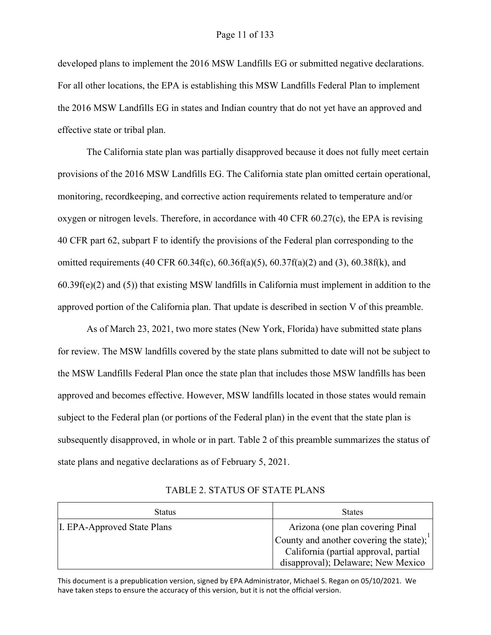developed plans to implement the 2016 MSW Landfills EG or submitted negative declarations. For all other locations, the EPA is establishing this MSW Landfills Federal Plan to implement the 2016 MSW Landfills EG in states and Indian country that do not yet have an approved and effective state or tribal plan.

The California state plan was partially disapproved because it does not fully meet certain provisions of the 2016 MSW Landfills EG. The California state plan omitted certain operational, monitoring, recordkeeping, and corrective action requirements related to temperature and/or oxygen or nitrogen levels. Therefore, in accordance with 40 CFR 60.27(c), the EPA is revising 40 CFR part 62, subpart F to identify the provisions of the Federal plan corresponding to the omitted requirements (40 CFR 60.34f(c), 60.36f(a)(5), 60.37f(a)(2) and (3), 60.38f(k), and  $60.39f(e)(2)$  and (5)) that existing MSW landfills in California must implement in addition to the approved portion of the California plan. That update is described in section V of this preamble.

As of March 23, 2021, two more states (New York, Florida) have submitted state plans for review. The MSW landfills covered by the state plans submitted to date will not be subject to the MSW Landfills Federal Plan once the state plan that includes those MSW landfills has been approved and becomes effective. However, MSW landfills located in those states would remain subject to the Federal plan (or portions of the Federal plan) in the event that the state plan is subsequently disapproved, in whole or in part. Table 2 of this preamble summarizes the status of state plans and negative declarations as of February 5, 2021.

| <b>Status</b>               | <b>States</b>                                                                                                          |
|-----------------------------|------------------------------------------------------------------------------------------------------------------------|
| I. EPA-Approved State Plans | Arizona (one plan covering Pinal                                                                                       |
|                             | County and another covering the state);<br>California (partial approval, partial<br>disapproval); Delaware; New Mexico |

TABLE 2. STATUS OF STATE PLANS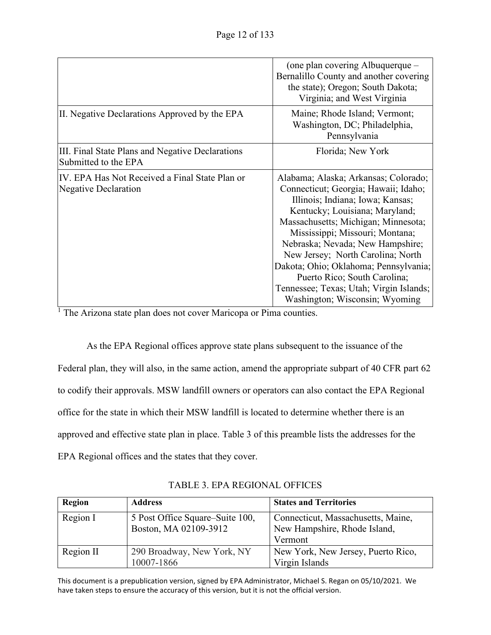|                                                                          | (one plan covering Albuquerque –<br>Bernalillo County and another covering<br>the state); Oregon; South Dakota;<br>Virginia; and West Virginia                                                                                                                                                                                                                                                                                                              |
|--------------------------------------------------------------------------|-------------------------------------------------------------------------------------------------------------------------------------------------------------------------------------------------------------------------------------------------------------------------------------------------------------------------------------------------------------------------------------------------------------------------------------------------------------|
| III. Negative Declarations Approved by the EPA                           | Maine; Rhode Island; Vermont;<br>Washington, DC; Philadelphia,<br>Pennsylvania                                                                                                                                                                                                                                                                                                                                                                              |
| III. Final State Plans and Negative Declarations<br>Submitted to the EPA | Florida; New York                                                                                                                                                                                                                                                                                                                                                                                                                                           |
| IV. EPA Has Not Received a Final State Plan or<br>Negative Declaration   | Alabama; Alaska; Arkansas; Colorado;<br>Connecticut; Georgia; Hawaii; Idaho;<br>Illinois; Indiana; Iowa; Kansas;<br>Kentucky; Louisiana; Maryland;<br>Massachusetts; Michigan; Minnesota;<br>Mississippi; Missouri; Montana;<br>Nebraska; Nevada; New Hampshire;<br>New Jersey; North Carolina; North<br>Dakota; Ohio; Oklahoma; Pennsylvania;<br>Puerto Rico; South Carolina;<br>Tennessee; Texas; Utah; Virgin Islands;<br>Washington; Wisconsin; Wyoming |

<sup>1</sup> The Arizona state plan does not cover Maricopa or Pima counties.

As the EPA Regional offices approve state plans subsequent to the issuance of the Federal plan, they will also, in the same action, amend the appropriate subpart of 40 CFR part 62 to codify their approvals. MSW landfill owners or operators can also contact the EPA Regional office for the state in which their MSW landfill is located to determine whether there is an approved and effective state plan in place. Table 3 of this preamble lists the addresses for the EPA Regional offices and the states that they cover.

| <b>Region</b> | <b>Address</b>                                           | <b>States and Territories</b>                                                 |
|---------------|----------------------------------------------------------|-------------------------------------------------------------------------------|
| Region I      | 5 Post Office Square–Suite 100,<br>Boston, MA 02109-3912 | Connecticut, Massachusetts, Maine,<br>New Hampshire, Rhode Island,<br>Vermont |
| Region II     | 290 Broadway, New York, NY                               | New York, New Jersey, Puerto Rico,                                            |
|               | 10007-1866                                               | Virgin Islands                                                                |

TABLE 3. EPA REGIONAL OFFICES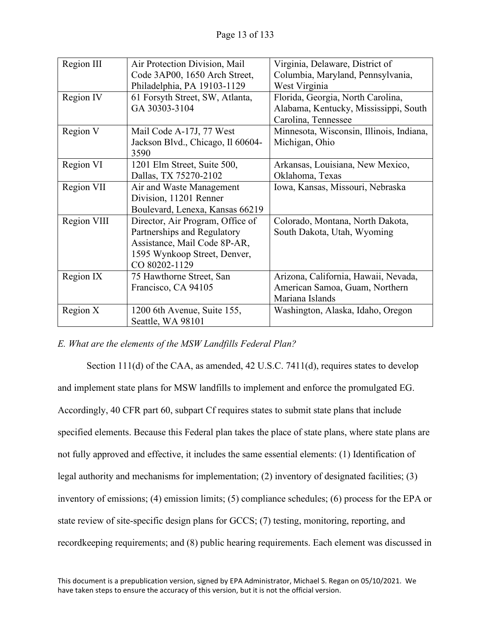| Region III  | Air Protection Division, Mail     | Virginia, Delaware, District of          |
|-------------|-----------------------------------|------------------------------------------|
|             | Code 3AP00, 1650 Arch Street,     | Columbia, Maryland, Pennsylvania,        |
|             | Philadelphia, PA 19103-1129       | West Virginia                            |
| Region IV   | 61 Forsyth Street, SW, Atlanta,   | Florida, Georgia, North Carolina,        |
|             | GA 30303-3104                     | Alabama, Kentucky, Mississippi, South    |
|             |                                   | Carolina, Tennessee                      |
| Region V    | Mail Code A-17J, 77 West          | Minnesota, Wisconsin, Illinois, Indiana, |
|             | Jackson Blvd., Chicago, Il 60604- | Michigan, Ohio                           |
|             | 3590                              |                                          |
| Region VI   | 1201 Elm Street, Suite 500,       | Arkansas, Louisiana, New Mexico,         |
|             | Dallas, TX 75270-2102             | Oklahoma, Texas                          |
| Region VII  | Air and Waste Management          | Iowa, Kansas, Missouri, Nebraska         |
|             | Division, 11201 Renner            |                                          |
|             | Boulevard, Lenexa, Kansas 66219   |                                          |
| Region VIII | Director, Air Program, Office of  | Colorado, Montana, North Dakota,         |
|             | Partnerships and Regulatory       | South Dakota, Utah, Wyoming              |
|             | Assistance, Mail Code 8P-AR,      |                                          |
|             | 1595 Wynkoop Street, Denver,      |                                          |
|             | CO 80202-1129                     |                                          |
| Region IX   | 75 Hawthorne Street, San          | Arizona, California, Hawaii, Nevada,     |
|             | Francisco, CA 94105               | American Samoa, Guam, Northern           |
|             |                                   | Mariana Islands                          |
| Region X    | 1200 6th Avenue, Suite 155,       | Washington, Alaska, Idaho, Oregon        |
|             | Seattle, WA 98101                 |                                          |

# *E. What are the elements of the MSW Landfills Federal Plan?*

Section 111(d) of the CAA, as amended, 42 U.S.C. 7411(d), requires states to develop and implement state plans for MSW landfills to implement and enforce the promulgated EG. Accordingly, 40 CFR part 60, subpart Cf requires states to submit state plans that include specified elements. Because this Federal plan takes the place of state plans, where state plans are not fully approved and effective, it includes the same essential elements: (1) Identification of legal authority and mechanisms for implementation; (2) inventory of designated facilities; (3) inventory of emissions; (4) emission limits; (5) compliance schedules; (6) process for the EPA or state review of site-specific design plans for GCCS; (7) testing, monitoring, reporting, and recordkeeping requirements; and (8) public hearing requirements. Each element was discussed in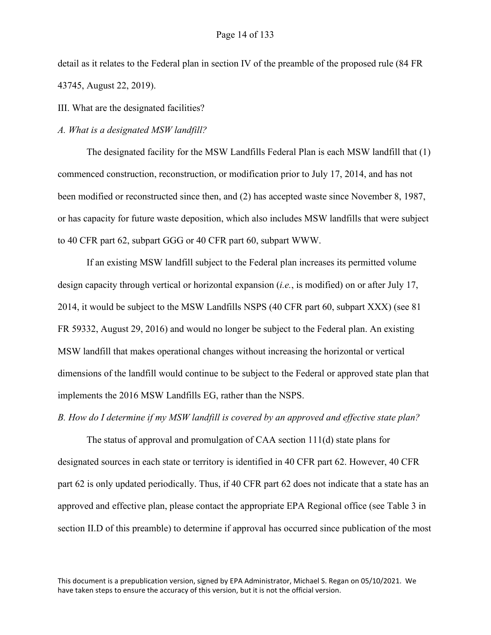detail as it relates to the Federal plan in section IV of the preamble of the proposed rule (84 FR 43745, August 22, 2019).

III. What are the designated facilities?

*A. What is a designated MSW landfill?*

The designated facility for the MSW Landfills Federal Plan is each MSW landfill that (1) commenced construction, reconstruction, or modification prior to July 17, 2014, and has not been modified or reconstructed since then, and (2) has accepted waste since November 8, 1987, or has capacity for future waste deposition, which also includes MSW landfills that were subject to 40 CFR part 62, subpart GGG or 40 CFR part 60, subpart WWW.

If an existing MSW landfill subject to the Federal plan increases its permitted volume design capacity through vertical or horizontal expansion (*i.e.*, is modified) on or after July 17, 2014, it would be subject to the MSW Landfills NSPS (40 CFR part 60, subpart XXX) (see 81 FR 59332, August 29, 2016) and would no longer be subject to the Federal plan. An existing MSW landfill that makes operational changes without increasing the horizontal or vertical dimensions of the landfill would continue to be subject to the Federal or approved state plan that implements the 2016 MSW Landfills EG, rather than the NSPS.

*B. How do I determine if my MSW landfill is covered by an approved and effective state plan?*

The status of approval and promulgation of CAA section 111(d) state plans for designated sources in each state or territory is identified in 40 CFR part 62. However, 40 CFR part 62 is only updated periodically. Thus, if 40 CFR part 62 does not indicate that a state has an approved and effective plan, please contact the appropriate EPA Regional office (see Table 3 in section II.D of this preamble) to determine if approval has occurred since publication of the most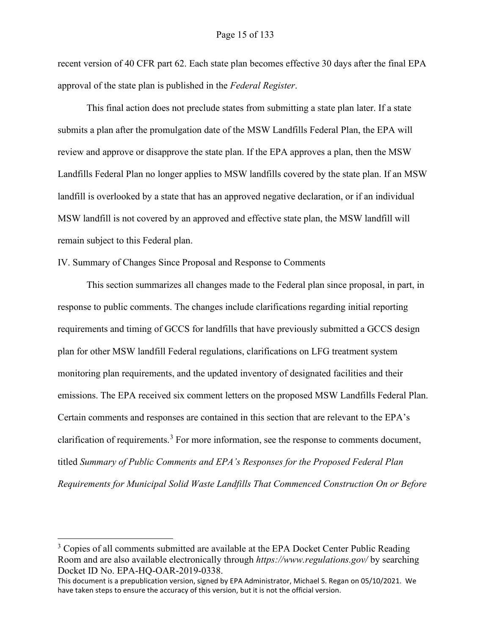recent version of 40 CFR part 62. Each state plan becomes effective 30 days after the final EPA approval of the state plan is published in the *Federal Register*.

This final action does not preclude states from submitting a state plan later. If a state submits a plan after the promulgation date of the MSW Landfills Federal Plan, the EPA will review and approve or disapprove the state plan. If the EPA approves a plan, then the MSW Landfills Federal Plan no longer applies to MSW landfills covered by the state plan. If an MSW landfill is overlooked by a state that has an approved negative declaration, or if an individual MSW landfill is not covered by an approved and effective state plan, the MSW landfill will remain subject to this Federal plan.

IV. Summary of Changes Since Proposal and Response to Comments

This section summarizes all changes made to the Federal plan since proposal, in part, in response to public comments. The changes include clarifications regarding initial reporting requirements and timing of GCCS for landfills that have previously submitted a GCCS design plan for other MSW landfill Federal regulations, clarifications on LFG treatment system monitoring plan requirements, and the updated inventory of designated facilities and their emissions. The EPA received six comment letters on the proposed MSW Landfills Federal Plan. Certain comments and responses are contained in this section that are relevant to the EPA's clarification of requirements.<sup>[3](#page-14-0)</sup> For more information, see the response to comments document, titled *Summary of Public Comments and EPA's Responses for the Proposed Federal Plan Requirements for Municipal Solid Waste Landfills That Commenced Construction On or Before* 

<span id="page-14-0"></span> $3$  Copies of all comments submitted are available at the EPA Docket Center Public Reading Room and are also available electronically through *https://www.regulations.gov/* by searching Docket ID No. EPA-HQ-OAR-2019-0338.

This document is a prepublication version, signed by EPA Administrator, Michael S. Regan on 05/10/2021. We have taken steps to ensure the accuracy of this version, but it is not the official version.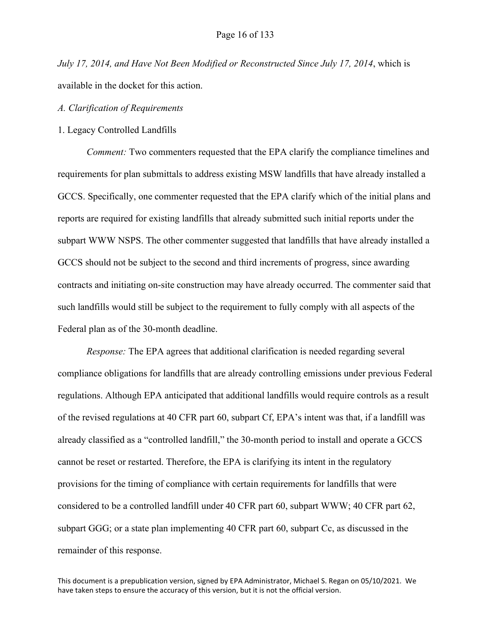*July 17, 2014, and Have Not Been Modified or Reconstructed Since July 17, 2014*, which is available in the docket for this action.

#### *A. Clarification of Requirements*

#### 1. Legacy Controlled Landfills

*Comment:* Two commenters requested that the EPA clarify the compliance timelines and requirements for plan submittals to address existing MSW landfills that have already installed a GCCS. Specifically, one commenter requested that the EPA clarify which of the initial plans and reports are required for existing landfills that already submitted such initial reports under the subpart WWW NSPS. The other commenter suggested that landfills that have already installed a GCCS should not be subject to the second and third increments of progress, since awarding contracts and initiating on-site construction may have already occurred. The commenter said that such landfills would still be subject to the requirement to fully comply with all aspects of the Federal plan as of the 30-month deadline.

*Response:* The EPA agrees that additional clarification is needed regarding several compliance obligations for landfills that are already controlling emissions under previous Federal regulations. Although EPA anticipated that additional landfills would require controls as a result of the revised regulations at 40 CFR part 60, subpart Cf, EPA's intent was that, if a landfill was already classified as a "controlled landfill," the 30-month period to install and operate a GCCS cannot be reset or restarted. Therefore, the EPA is clarifying its intent in the regulatory provisions for the timing of compliance with certain requirements for landfills that were considered to be a controlled landfill under 40 CFR part 60, subpart WWW; 40 CFR part 62, subpart GGG; or a state plan implementing 40 CFR part 60, subpart Cc, as discussed in the remainder of this response.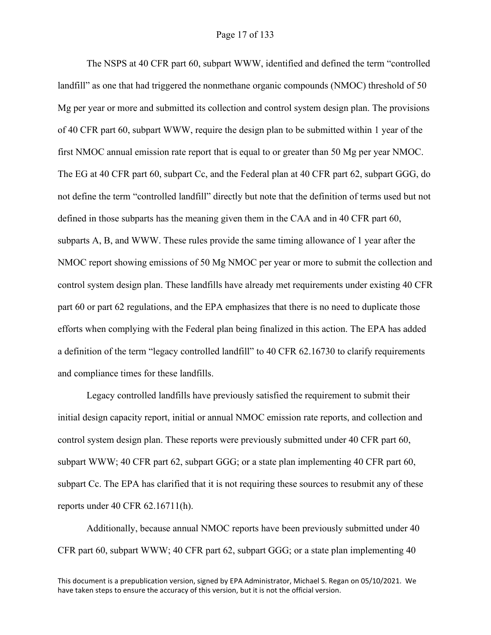The NSPS at 40 CFR part 60, subpart WWW, identified and defined the term "controlled landfill" as one that had triggered the nonmethane organic compounds (NMOC) threshold of 50 Mg per year or more and submitted its collection and control system design plan. The provisions of 40 CFR part 60, subpart WWW, require the design plan to be submitted within 1 year of the first NMOC annual emission rate report that is equal to or greater than 50 Mg per year NMOC. The EG at 40 CFR part 60, subpart Cc, and the Federal plan at 40 CFR part 62, subpart GGG, do not define the term "controlled landfill" directly but note that the definition of terms used but not defined in those subparts has the meaning given them in the CAA and in 40 CFR part 60, subparts A, B, and WWW. These rules provide the same timing allowance of 1 year after the NMOC report showing emissions of 50 Mg NMOC per year or more to submit the collection and control system design plan. These landfills have already met requirements under existing 40 CFR part 60 or part 62 regulations, and the EPA emphasizes that there is no need to duplicate those efforts when complying with the Federal plan being finalized in this action. The EPA has added a definition of the term "legacy controlled landfill" to 40 CFR 62.16730 to clarify requirements and compliance times for these landfills.

Legacy controlled landfills have previously satisfied the requirement to submit their initial design capacity report, initial or annual NMOC emission rate reports, and collection and control system design plan. These reports were previously submitted under 40 CFR part 60, subpart WWW; 40 CFR part 62, subpart GGG; or a state plan implementing 40 CFR part 60, subpart Cc. The EPA has clarified that it is not requiring these sources to resubmit any of these reports under 40 CFR 62.16711(h).

Additionally, because annual NMOC reports have been previously submitted under 40 CFR part 60, subpart WWW; 40 CFR part 62, subpart GGG; or a state plan implementing 40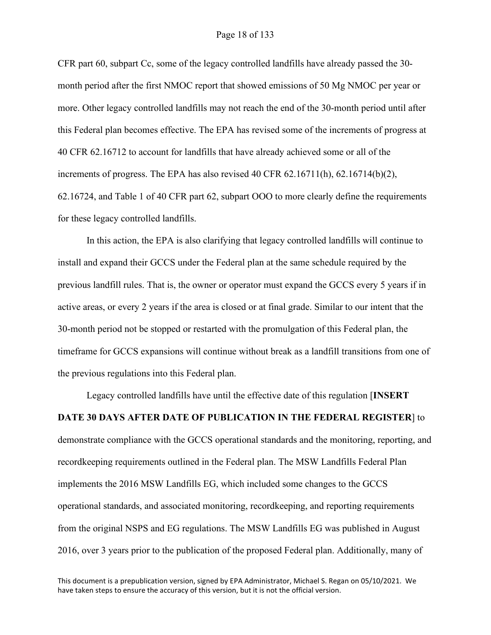#### Page 18 of 133

CFR part 60, subpart Cc, some of the legacy controlled landfills have already passed the 30 month period after the first NMOC report that showed emissions of 50 Mg NMOC per year or more. Other legacy controlled landfills may not reach the end of the 30-month period until after this Federal plan becomes effective. The EPA has revised some of the increments of progress at 40 CFR 62.16712 to account for landfills that have already achieved some or all of the increments of progress. The EPA has also revised 40 CFR 62.16711(h), 62.16714(b)(2), 62.16724, and Table 1 of 40 CFR part 62, subpart OOO to more clearly define the requirements for these legacy controlled landfills.

In this action, the EPA is also clarifying that legacy controlled landfills will continue to install and expand their GCCS under the Federal plan at the same schedule required by the previous landfill rules. That is, the owner or operator must expand the GCCS every 5 years if in active areas, or every 2 years if the area is closed or at final grade. Similar to our intent that the 30-month period not be stopped or restarted with the promulgation of this Federal plan, the timeframe for GCCS expansions will continue without break as a landfill transitions from one of the previous regulations into this Federal plan.

Legacy controlled landfills have until the effective date of this regulation [**INSERT DATE 30 DAYS AFTER DATE OF PUBLICATION IN THE FEDERAL REGISTER**] to demonstrate compliance with the GCCS operational standards and the monitoring, reporting, and recordkeeping requirements outlined in the Federal plan. The MSW Landfills Federal Plan implements the 2016 MSW Landfills EG, which included some changes to the GCCS operational standards, and associated monitoring, recordkeeping, and reporting requirements from the original NSPS and EG regulations. The MSW Landfills EG was published in August 2016, over 3 years prior to the publication of the proposed Federal plan. Additionally, many of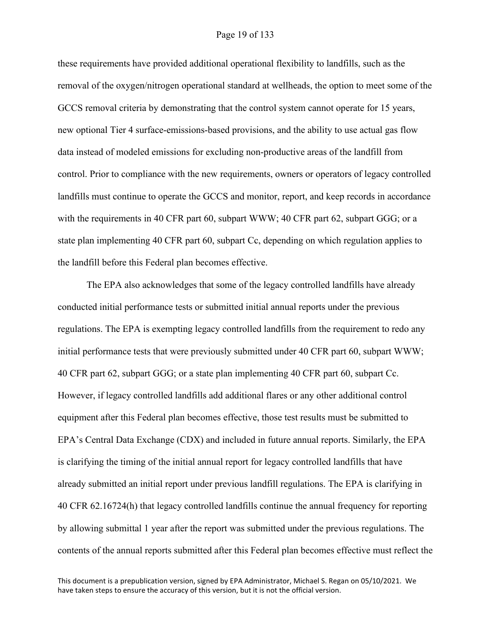#### Page 19 of 133

these requirements have provided additional operational flexibility to landfills, such as the removal of the oxygen/nitrogen operational standard at wellheads, the option to meet some of the GCCS removal criteria by demonstrating that the control system cannot operate for 15 years, new optional Tier 4 surface-emissions-based provisions, and the ability to use actual gas flow data instead of modeled emissions for excluding non-productive areas of the landfill from control. Prior to compliance with the new requirements, owners or operators of legacy controlled landfills must continue to operate the GCCS and monitor, report, and keep records in accordance with the requirements in 40 CFR part 60, subpart WWW; 40 CFR part 62, subpart GGG; or a state plan implementing 40 CFR part 60, subpart Cc, depending on which regulation applies to the landfill before this Federal plan becomes effective.

The EPA also acknowledges that some of the legacy controlled landfills have already conducted initial performance tests or submitted initial annual reports under the previous regulations. The EPA is exempting legacy controlled landfills from the requirement to redo any initial performance tests that were previously submitted under 40 CFR part 60, subpart WWW; 40 CFR part 62, subpart GGG; or a state plan implementing 40 CFR part 60, subpart Cc. However, if legacy controlled landfills add additional flares or any other additional control equipment after this Federal plan becomes effective, those test results must be submitted to EPA's Central Data Exchange (CDX) and included in future annual reports. Similarly, the EPA is clarifying the timing of the initial annual report for legacy controlled landfills that have already submitted an initial report under previous landfill regulations. The EPA is clarifying in 40 CFR 62.16724(h) that legacy controlled landfills continue the annual frequency for reporting by allowing submittal 1 year after the report was submitted under the previous regulations. The contents of the annual reports submitted after this Federal plan becomes effective must reflect the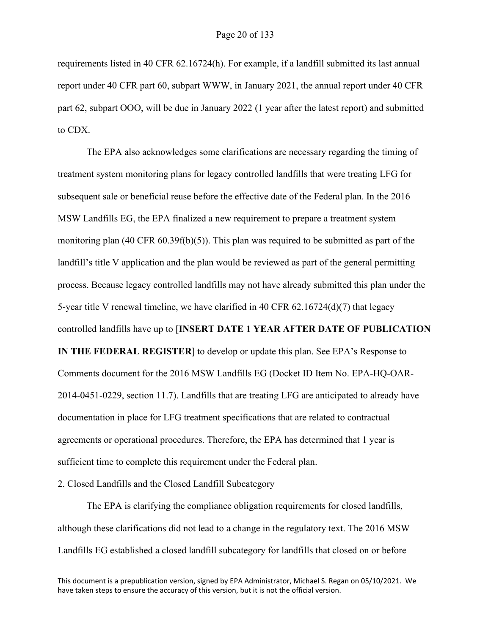requirements listed in 40 CFR 62.16724(h). For example, if a landfill submitted its last annual report under 40 CFR part 60, subpart WWW, in January 2021, the annual report under 40 CFR part 62, subpart OOO, will be due in January 2022 (1 year after the latest report) and submitted to CDX.

The EPA also acknowledges some clarifications are necessary regarding the timing of treatment system monitoring plans for legacy controlled landfills that were treating LFG for subsequent sale or beneficial reuse before the effective date of the Federal plan. In the 2016 MSW Landfills EG, the EPA finalized a new requirement to prepare a treatment system monitoring plan (40 CFR 60.39f(b)(5)). This plan was required to be submitted as part of the landfill's title V application and the plan would be reviewed as part of the general permitting process. Because legacy controlled landfills may not have already submitted this plan under the 5-year title V renewal timeline, we have clarified in 40 CFR  $62.16724(d)(7)$  that legacy controlled landfills have up to [**INSERT DATE 1 YEAR AFTER DATE OF PUBLICATION IN THE FEDERAL REGISTER**] to develop or update this plan. See EPA's Response to Comments document for the 2016 MSW Landfills EG (Docket ID Item No. EPA-HQ-OAR-2014-0451-0229, section 11.7). Landfills that are treating LFG are anticipated to already have documentation in place for LFG treatment specifications that are related to contractual agreements or operational procedures. Therefore, the EPA has determined that 1 year is sufficient time to complete this requirement under the Federal plan.

2. Closed Landfills and the Closed Landfill Subcategory

The EPA is clarifying the compliance obligation requirements for closed landfills, although these clarifications did not lead to a change in the regulatory text. The 2016 MSW Landfills EG established a closed landfill subcategory for landfills that closed on or before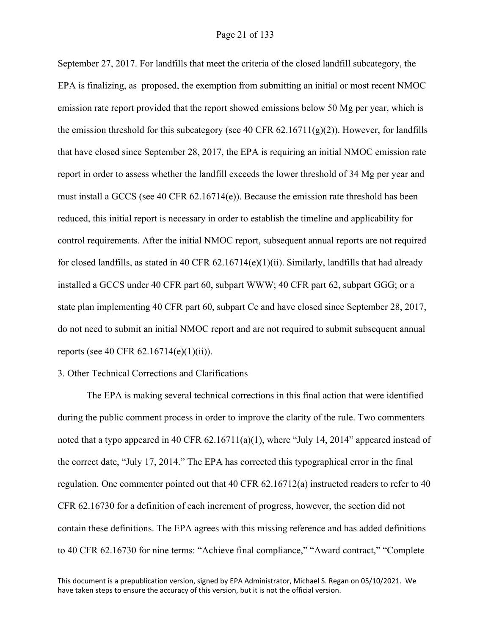September 27, 2017. For landfills that meet the criteria of the closed landfill subcategory, the EPA is finalizing, as proposed, the exemption from submitting an initial or most recent NMOC emission rate report provided that the report showed emissions below 50 Mg per year, which is the emission threshold for this subcategory (see 40 CFR  $62.16711(g)(2)$ ). However, for landfills that have closed since September 28, 2017, the EPA is requiring an initial NMOC emission rate report in order to assess whether the landfill exceeds the lower threshold of 34 Mg per year and must install a GCCS (see 40 CFR 62.16714(e)). Because the emission rate threshold has been reduced, this initial report is necessary in order to establish the timeline and applicability for control requirements. After the initial NMOC report, subsequent annual reports are not required for closed landfills, as stated in 40 CFR 62.16714(e)(1)(ii). Similarly, landfills that had already installed a GCCS under 40 CFR part 60, subpart WWW; 40 CFR part 62, subpart GGG; or a state plan implementing 40 CFR part 60, subpart Cc and have closed since September 28, 2017, do not need to submit an initial NMOC report and are not required to submit subsequent annual reports (see 40 CFR 62.16714(e)(1)(ii)).

#### 3. Other Technical Corrections and Clarifications

The EPA is making several technical corrections in this final action that were identified during the public comment process in order to improve the clarity of the rule. Two commenters noted that a typo appeared in 40 CFR 62.16711(a)(1), where "July 14, 2014" appeared instead of the correct date, "July 17, 2014." The EPA has corrected this typographical error in the final regulation. One commenter pointed out that 40 CFR 62.16712(a) instructed readers to refer to 40 CFR 62.16730 for a definition of each increment of progress, however, the section did not contain these definitions. The EPA agrees with this missing reference and has added definitions to 40 CFR 62.16730 for nine terms: "Achieve final compliance," "Award contract," "Complete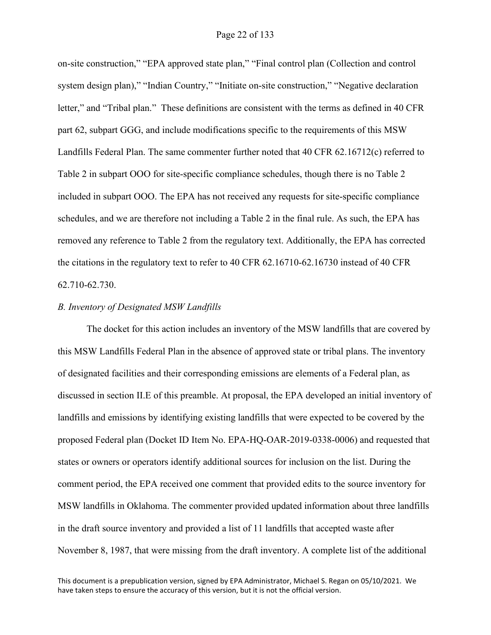on-site construction," "EPA approved state plan," "Final control plan (Collection and control system design plan)," "Indian Country," "Initiate on-site construction," "Negative declaration letter," and "Tribal plan." These definitions are consistent with the terms as defined in 40 CFR part 62, subpart GGG, and include modifications specific to the requirements of this MSW Landfills Federal Plan. The same commenter further noted that 40 CFR 62.16712(c) referred to Table 2 in subpart OOO for site-specific compliance schedules, though there is no Table 2 included in subpart OOO. The EPA has not received any requests for site-specific compliance schedules, and we are therefore not including a Table 2 in the final rule. As such, the EPA has removed any reference to Table 2 from the regulatory text. Additionally, the EPA has corrected the citations in the regulatory text to refer to 40 CFR 62.16710-62.16730 instead of 40 CFR 62.710-62.730.

#### *B. Inventory of Designated MSW Landfills*

The docket for this action includes an inventory of the MSW landfills that are covered by this MSW Landfills Federal Plan in the absence of approved state or tribal plans. The inventory of designated facilities and their corresponding emissions are elements of a Federal plan, as discussed in section II.E of this preamble. At proposal, the EPA developed an initial inventory of landfills and emissions by identifying existing landfills that were expected to be covered by the proposed Federal plan (Docket ID Item No. EPA-HQ-OAR-2019-0338-0006) and requested that states or owners or operators identify additional sources for inclusion on the list. During the comment period, the EPA received one comment that provided edits to the source inventory for MSW landfills in Oklahoma. The commenter provided updated information about three landfills in the draft source inventory and provided a list of 11 landfills that accepted waste after November 8, 1987, that were missing from the draft inventory. A complete list of the additional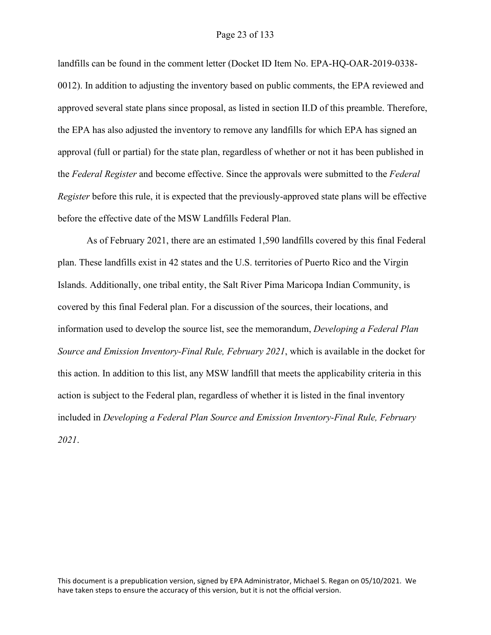landfills can be found in the comment letter (Docket ID Item No. EPA-HQ-OAR-2019-0338- 0012). In addition to adjusting the inventory based on public comments, the EPA reviewed and approved several state plans since proposal, as listed in section II.D of this preamble. Therefore, the EPA has also adjusted the inventory to remove any landfills for which EPA has signed an approval (full or partial) for the state plan, regardless of whether or not it has been published in the *Federal Register* and become effective. Since the approvals were submitted to the *Federal Register* before this rule, it is expected that the previously-approved state plans will be effective before the effective date of the MSW Landfills Federal Plan.

As of February 2021, there are an estimated 1,590 landfills covered by this final Federal plan. These landfills exist in 42 states and the U.S. territories of Puerto Rico and the Virgin Islands. Additionally, one tribal entity, the Salt River Pima Maricopa Indian Community, is covered by this final Federal plan. For a discussion of the sources, their locations, and information used to develop the source list, see the memorandum, *Developing a Federal Plan Source and Emission Inventory-Final Rule, February 2021*, which is available in the docket for this action. In addition to this list, any MSW landfill that meets the applicability criteria in this action is subject to the Federal plan, regardless of whether it is listed in the final inventory included in *Developing a Federal Plan Source and Emission Inventory-Final Rule, February 2021*.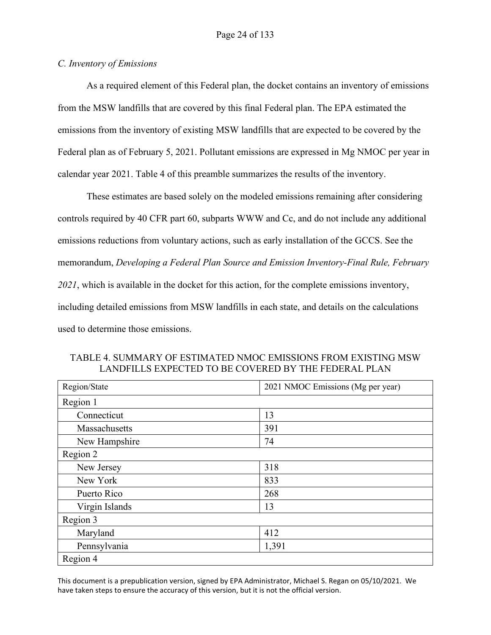## *C. Inventory of Emissions*

As a required element of this Federal plan, the docket contains an inventory of emissions from the MSW landfills that are covered by this final Federal plan. The EPA estimated the emissions from the inventory of existing MSW landfills that are expected to be covered by the Federal plan as of February 5, 2021. Pollutant emissions are expressed in Mg NMOC per year in calendar year 2021. Table 4 of this preamble summarizes the results of the inventory.

These estimates are based solely on the modeled emissions remaining after considering controls required by 40 CFR part 60, subparts WWW and Cc, and do not include any additional emissions reductions from voluntary actions, such as early installation of the GCCS. See the memorandum, *Developing a Federal Plan Source and Emission Inventory-Final Rule, February 2021*, which is available in the docket for this action, for the complete emissions inventory, including detailed emissions from MSW landfills in each state, and details on the calculations used to determine those emissions.

| TABLE 4. SUMMARY OF ESTIMATED NMOC EMISSIONS FROM EXISTING MSW |  |
|----------------------------------------------------------------|--|
| LANDFILLS EXPECTED TO BE COVERED BY THE FEDERAL PLAN           |  |

| Region/State   | 2021 NMOC Emissions (Mg per year) |
|----------------|-----------------------------------|
| Region 1       |                                   |
| Connecticut    | 13                                |
| Massachusetts  | 391                               |
| New Hampshire  | 74                                |
| Region 2       |                                   |
| New Jersey     | 318                               |
| New York       | 833                               |
| Puerto Rico    | 268                               |
| Virgin Islands | 13                                |
| Region 3       |                                   |
| Maryland       | 412                               |
| Pennsylvania   | 1,391                             |
| Region 4       |                                   |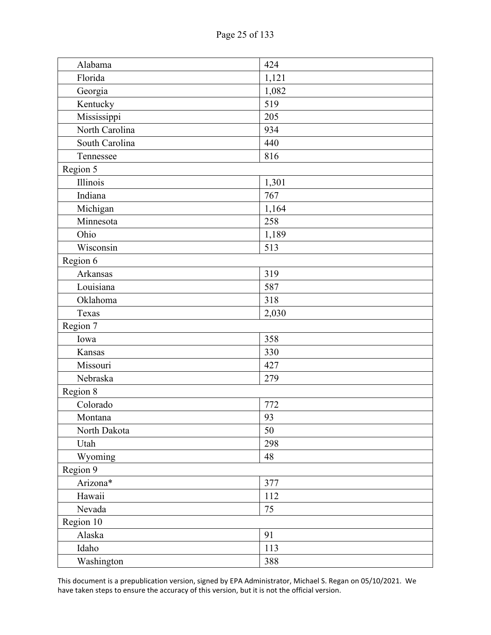| Alabama        | 424   |
|----------------|-------|
| Florida        | 1,121 |
| Georgia        | 1,082 |
| Kentucky       | 519   |
| Mississippi    | 205   |
| North Carolina | 934   |
| South Carolina | 440   |
| Tennessee      | 816   |
| Region 5       |       |
| Illinois       | 1,301 |
| Indiana        | 767   |
| Michigan       | 1,164 |
| Minnesota      | 258   |
| Ohio           | 1,189 |
| Wisconsin      | 513   |
| Region 6       |       |
| Arkansas       | 319   |
| Louisiana      | 587   |
| Oklahoma       | 318   |
| Texas          | 2,030 |
| Region 7       |       |
| Iowa           | 358   |
| Kansas         | 330   |
| Missouri       | 427   |
| Nebraska       | 279   |
| Region 8       |       |
| Colorado       | 772   |
| Montana        | 93    |
| North Dakota   | 50    |
| Utah           | 298   |
| Wyoming        | 48    |
| Region 9       |       |
| Arizona*       | 377   |
| Hawaii         | 112   |
| Nevada         | 75    |
| Region 10      |       |
| Alaska         | 91    |
| Idaho          | 113   |
| Washington     | 388   |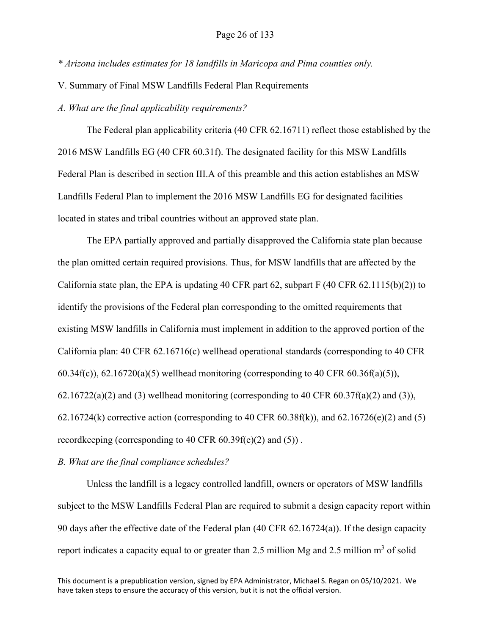*\* Arizona includes estimates for 18 landfills in Maricopa and Pima counties only.*

V. Summary of Final MSW Landfills Federal Plan Requirements

*A. What are the final applicability requirements?*

The Federal plan applicability criteria (40 CFR 62.16711) reflect those established by the 2016 MSW Landfills EG (40 CFR 60.31f). The designated facility for this MSW Landfills Federal Plan is described in section III.A of this preamble and this action establishes an MSW Landfills Federal Plan to implement the 2016 MSW Landfills EG for designated facilities located in states and tribal countries without an approved state plan.

The EPA partially approved and partially disapproved the California state plan because the plan omitted certain required provisions. Thus, for MSW landfills that are affected by the California state plan, the EPA is updating 40 CFR part 62, subpart F (40 CFR 62.1115(b)(2)) to identify the provisions of the Federal plan corresponding to the omitted requirements that existing MSW landfills in California must implement in addition to the approved portion of the California plan: 40 CFR 62.16716(c) wellhead operational standards (corresponding to 40 CFR  $60.34f(c)$ ,  $62.16720(a)(5)$  wellhead monitoring (corresponding to 40 CFR  $60.36f(a)(5)$ ),  $62.16722(a)(2)$  and (3) wellhead monitoring (corresponding to 40 CFR  $60.37f(a)(2)$  and (3)), 62.16724(k) corrective action (corresponding to 40 CFR 60.38f(k)), and 62.16726(e)(2) and (5) recordkeeping (corresponding to 40 CFR 60.39f(e)(2) and (5)) .

*B. What are the final compliance schedules?*

Unless the landfill is a legacy controlled landfill, owners or operators of MSW landfills subject to the MSW Landfills Federal Plan are required to submit a design capacity report within 90 days after the effective date of the Federal plan (40 CFR 62.16724(a)). If the design capacity report indicates a capacity equal to or greater than 2.5 million Mg and 2.5 million  $m<sup>3</sup>$  of solid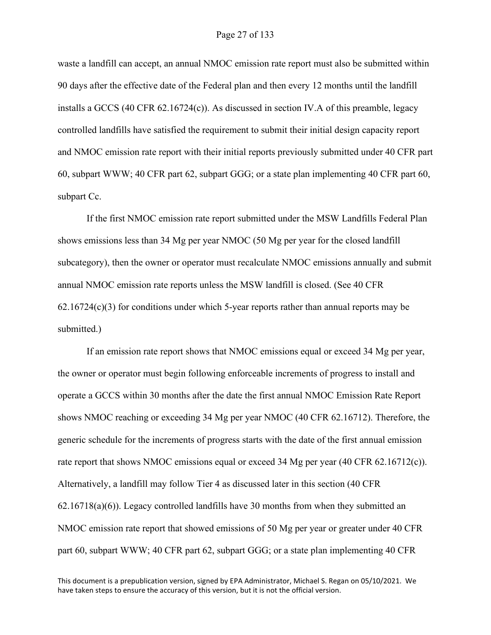waste a landfill can accept, an annual NMOC emission rate report must also be submitted within 90 days after the effective date of the Federal plan and then every 12 months until the landfill installs a GCCS (40 CFR 62.16724(c)). As discussed in section IV.A of this preamble, legacy controlled landfills have satisfied the requirement to submit their initial design capacity report and NMOC emission rate report with their initial reports previously submitted under 40 CFR part 60, subpart WWW; 40 CFR part 62, subpart GGG; or a state plan implementing 40 CFR part 60, subpart Cc.

If the first NMOC emission rate report submitted under the MSW Landfills Federal Plan shows emissions less than 34 Mg per year NMOC (50 Mg per year for the closed landfill subcategory), then the owner or operator must recalculate NMOC emissions annually and submit annual NMOC emission rate reports unless the MSW landfill is closed. (See 40 CFR  $62.16724(c)(3)$  for conditions under which 5-year reports rather than annual reports may be submitted.)

If an emission rate report shows that NMOC emissions equal or exceed 34 Mg per year, the owner or operator must begin following enforceable increments of progress to install and operate a GCCS within 30 months after the date the first annual NMOC Emission Rate Report shows NMOC reaching or exceeding 34 Mg per year NMOC (40 CFR 62.16712). Therefore, the generic schedule for the increments of progress starts with the date of the first annual emission rate report that shows NMOC emissions equal or exceed 34 Mg per year (40 CFR 62.16712(c)). Alternatively, a landfill may follow Tier 4 as discussed later in this section (40 CFR 62.16718(a)(6)). Legacy controlled landfills have 30 months from when they submitted an NMOC emission rate report that showed emissions of 50 Mg per year or greater under 40 CFR part 60, subpart WWW; 40 CFR part 62, subpart GGG; or a state plan implementing 40 CFR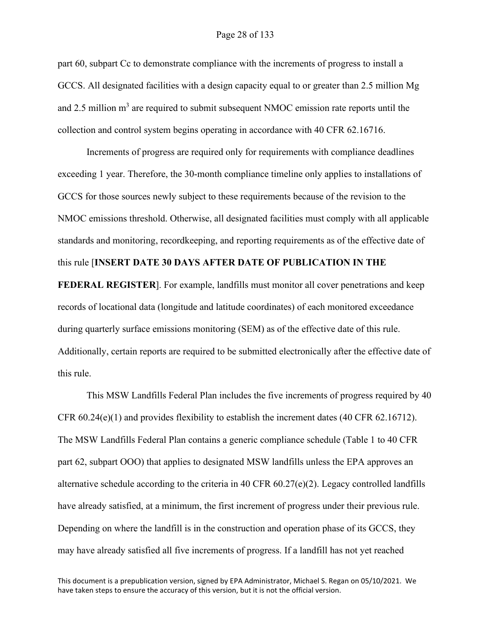#### Page 28 of 133

part 60, subpart Cc to demonstrate compliance with the increments of progress to install a GCCS. All designated facilities with a design capacity equal to or greater than 2.5 million Mg and 2.5 million  $m<sup>3</sup>$  are required to submit subsequent NMOC emission rate reports until the collection and control system begins operating in accordance with 40 CFR 62.16716.

Increments of progress are required only for requirements with compliance deadlines exceeding 1 year. Therefore, the 30-month compliance timeline only applies to installations of GCCS for those sources newly subject to these requirements because of the revision to the NMOC emissions threshold. Otherwise, all designated facilities must comply with all applicable standards and monitoring, recordkeeping, and reporting requirements as of the effective date of this rule [**INSERT DATE 30 DAYS AFTER DATE OF PUBLICATION IN THE** 

**FEDERAL REGISTER**]. For example, landfills must monitor all cover penetrations and keep records of locational data (longitude and latitude coordinates) of each monitored exceedance during quarterly surface emissions monitoring (SEM) as of the effective date of this rule. Additionally, certain reports are required to be submitted electronically after the effective date of this rule.

This MSW Landfills Federal Plan includes the five increments of progress required by 40 CFR  $60.24(e)(1)$  and provides flexibility to establish the increment dates (40 CFR  $62.16712$ ). The MSW Landfills Federal Plan contains a generic compliance schedule (Table 1 to 40 CFR part 62, subpart OOO) that applies to designated MSW landfills unless the EPA approves an alternative schedule according to the criteria in 40 CFR 60.27(e)(2). Legacy controlled landfills have already satisfied, at a minimum, the first increment of progress under their previous rule. Depending on where the landfill is in the construction and operation phase of its GCCS, they may have already satisfied all five increments of progress. If a landfill has not yet reached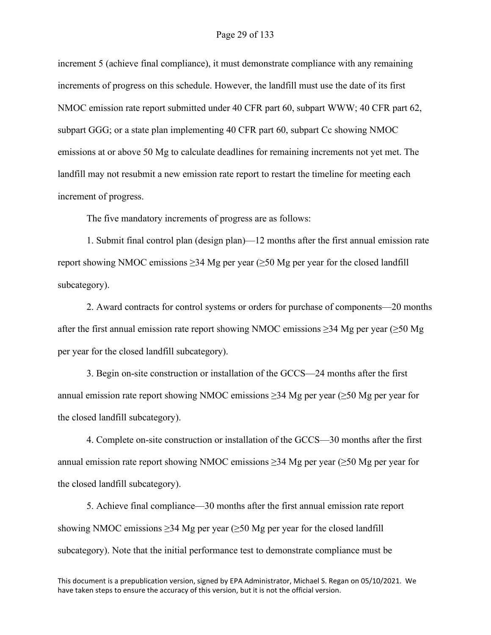increment 5 (achieve final compliance), it must demonstrate compliance with any remaining increments of progress on this schedule. However, the landfill must use the date of its first NMOC emission rate report submitted under 40 CFR part 60, subpart WWW; 40 CFR part 62, subpart GGG; or a state plan implementing 40 CFR part 60, subpart Cc showing NMOC emissions at or above 50 Mg to calculate deadlines for remaining increments not yet met. The landfill may not resubmit a new emission rate report to restart the timeline for meeting each increment of progress.

The five mandatory increments of progress are as follows:

1. Submit final control plan (design plan)—12 months after the first annual emission rate report showing NMOC emissions  $\geq$ 34 Mg per year ( $\geq$ 50 Mg per year for the closed landfill subcategory).

2. Award contracts for control systems or orders for purchase of components—20 months after the first annual emission rate report showing NMOC emissions  $\geq$ 34 Mg per year ( $\geq$ 50 Mg per year for the closed landfill subcategory).

3. Begin on-site construction or installation of the GCCS—24 months after the first annual emission rate report showing NMOC emissions  $\geq$ 34 Mg per year ( $\geq$ 50 Mg per year for the closed landfill subcategory).

4. Complete on-site construction or installation of the GCCS—30 months after the first annual emission rate report showing NMOC emissions  $\geq$ 34 Mg per year ( $\geq$ 50 Mg per year for the closed landfill subcategory).

5. Achieve final compliance—30 months after the first annual emission rate report showing NMOC emissions  $\geq$ 34 Mg per year ( $\geq$ 50 Mg per year for the closed landfill subcategory). Note that the initial performance test to demonstrate compliance must be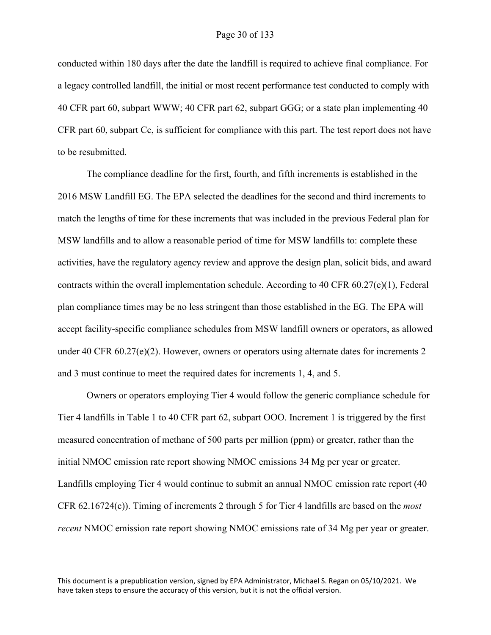conducted within 180 days after the date the landfill is required to achieve final compliance. For a legacy controlled landfill, the initial or most recent performance test conducted to comply with 40 CFR part 60, subpart WWW; 40 CFR part 62, subpart GGG; or a state plan implementing 40 CFR part 60, subpart Cc, is sufficient for compliance with this part. The test report does not have to be resubmitted.

The compliance deadline for the first, fourth, and fifth increments is established in the 2016 MSW Landfill EG. The EPA selected the deadlines for the second and third increments to match the lengths of time for these increments that was included in the previous Federal plan for MSW landfills and to allow a reasonable period of time for MSW landfills to: complete these activities, have the regulatory agency review and approve the design plan, solicit bids, and award contracts within the overall implementation schedule. According to 40 CFR  $60.27(e)(1)$ , Federal plan compliance times may be no less stringent than those established in the EG. The EPA will accept facility-specific compliance schedules from MSW landfill owners or operators, as allowed under 40 CFR 60.27(e)(2). However, owners or operators using alternate dates for increments 2 and 3 must continue to meet the required dates for increments 1, 4, and 5.

Owners or operators employing Tier 4 would follow the generic compliance schedule for Tier 4 landfills in Table 1 to 40 CFR part 62, subpart OOO. Increment 1 is triggered by the first measured concentration of methane of 500 parts per million (ppm) or greater, rather than the initial NMOC emission rate report showing NMOC emissions 34 Mg per year or greater. Landfills employing Tier 4 would continue to submit an annual NMOC emission rate report (40 CFR 62.16724(c)). Timing of increments 2 through 5 for Tier 4 landfills are based on the *most recent* NMOC emission rate report showing NMOC emissions rate of 34 Mg per year or greater.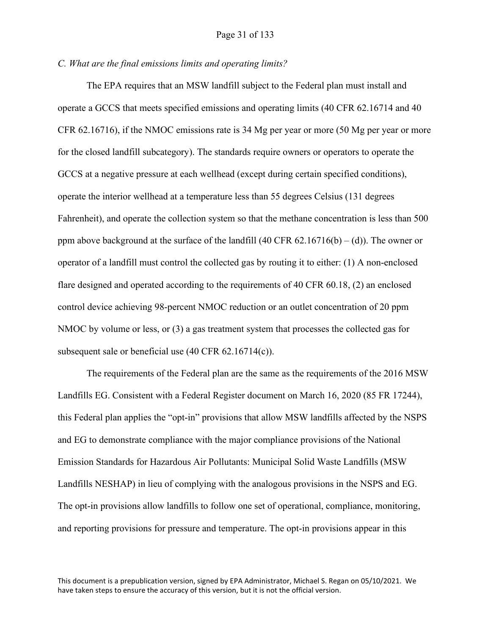#### *C. What are the final emissions limits and operating limits?*

The EPA requires that an MSW landfill subject to the Federal plan must install and operate a GCCS that meets specified emissions and operating limits (40 CFR 62.16714 and 40 CFR 62.16716), if the NMOC emissions rate is 34 Mg per year or more (50 Mg per year or more for the closed landfill subcategory). The standards require owners or operators to operate the GCCS at a negative pressure at each wellhead (except during certain specified conditions), operate the interior wellhead at a temperature less than 55 degrees Celsius (131 degrees Fahrenheit), and operate the collection system so that the methane concentration is less than 500 ppm above background at the surface of the landfill  $(40 \text{ CFR } 62.16716(b) - (d))$ . The owner or operator of a landfill must control the collected gas by routing it to either: (1) A non-enclosed flare designed and operated according to the requirements of 40 CFR 60.18, (2) an enclosed control device achieving 98-percent NMOC reduction or an outlet concentration of 20 ppm NMOC by volume or less, or (3) a gas treatment system that processes the collected gas for subsequent sale or beneficial use (40 CFR 62.16714(c)).

The requirements of the Federal plan are the same as the requirements of the 2016 MSW Landfills EG. Consistent with a Federal Register document on March 16, 2020 (85 FR 17244), this Federal plan applies the "opt-in" provisions that allow MSW landfills affected by the NSPS and EG to demonstrate compliance with the major compliance provisions of the National Emission Standards for Hazardous Air Pollutants: Municipal Solid Waste Landfills (MSW Landfills NESHAP) in lieu of complying with the analogous provisions in the NSPS and EG. The opt-in provisions allow landfills to follow one set of operational, compliance, monitoring, and reporting provisions for pressure and temperature. The opt-in provisions appear in this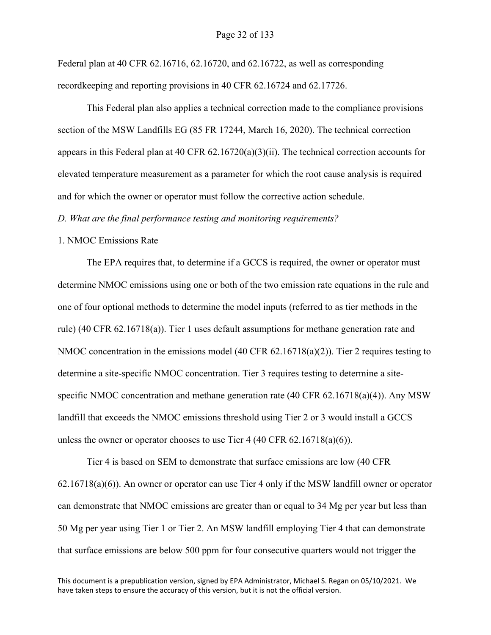#### Page 32 of 133

Federal plan at 40 CFR 62.16716, 62.16720, and 62.16722, as well as corresponding recordkeeping and reporting provisions in 40 CFR 62.16724 and 62.17726.

This Federal plan also applies a technical correction made to the compliance provisions section of the MSW Landfills EG (85 FR 17244, March 16, 2020). The technical correction appears in this Federal plan at 40 CFR  $62.16720(a)(3)(ii)$ . The technical correction accounts for elevated temperature measurement as a parameter for which the root cause analysis is required and for which the owner or operator must follow the corrective action schedule.

*D. What are the final performance testing and monitoring requirements?*

#### 1. NMOC Emissions Rate

The EPA requires that, to determine if a GCCS is required, the owner or operator must determine NMOC emissions using one or both of the two emission rate equations in the rule and one of four optional methods to determine the model inputs (referred to as tier methods in the rule) (40 CFR 62.16718(a)). Tier 1 uses default assumptions for methane generation rate and NMOC concentration in the emissions model (40 CFR  $62.16718(a)(2)$ ). Tier 2 requires testing to determine a site-specific NMOC concentration. Tier 3 requires testing to determine a sitespecific NMOC concentration and methane generation rate (40 CFR  $62.16718(a)(4)$ ). Any MSW landfill that exceeds the NMOC emissions threshold using Tier 2 or 3 would install a GCCS unless the owner or operator chooses to use Tier 4 (40 CFR  $62.16718(a)(6)$ ).

Tier 4 is based on SEM to demonstrate that surface emissions are low (40 CFR 62.16718(a)(6)). An owner or operator can use Tier 4 only if the MSW landfill owner or operator can demonstrate that NMOC emissions are greater than or equal to 34 Mg per year but less than 50 Mg per year using Tier 1 or Tier 2. An MSW landfill employing Tier 4 that can demonstrate that surface emissions are below 500 ppm for four consecutive quarters would not trigger the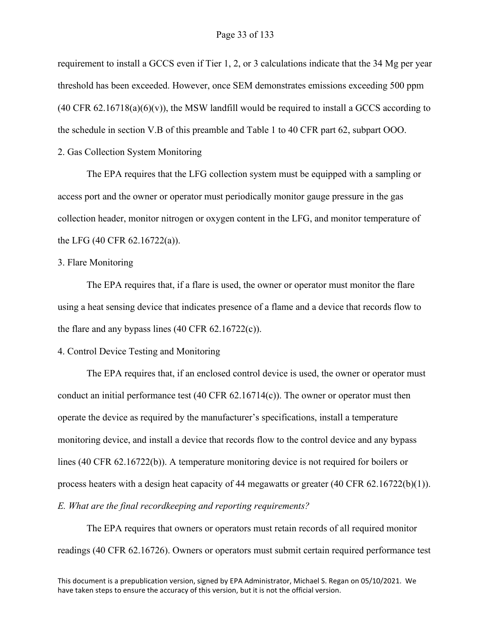requirement to install a GCCS even if Tier 1, 2, or 3 calculations indicate that the 34 Mg per year threshold has been exceeded. However, once SEM demonstrates emissions exceeding 500 ppm  $(40 \text{ CFR } 62.16718(a)(6)(v))$ , the MSW landfill would be required to install a GCCS according to the schedule in section V.B of this preamble and Table 1 to 40 CFR part 62, subpart OOO.

2. Gas Collection System Monitoring

The EPA requires that the LFG collection system must be equipped with a sampling or access port and the owner or operator must periodically monitor gauge pressure in the gas collection header, monitor nitrogen or oxygen content in the LFG, and monitor temperature of the LFG (40 CFR 62.16722(a)).

#### 3. Flare Monitoring

The EPA requires that, if a flare is used, the owner or operator must monitor the flare using a heat sensing device that indicates presence of a flame and a device that records flow to the flare and any bypass lines  $(40 \text{ CFR } 62.16722(c))$ .

#### 4. Control Device Testing and Monitoring

The EPA requires that, if an enclosed control device is used, the owner or operator must conduct an initial performance test  $(40 \text{ CFR } 62.16714(c))$ . The owner or operator must then operate the device as required by the manufacturer's specifications, install a temperature monitoring device, and install a device that records flow to the control device and any bypass lines (40 CFR 62.16722(b)). A temperature monitoring device is not required for boilers or process heaters with a design heat capacity of 44 megawatts or greater  $(40 \text{ CFR } 62.16722(b)(1))$ . *E. What are the final recordkeeping and reporting requirements?*

The EPA requires that owners or operators must retain records of all required monitor readings (40 CFR 62.16726). Owners or operators must submit certain required performance test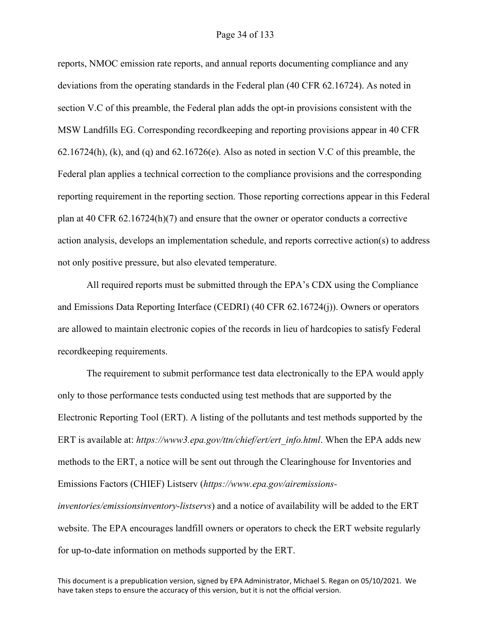#### Page 34 of 133

reports, NMOC emission rate reports, and annual reports documenting compliance and any deviations from the operating standards in the Federal plan (40 CFR 62.16724). As noted in section V.C of this preamble, the Federal plan adds the opt-in provisions consistent with the MSW Landfills EG. Corresponding recordkeeping and reporting provisions appear in 40 CFR 62.16724(h), (k), and (q) and 62.16726(e). Also as noted in section V.C of this preamble, the Federal plan applies a technical correction to the compliance provisions and the corresponding reporting requirement in the reporting section. Those reporting corrections appear in this Federal plan at 40 CFR 62.16724(h)(7) and ensure that the owner or operator conducts a corrective action analysis, develops an implementation schedule, and reports corrective action(s) to address not only positive pressure, but also elevated temperature.

All required reports must be submitted through the EPA's CDX using the Compliance and Emissions Data Reporting Interface (CEDRI) (40 CFR 62.16724(j)). Owners or operators are allowed to maintain electronic copies of the records in lieu of hardcopies to satisfy Federal recordkeeping requirements.

The requirement to submit performance test data electronically to the EPA would apply only to those performance tests conducted using test methods that are supported by the Electronic Reporting Tool (ERT). A listing of the pollutants and test methods supported by the ERT is available at: *https://www3.epa.gov/ttn/chief/ert/ert\_info.html*. When the EPA adds new methods to the ERT, a notice will be sent out through the Clearinghouse for Inventories and Emissions Factors (CHIEF) Listserv (*https://www.epa.gov/airemissionsinventories/emissionsinventory-listservs*) and a notice of availability will be added to the ERT

website. The EPA encourages landfill owners or operators to check the ERT website regularly for up-to-date information on methods supported by the ERT.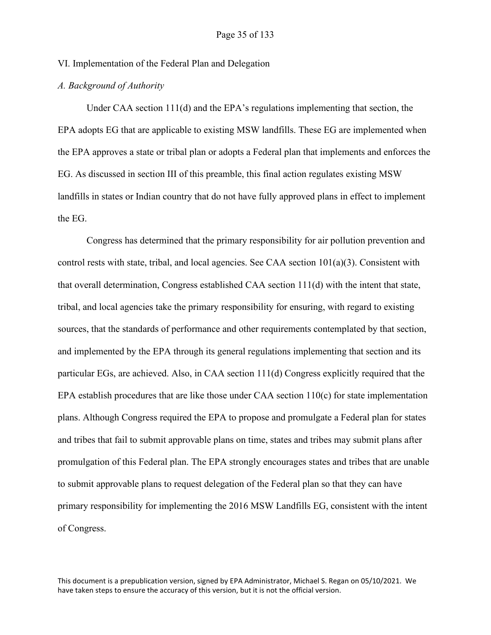VI. Implementation of the Federal Plan and Delegation

## *A. Background of Authority*

Under CAA section 111(d) and the EPA's regulations implementing that section, the EPA adopts EG that are applicable to existing MSW landfills. These EG are implemented when the EPA approves a state or tribal plan or adopts a Federal plan that implements and enforces the EG. As discussed in section III of this preamble, this final action regulates existing MSW landfills in states or Indian country that do not have fully approved plans in effect to implement the EG.

Congress has determined that the primary responsibility for air pollution prevention and control rests with state, tribal, and local agencies. See CAA section  $101(a)(3)$ . Consistent with that overall determination, Congress established CAA section 111(d) with the intent that state, tribal, and local agencies take the primary responsibility for ensuring, with regard to existing sources, that the standards of performance and other requirements contemplated by that section, and implemented by the EPA through its general regulations implementing that section and its particular EGs, are achieved. Also, in CAA section 111(d) Congress explicitly required that the EPA establish procedures that are like those under CAA section 110(c) for state implementation plans. Although Congress required the EPA to propose and promulgate a Federal plan for states and tribes that fail to submit approvable plans on time, states and tribes may submit plans after promulgation of this Federal plan. The EPA strongly encourages states and tribes that are unable to submit approvable plans to request delegation of the Federal plan so that they can have primary responsibility for implementing the 2016 MSW Landfills EG, consistent with the intent of Congress.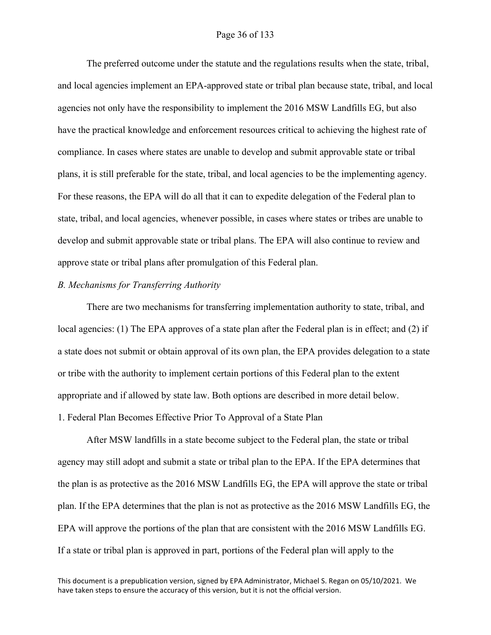#### Page 36 of 133

The preferred outcome under the statute and the regulations results when the state, tribal, and local agencies implement an EPA-approved state or tribal plan because state, tribal, and local agencies not only have the responsibility to implement the 2016 MSW Landfills EG, but also have the practical knowledge and enforcement resources critical to achieving the highest rate of compliance. In cases where states are unable to develop and submit approvable state or tribal plans, it is still preferable for the state, tribal, and local agencies to be the implementing agency. For these reasons, the EPA will do all that it can to expedite delegation of the Federal plan to state, tribal, and local agencies, whenever possible, in cases where states or tribes are unable to develop and submit approvable state or tribal plans. The EPA will also continue to review and approve state or tribal plans after promulgation of this Federal plan.

#### *B. Mechanisms for Transferring Authority*

There are two mechanisms for transferring implementation authority to state, tribal, and local agencies: (1) The EPA approves of a state plan after the Federal plan is in effect; and (2) if a state does not submit or obtain approval of its own plan, the EPA provides delegation to a state or tribe with the authority to implement certain portions of this Federal plan to the extent appropriate and if allowed by state law. Both options are described in more detail below. 1. Federal Plan Becomes Effective Prior To Approval of a State Plan

After MSW landfills in a state become subject to the Federal plan, the state or tribal agency may still adopt and submit a state or tribal plan to the EPA. If the EPA determines that the plan is as protective as the 2016 MSW Landfills EG, the EPA will approve the state or tribal plan. If the EPA determines that the plan is not as protective as the 2016 MSW Landfills EG, the EPA will approve the portions of the plan that are consistent with the 2016 MSW Landfills EG. If a state or tribal plan is approved in part, portions of the Federal plan will apply to the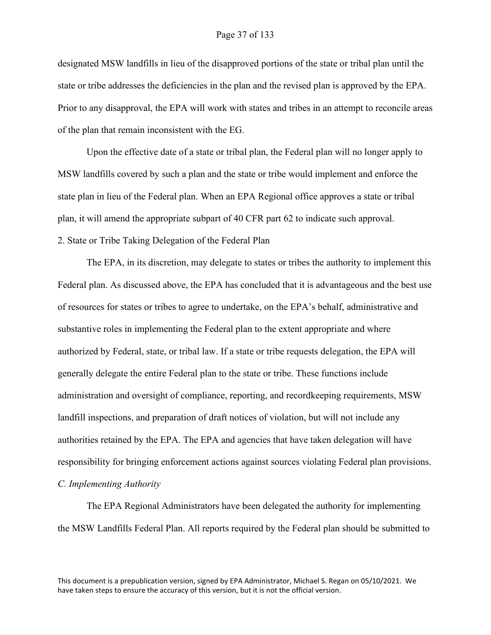designated MSW landfills in lieu of the disapproved portions of the state or tribal plan until the state or tribe addresses the deficiencies in the plan and the revised plan is approved by the EPA. Prior to any disapproval, the EPA will work with states and tribes in an attempt to reconcile areas of the plan that remain inconsistent with the EG.

Upon the effective date of a state or tribal plan, the Federal plan will no longer apply to MSW landfills covered by such a plan and the state or tribe would implement and enforce the state plan in lieu of the Federal plan. When an EPA Regional office approves a state or tribal plan, it will amend the appropriate subpart of 40 CFR part 62 to indicate such approval. 2. State or Tribe Taking Delegation of the Federal Plan

The EPA, in its discretion, may delegate to states or tribes the authority to implement this Federal plan. As discussed above, the EPA has concluded that it is advantageous and the best use of resources for states or tribes to agree to undertake, on the EPA's behalf, administrative and substantive roles in implementing the Federal plan to the extent appropriate and where authorized by Federal, state, or tribal law. If a state or tribe requests delegation, the EPA will generally delegate the entire Federal plan to the state or tribe. These functions include administration and oversight of compliance, reporting, and recordkeeping requirements, MSW landfill inspections, and preparation of draft notices of violation, but will not include any authorities retained by the EPA. The EPA and agencies that have taken delegation will have responsibility for bringing enforcement actions against sources violating Federal plan provisions. *C. Implementing Authority* 

The EPA Regional Administrators have been delegated the authority for implementing the MSW Landfills Federal Plan. All reports required by the Federal plan should be submitted to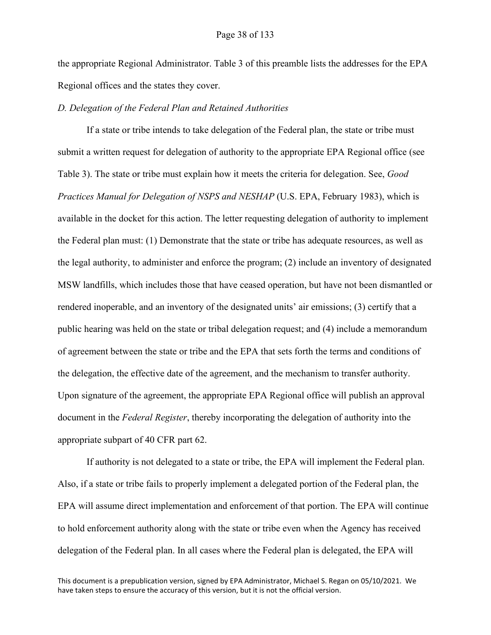the appropriate Regional Administrator. Table 3 of this preamble lists the addresses for the EPA Regional offices and the states they cover.

### *D. Delegation of the Federal Plan and Retained Authorities*

If a state or tribe intends to take delegation of the Federal plan, the state or tribe must submit a written request for delegation of authority to the appropriate EPA Regional office (see Table 3). The state or tribe must explain how it meets the criteria for delegation. See, *Good Practices Manual for Delegation of NSPS and NESHAP* (U.S. EPA, February 1983), which is available in the docket for this action. The letter requesting delegation of authority to implement the Federal plan must: (1) Demonstrate that the state or tribe has adequate resources, as well as the legal authority, to administer and enforce the program; (2) include an inventory of designated MSW landfills, which includes those that have ceased operation, but have not been dismantled or rendered inoperable, and an inventory of the designated units' air emissions; (3) certify that a public hearing was held on the state or tribal delegation request; and (4) include a memorandum of agreement between the state or tribe and the EPA that sets forth the terms and conditions of the delegation, the effective date of the agreement, and the mechanism to transfer authority. Upon signature of the agreement, the appropriate EPA Regional office will publish an approval document in the *Federal Register*, thereby incorporating the delegation of authority into the appropriate subpart of 40 CFR part 62.

If authority is not delegated to a state or tribe, the EPA will implement the Federal plan. Also, if a state or tribe fails to properly implement a delegated portion of the Federal plan, the EPA will assume direct implementation and enforcement of that portion. The EPA will continue to hold enforcement authority along with the state or tribe even when the Agency has received delegation of the Federal plan. In all cases where the Federal plan is delegated, the EPA will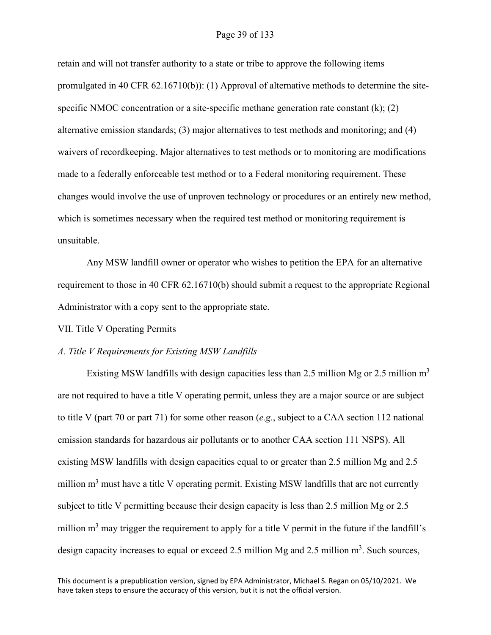### Page 39 of 133

retain and will not transfer authority to a state or tribe to approve the following items promulgated in 40 CFR 62.16710(b)): (1) Approval of alternative methods to determine the sitespecific NMOC concentration or a site-specific methane generation rate constant  $(k)$ ;  $(2)$ alternative emission standards; (3) major alternatives to test methods and monitoring; and (4) waivers of recordkeeping. Major alternatives to test methods or to monitoring are modifications made to a federally enforceable test method or to a Federal monitoring requirement. These changes would involve the use of unproven technology or procedures or an entirely new method, which is sometimes necessary when the required test method or monitoring requirement is unsuitable.

Any MSW landfill owner or operator who wishes to petition the EPA for an alternative requirement to those in 40 CFR 62.16710(b) should submit a request to the appropriate Regional Administrator with a copy sent to the appropriate state.

VII. Title V Operating Permits

#### *A. Title V Requirements for Existing MSW Landfills*

Existing MSW landfills with design capacities less than 2.5 million Mg or 2.5 million  $m<sup>3</sup>$ are not required to have a title V operating permit, unless they are a major source or are subject to title V (part 70 or part 71) for some other reason (*e.g.*, subject to a CAA section 112 national emission standards for hazardous air pollutants or to another CAA section 111 NSPS). All existing MSW landfills with design capacities equal to or greater than 2.5 million Mg and 2.5 million m<sup>3</sup> must have a title V operating permit. Existing MSW landfills that are not currently subject to title V permitting because their design capacity is less than 2.5 million Mg or 2.5 million  $m<sup>3</sup>$  may trigger the requirement to apply for a title V permit in the future if the landfill's design capacity increases to equal or exceed 2.5 million Mg and 2.5 million  $m^3$ . Such sources,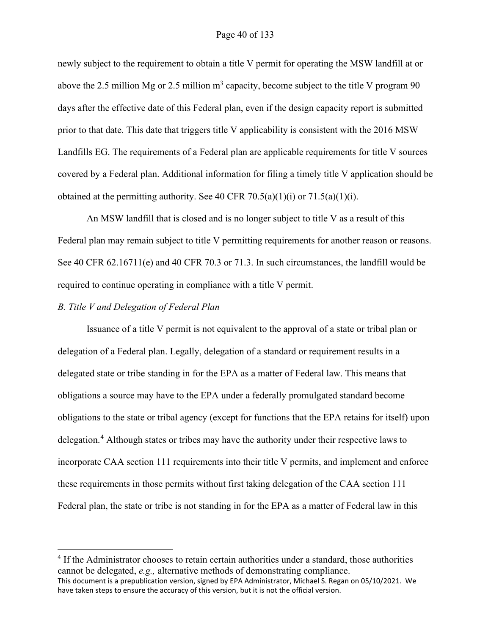### Page 40 of 133

newly subject to the requirement to obtain a title V permit for operating the MSW landfill at or above the 2.5 million Mg or 2.5 million  $m<sup>3</sup>$  capacity, become subject to the title V program 90 days after the effective date of this Federal plan, even if the design capacity report is submitted prior to that date. This date that triggers title V applicability is consistent with the 2016 MSW Landfills EG. The requirements of a Federal plan are applicable requirements for title V sources covered by a Federal plan. Additional information for filing a timely title V application should be obtained at the permitting authority. See 40 CFR 70.5(a)(1)(i) or 71.5(a)(1)(i).

An MSW landfill that is closed and is no longer subject to title V as a result of this Federal plan may remain subject to title V permitting requirements for another reason or reasons. See 40 CFR 62.16711(e) and 40 CFR 70.3 or 71.3. In such circumstances, the landfill would be required to continue operating in compliance with a title V permit.

### *B. Title V and Delegation of Federal Plan*

Issuance of a title V permit is not equivalent to the approval of a state or tribal plan or delegation of a Federal plan. Legally, delegation of a standard or requirement results in a delegated state or tribe standing in for the EPA as a matter of Federal law. This means that obligations a source may have to the EPA under a federally promulgated standard become obligations to the state or tribal agency (except for functions that the EPA retains for itself) upon delegation.<sup>[4](#page-39-0)</sup> Although states or tribes may have the authority under their respective laws to incorporate CAA section 111 requirements into their title V permits, and implement and enforce these requirements in those permits without first taking delegation of the CAA section 111 Federal plan, the state or tribe is not standing in for the EPA as a matter of Federal law in this

<span id="page-39-0"></span>This document is a prepublication version, signed by EPA Administrator, Michael S. Regan on 05/10/2021. We have taken steps to ensure the accuracy of this version, but it is not the official version. <sup>4</sup> If the Administrator chooses to retain certain authorities under a standard, those authorities cannot be delegated, *e.g.,* alternative methods of demonstrating compliance.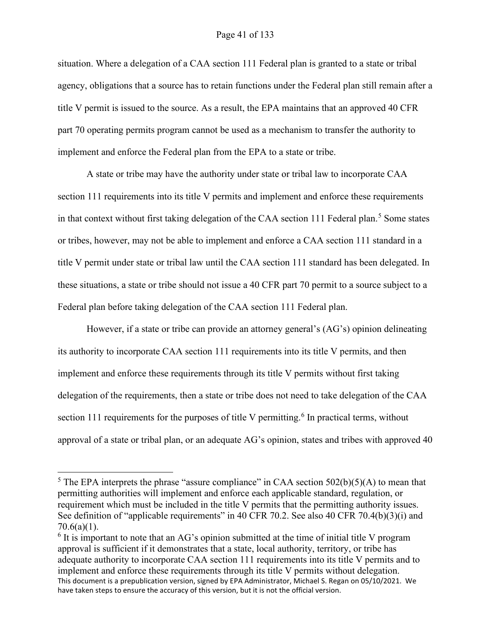### Page 41 of 133

situation. Where a delegation of a CAA section 111 Federal plan is granted to a state or tribal agency, obligations that a source has to retain functions under the Federal plan still remain after a title V permit is issued to the source. As a result, the EPA maintains that an approved 40 CFR part 70 operating permits program cannot be used as a mechanism to transfer the authority to implement and enforce the Federal plan from the EPA to a state or tribe.

A state or tribe may have the authority under state or tribal law to incorporate CAA section 111 requirements into its title V permits and implement and enforce these requirements in that context without first taking delegation of the CAA section 111 Federal plan.<sup>[5](#page-40-0)</sup> Some states or tribes, however, may not be able to implement and enforce a CAA section 111 standard in a title V permit under state or tribal law until the CAA section 111 standard has been delegated. In these situations, a state or tribe should not issue a 40 CFR part 70 permit to a source subject to a Federal plan before taking delegation of the CAA section 111 Federal plan.

However, if a state or tribe can provide an attorney general's (AG's) opinion delineating its authority to incorporate CAA section 111 requirements into its title V permits, and then implement and enforce these requirements through its title V permits without first taking delegation of the requirements, then a state or tribe does not need to take delegation of the CAA section 111 requirements for the purposes of title V permitting.<sup>[6](#page-40-1)</sup> In practical terms, without approval of a state or tribal plan, or an adequate AG's opinion, states and tribes with approved 40

<span id="page-40-0"></span><sup>&</sup>lt;sup>5</sup> The EPA interprets the phrase "assure compliance" in CAA section  $502(b)(5)(A)$  to mean that permitting authorities will implement and enforce each applicable standard, regulation, or requirement which must be included in the title V permits that the permitting authority issues. See definition of "applicable requirements" in 40 CFR 70.2. See also 40 CFR 70.4(b)(3)(i) and  $70.6(a)(1)$ .

<span id="page-40-1"></span>This document is a prepublication version, signed by EPA Administrator, Michael S. Regan on 05/10/2021. We have taken steps to ensure the accuracy of this version, but it is not the official version.  $6$  It is important to note that an AG's opinion submitted at the time of initial title V program approval is sufficient if it demonstrates that a state, local authority, territory, or tribe has adequate authority to incorporate CAA section 111 requirements into its title V permits and to implement and enforce these requirements through its title V permits without delegation.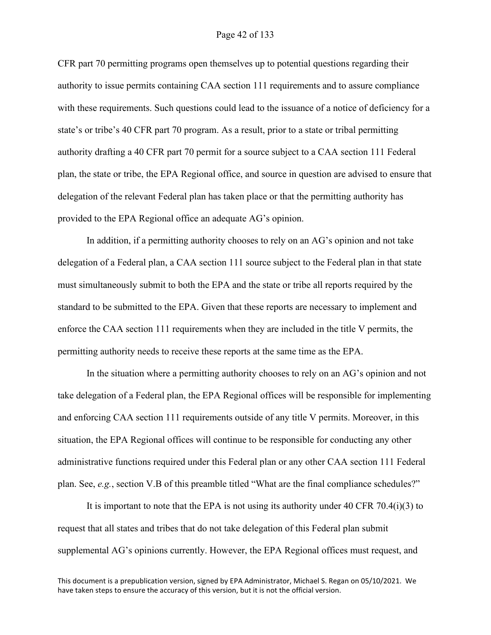### Page 42 of 133

CFR part 70 permitting programs open themselves up to potential questions regarding their authority to issue permits containing CAA section 111 requirements and to assure compliance with these requirements. Such questions could lead to the issuance of a notice of deficiency for a state's or tribe's 40 CFR part 70 program. As a result, prior to a state or tribal permitting authority drafting a 40 CFR part 70 permit for a source subject to a CAA section 111 Federal plan, the state or tribe, the EPA Regional office, and source in question are advised to ensure that delegation of the relevant Federal plan has taken place or that the permitting authority has provided to the EPA Regional office an adequate AG's opinion.

In addition, if a permitting authority chooses to rely on an AG's opinion and not take delegation of a Federal plan, a CAA section 111 source subject to the Federal plan in that state must simultaneously submit to both the EPA and the state or tribe all reports required by the standard to be submitted to the EPA. Given that these reports are necessary to implement and enforce the CAA section 111 requirements when they are included in the title V permits, the permitting authority needs to receive these reports at the same time as the EPA.

In the situation where a permitting authority chooses to rely on an AG's opinion and not take delegation of a Federal plan, the EPA Regional offices will be responsible for implementing and enforcing CAA section 111 requirements outside of any title V permits. Moreover, in this situation, the EPA Regional offices will continue to be responsible for conducting any other administrative functions required under this Federal plan or any other CAA section 111 Federal plan. See, *e.g.*, section V.B of this preamble titled "What are the final compliance schedules?"

It is important to note that the EPA is not using its authority under 40 CFR 70.4(i)(3) to request that all states and tribes that do not take delegation of this Federal plan submit supplemental AG's opinions currently. However, the EPA Regional offices must request, and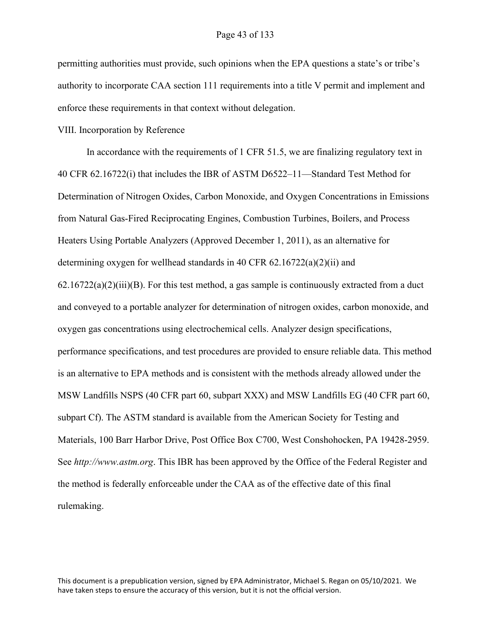permitting authorities must provide, such opinions when the EPA questions a state's or tribe's authority to incorporate CAA section 111 requirements into a title V permit and implement and enforce these requirements in that context without delegation.

VIII. Incorporation by Reference

In accordance with the requirements of 1 CFR 51.5, we are finalizing regulatory text in 40 CFR 62.16722(i) that includes the IBR of ASTM D6522–11—Standard Test Method for Determination of Nitrogen Oxides, Carbon Monoxide, and Oxygen Concentrations in Emissions from Natural Gas-Fired Reciprocating Engines, Combustion Turbines, Boilers, and Process Heaters Using Portable Analyzers (Approved December 1, 2011), as an alternative for determining oxygen for wellhead standards in 40 CFR 62.16722(a)(2)(ii) and  $62.16722(a)(2)(iii)(B)$ . For this test method, a gas sample is continuously extracted from a duct and conveyed to a portable analyzer for determination of nitrogen oxides, carbon monoxide, and oxygen gas concentrations using electrochemical cells. Analyzer design specifications, performance specifications, and test procedures are provided to ensure reliable data. This method is an alternative to EPA methods and is consistent with the methods already allowed under the MSW Landfills NSPS (40 CFR part 60, subpart XXX) and MSW Landfills EG (40 CFR part 60, subpart Cf). The ASTM standard is available from the American Society for Testing and Materials, 100 Barr Harbor Drive, Post Office Box C700, West Conshohocken, PA 19428-2959. See *http://www.astm.org*. This IBR has been approved by the Office of the Federal Register and the method is federally enforceable under the CAA as of the effective date of this final rulemaking.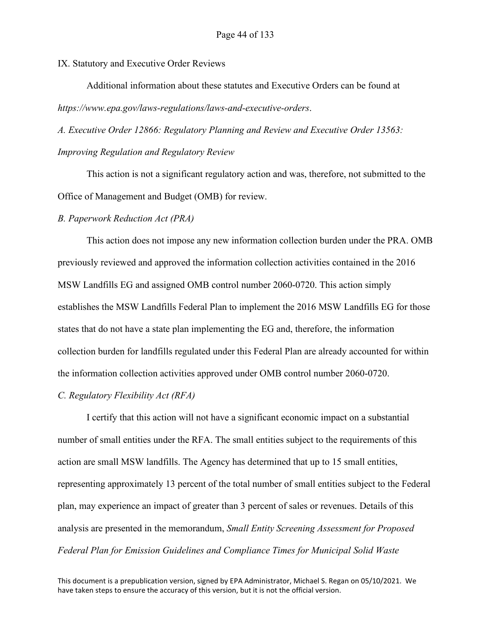IX. Statutory and Executive Order Reviews

Additional information about these statutes and Executive Orders can be found at *https://www.epa.gov/laws-regulations/laws-and-executive-orders*.

*A. Executive Order 12866: Regulatory Planning and Review and Executive Order 13563: Improving Regulation and Regulatory Review*

This action is not a significant regulatory action and was, therefore, not submitted to the Office of Management and Budget (OMB) for review.

#### *B. Paperwork Reduction Act (PRA)*

This action does not impose any new information collection burden under the PRA. OMB previously reviewed and approved the information collection activities contained in the 2016 MSW Landfills EG and assigned OMB control number 2060-0720. This action simply establishes the MSW Landfills Federal Plan to implement the 2016 MSW Landfills EG for those states that do not have a state plan implementing the EG and, therefore, the information collection burden for landfills regulated under this Federal Plan are already accounted for within the information collection activities approved under OMB control number 2060-0720.

### *C. Regulatory Flexibility Act (RFA)*

I certify that this action will not have a significant economic impact on a substantial number of small entities under the RFA. The small entities subject to the requirements of this action are small MSW landfills. The Agency has determined that up to 15 small entities, representing approximately 13 percent of the total number of small entities subject to the Federal plan, may experience an impact of greater than 3 percent of sales or revenues. Details of this analysis are presented in the memorandum, *Small Entity Screening Assessment for Proposed Federal Plan for Emission Guidelines and Compliance Times for Municipal Solid Waste*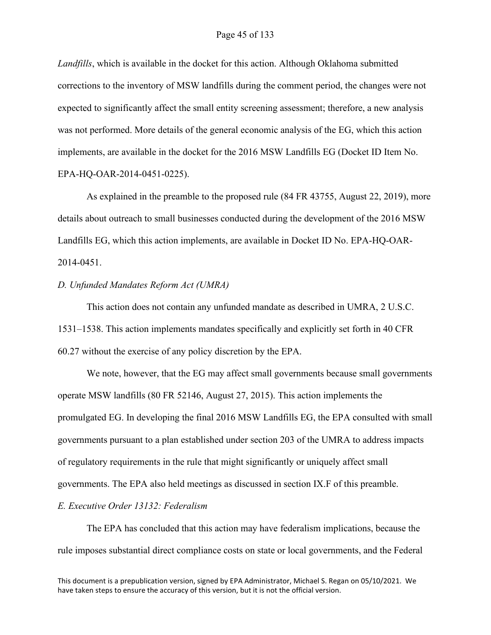*Landfills*, which is available in the docket for this action. Although Oklahoma submitted corrections to the inventory of MSW landfills during the comment period, the changes were not expected to significantly affect the small entity screening assessment; therefore, a new analysis was not performed. More details of the general economic analysis of the EG, which this action implements, are available in the docket for the 2016 MSW Landfills EG (Docket ID Item No. EPA-HQ-OAR-2014-0451-0225).

As explained in the preamble to the proposed rule (84 FR 43755, August 22, 2019), more details about outreach to small businesses conducted during the development of the 2016 MSW Landfills EG, which this action implements, are available in Docket ID No. EPA-HQ-OAR-2014-0451.

### *D. Unfunded Mandates Reform Act (UMRA)*

This action does not contain any unfunded mandate as described in UMRA, 2 U.S.C. 1531–1538. This action implements mandates specifically and explicitly set forth in 40 CFR 60.27 without the exercise of any policy discretion by the EPA.

We note, however, that the EG may affect small governments because small governments operate MSW landfills (80 FR 52146, August 27, 2015). This action implements the promulgated EG. In developing the final 2016 MSW Landfills EG, the EPA consulted with small governments pursuant to a plan established under section 203 of the UMRA to address impacts of regulatory requirements in the rule that might significantly or uniquely affect small governments. The EPA also held meetings as discussed in section IX.F of this preamble.

### *E. Executive Order 13132: Federalism*

The EPA has concluded that this action may have federalism implications, because the rule imposes substantial direct compliance costs on state or local governments, and the Federal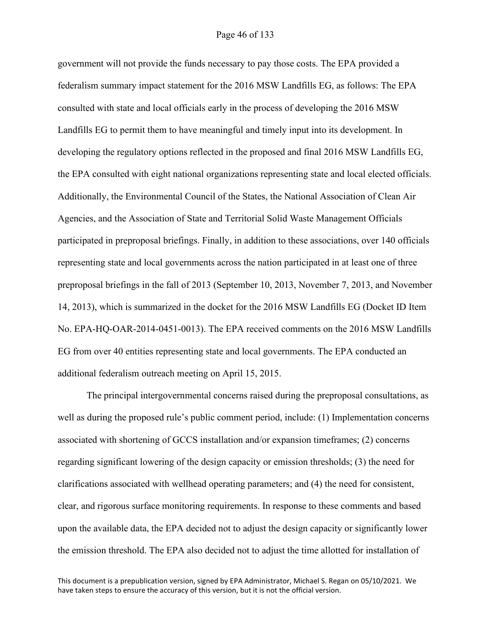government will not provide the funds necessary to pay those costs. The EPA provided a federalism summary impact statement for the 2016 MSW Landfills EG, as follows: The EPA consulted with state and local officials early in the process of developing the 2016 MSW Landfills EG to permit them to have meaningful and timely input into its development. In developing the regulatory options reflected in the proposed and final 2016 MSW Landfills EG, the EPA consulted with eight national organizations representing state and local elected officials. Additionally, the Environmental Council of the States, the National Association of Clean Air Agencies, and the Association of State and Territorial Solid Waste Management Officials participated in preproposal briefings. Finally, in addition to these associations, over 140 officials representing state and local governments across the nation participated in at least one of three preproposal briefings in the fall of 2013 (September 10, 2013, November 7, 2013, and November 14, 2013), which is summarized in the docket for the 2016 MSW Landfills EG (Docket ID Item No. EPA-HQ-OAR-2014-0451-0013). The EPA received comments on the 2016 MSW Landfills EG from over 40 entities representing state and local governments. The EPA conducted an additional federalism outreach meeting on April 15, 2015.

The principal intergovernmental concerns raised during the preproposal consultations, as well as during the proposed rule's public comment period, include: (1) Implementation concerns associated with shortening of GCCS installation and/or expansion timeframes; (2) concerns regarding significant lowering of the design capacity or emission thresholds; (3) the need for clarifications associated with wellhead operating parameters; and (4) the need for consistent, clear, and rigorous surface monitoring requirements. In response to these comments and based upon the available data, the EPA decided not to adjust the design capacity or significantly lower the emission threshold. The EPA also decided not to adjust the time allotted for installation of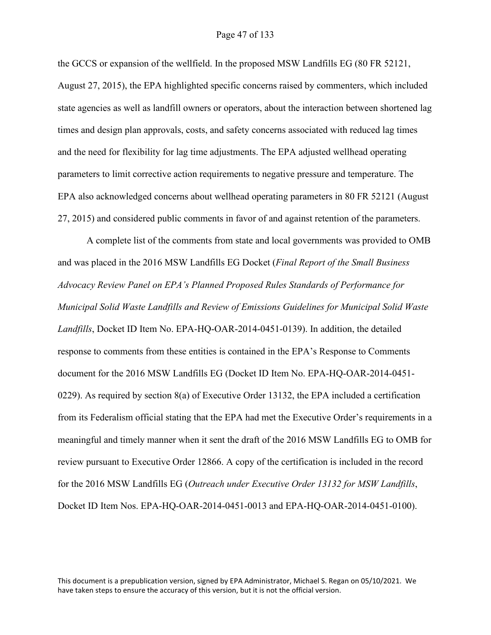the GCCS or expansion of the wellfield. In the proposed MSW Landfills EG (80 FR 52121, August 27, 2015), the EPA highlighted specific concerns raised by commenters, which included state agencies as well as landfill owners or operators, about the interaction between shortened lag times and design plan approvals, costs, and safety concerns associated with reduced lag times and the need for flexibility for lag time adjustments. The EPA adjusted wellhead operating parameters to limit corrective action requirements to negative pressure and temperature. The EPA also acknowledged concerns about wellhead operating parameters in 80 FR 52121 (August 27, 2015) and considered public comments in favor of and against retention of the parameters.

A complete list of the comments from state and local governments was provided to OMB and was placed in the 2016 MSW Landfills EG Docket (*Final Report of the Small Business Advocacy Review Panel on EPA's Planned Proposed Rules Standards of Performance for Municipal Solid Waste Landfills and Review of Emissions Guidelines for Municipal Solid Waste Landfills*, Docket ID Item No. EPA-HQ-OAR-2014-0451-0139). In addition, the detailed response to comments from these entities is contained in the EPA's Response to Comments document for the 2016 MSW Landfills EG (Docket ID Item No. EPA-HQ-OAR-2014-0451- 0229). As required by section 8(a) of Executive Order 13132, the EPA included a certification from its Federalism official stating that the EPA had met the Executive Order's requirements in a meaningful and timely manner when it sent the draft of the 2016 MSW Landfills EG to OMB for review pursuant to Executive Order 12866. A copy of the certification is included in the record for the 2016 MSW Landfills EG (*Outreach under Executive Order 13132 for MSW Landfills*, Docket ID Item Nos. EPA-HQ-OAR-2014-0451-0013 and EPA-HQ-OAR-2014-0451-0100).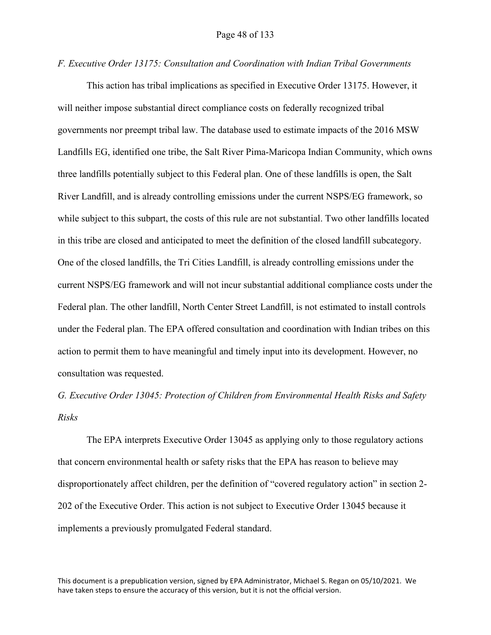#### *F. Executive Order 13175: Consultation and Coordination with Indian Tribal Governments*

This action has tribal implications as specified in Executive Order 13175. However, it will neither impose substantial direct compliance costs on federally recognized tribal governments nor preempt tribal law. The database used to estimate impacts of the 2016 MSW Landfills EG, identified one tribe, the Salt River Pima-Maricopa Indian Community, which owns three landfills potentially subject to this Federal plan. One of these landfills is open, the Salt River Landfill, and is already controlling emissions under the current NSPS/EG framework, so while subject to this subpart, the costs of this rule are not substantial. Two other landfills located in this tribe are closed and anticipated to meet the definition of the closed landfill subcategory. One of the closed landfills, the Tri Cities Landfill, is already controlling emissions under the current NSPS/EG framework and will not incur substantial additional compliance costs under the Federal plan. The other landfill, North Center Street Landfill, is not estimated to install controls under the Federal plan. The EPA offered consultation and coordination with Indian tribes on this action to permit them to have meaningful and timely input into its development. However, no consultation was requested.

*G. Executive Order 13045: Protection of Children from Environmental Health Risks and Safety Risks*

The EPA interprets Executive Order 13045 as applying only to those regulatory actions that concern environmental health or safety risks that the EPA has reason to believe may disproportionately affect children, per the definition of "covered regulatory action" in section 2-202 of the Executive Order. This action is not subject to Executive Order 13045 because it implements a previously promulgated Federal standard.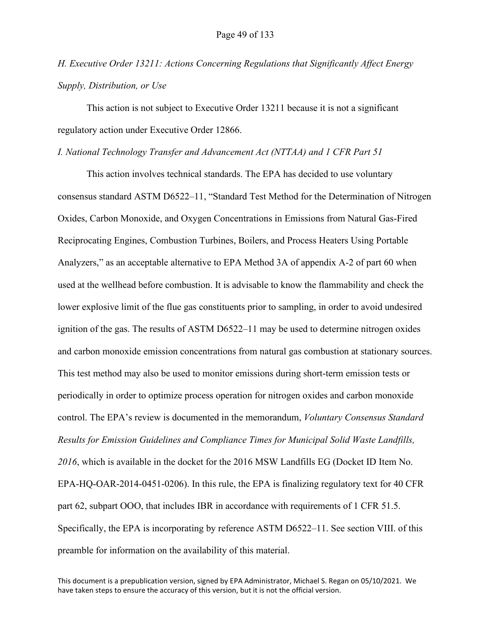*H. Executive Order 13211: Actions Concerning Regulations that Significantly Affect Energy Supply, Distribution, or Use*

This action is not subject to Executive Order 13211 because it is not a significant regulatory action under Executive Order 12866.

### *I. National Technology Transfer and Advancement Act (NTTAA) and 1 CFR Part 51*

This action involves technical standards. The EPA has decided to use voluntary consensus standard ASTM D6522–11, "Standard Test Method for the Determination of Nitrogen Oxides, Carbon Monoxide, and Oxygen Concentrations in Emissions from Natural Gas-Fired Reciprocating Engines, Combustion Turbines, Boilers, and Process Heaters Using Portable Analyzers," as an acceptable alternative to EPA Method 3A of appendix A-2 of part 60 when used at the wellhead before combustion. It is advisable to know the flammability and check the lower explosive limit of the flue gas constituents prior to sampling, in order to avoid undesired ignition of the gas. The results of ASTM D6522–11 may be used to determine nitrogen oxides and carbon monoxide emission concentrations from natural gas combustion at stationary sources. This test method may also be used to monitor emissions during short-term emission tests or periodically in order to optimize process operation for nitrogen oxides and carbon monoxide control. The EPA's review is documented in the memorandum, *Voluntary Consensus Standard Results for Emission Guidelines and Compliance Times for Municipal Solid Waste Landfills, 2016*, which is available in the docket for the 2016 MSW Landfills EG (Docket ID Item No. EPA-HQ-OAR-2014-0451-0206). In this rule, the EPA is finalizing regulatory text for 40 CFR part 62, subpart OOO, that includes IBR in accordance with requirements of 1 CFR 51.5. Specifically, the EPA is incorporating by reference ASTM D6522–11. See section VIII. of this preamble for information on the availability of this material.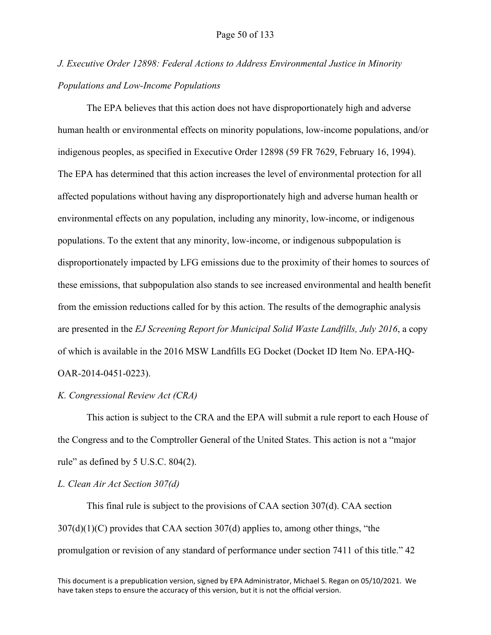# *J. Executive Order 12898: Federal Actions to Address Environmental Justice in Minority Populations and Low-Income Populations*

The EPA believes that this action does not have disproportionately high and adverse human health or environmental effects on minority populations, low-income populations, and/or indigenous peoples, as specified in Executive Order 12898 (59 FR 7629, February 16, 1994). The EPA has determined that this action increases the level of environmental protection for all affected populations without having any disproportionately high and adverse human health or environmental effects on any population, including any minority, low-income, or indigenous populations. To the extent that any minority, low-income, or indigenous subpopulation is disproportionately impacted by LFG emissions due to the proximity of their homes to sources of these emissions, that subpopulation also stands to see increased environmental and health benefit from the emission reductions called for by this action. The results of the demographic analysis are presented in the *EJ Screening Report for Municipal Solid Waste Landfills, July 2016*, a copy of which is available in the 2016 MSW Landfills EG Docket (Docket ID Item No. EPA-HQ-OAR-2014-0451-0223).

### *K. Congressional Review Act (CRA)*

This action is subject to the CRA and the EPA will submit a rule report to each House of the Congress and to the Comptroller General of the United States. This action is not a "major rule" as defined by 5 U.S.C. 804(2).

### *L. Clean Air Act Section 307(d)*

This final rule is subject to the provisions of CAA section 307(d). CAA section 307(d)(1)(C) provides that CAA section 307(d) applies to, among other things, "the promulgation or revision of any standard of performance under section 7411 of this title." 42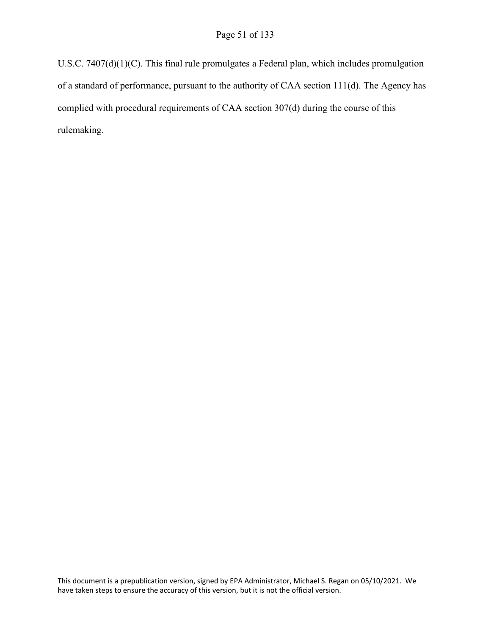U.S.C. 7407(d)(1)(C). This final rule promulgates a Federal plan, which includes promulgation of a standard of performance, pursuant to the authority of CAA section 111(d). The Agency has complied with procedural requirements of CAA section 307(d) during the course of this rulemaking.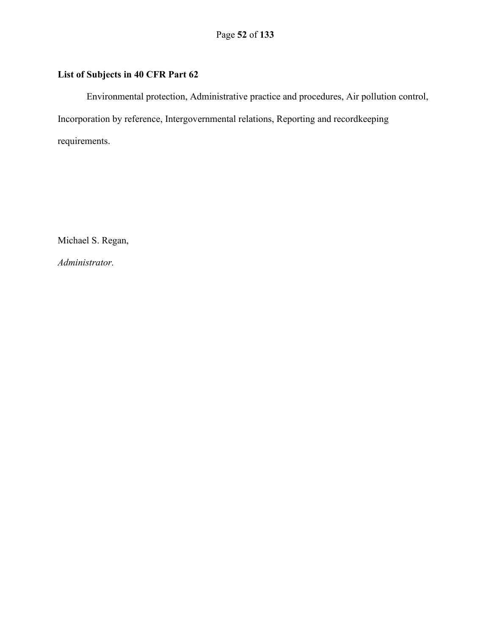# **List of Subjects in 40 CFR Part 62**

Environmental protection, Administrative practice and procedures, Air pollution control, Incorporation by reference, Intergovernmental relations, Reporting and recordkeeping requirements.

Michael S. Regan,

*Administrator.*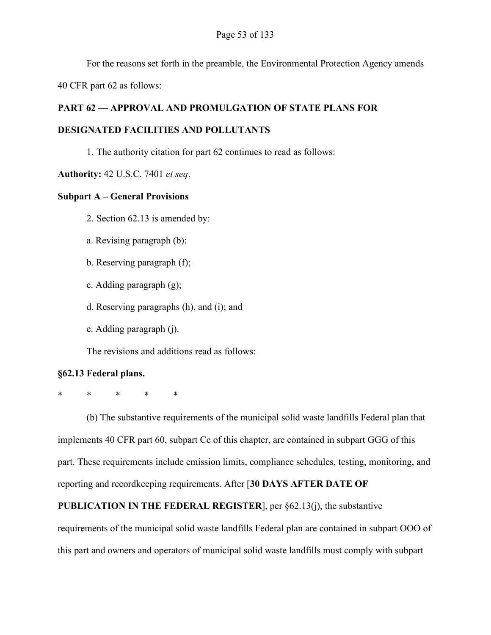For the reasons set forth in the preamble, the Environmental Protection Agency amends

40 CFR part 62 as follows:

# **PART 62 — APPROVAL AND PROMULGATION OF STATE PLANS FOR**

# **DESIGNATED FACILITIES AND POLLUTANTS**

1. The authority citation for part 62 continues to read as follows:

# **Authority:** 42 U.S.C. 7401 *et seq*.

# **Subpart A – General Provisions**

- 2. Section 62.13 is amended by:
- a. Revising paragraph (b);
- b. Reserving paragraph (f);
- c. Adding paragraph (g);
- d. Reserving paragraphs (h), and (i); and
- e. Adding paragraph (j).

The revisions and additions read as follows:

# **§62.13 Federal plans.**

\* \* \* \* \*

(b) The substantive requirements of the municipal solid waste landfills Federal plan that implements 40 CFR part 60, subpart Cc of this chapter, are contained in subpart GGG of this part. These requirements include emission limits, compliance schedules, testing, monitoring, and reporting and recordkeeping requirements. After [**30 DAYS AFTER DATE OF** 

# **PUBLICATION IN THE FEDERAL REGISTER**], per §62.13(j), the substantive

requirements of the municipal solid waste landfills Federal plan are contained in subpart OOO of this part and owners and operators of municipal solid waste landfills must comply with subpart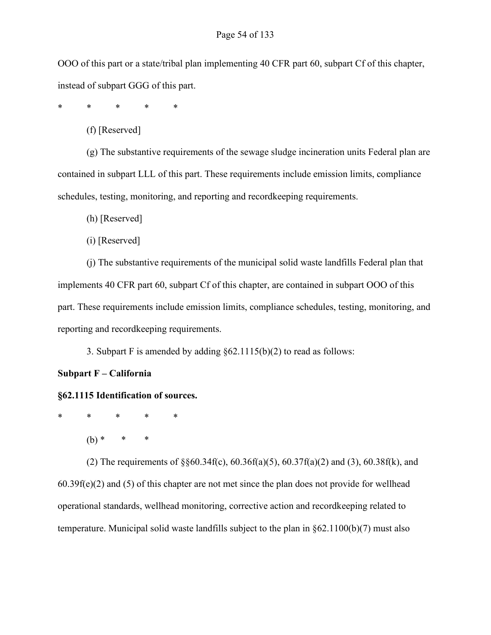### Page 54 of 133

OOO of this part or a state/tribal plan implementing 40 CFR part 60, subpart Cf of this chapter, instead of subpart GGG of this part.

\* \* \* \* \*

(f) [Reserved]

(g) The substantive requirements of the sewage sludge incineration units Federal plan are contained in subpart LLL of this part. These requirements include emission limits, compliance schedules, testing, monitoring, and reporting and recordkeeping requirements.

(h) [Reserved]

(i) [Reserved]

(j) The substantive requirements of the municipal solid waste landfills Federal plan that implements 40 CFR part 60, subpart Cf of this chapter, are contained in subpart OOO of this part. These requirements include emission limits, compliance schedules, testing, monitoring, and reporting and recordkeeping requirements.

3. Subpart F is amended by adding  $\S 62.1115(b)(2)$  to read as follows:

### **Subpart F – California**

### **§62.1115 Identification of sources.**

\* \* \* \* \*

 $(b)$  \*

(2) The requirements of §§60.34f(c), 60.36f(a)(5), 60.37f(a)(2) and (3), 60.38f(k), and 60.39f(e)(2) and (5) of this chapter are not met since the plan does not provide for wellhead operational standards, wellhead monitoring, corrective action and recordkeeping related to temperature. Municipal solid waste landfills subject to the plan in §62.1100(b)(7) must also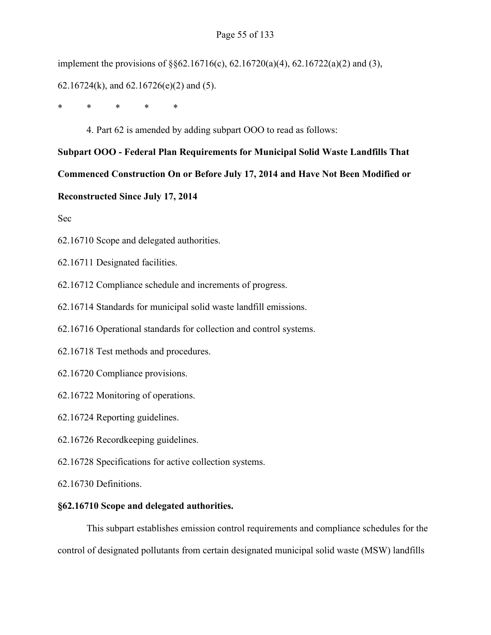## Page 55 of 133

implement the provisions of §§62.16716(c), 62.16720(a)(4), 62.16722(a)(2) and (3),

62.16724(k), and 62.16726(e)(2) and (5).

\* \* \* \* \*

4. Part 62 is amended by adding subpart OOO to read as follows:

**Subpart OOO - Federal Plan Requirements for Municipal Solid Waste Landfills That Commenced Construction On or Before July 17, 2014 and Have Not Been Modified or** 

**Reconstructed Since July 17, 2014**

Sec

[62.16710 Scope and delegated authorities.](#page-54-0)

[62.16711 Designated facilities.](#page-55-0)

[62.16712 Compliance schedule and increments of progress.](#page-58-0)

[62.16714 Standards for municipal solid waste landfill emissions.](#page-61-0)

[62.16716 Operational standards for collection and control systems.](#page-67-0)

[62.16718 Test methods and procedures.](#page-69-0)

[62.16720 Compliance provisions.](#page-81-0)

[62.16722 Monitoring of operations.](#page-89-0)

[62.16724 Reporting guidelines.](#page-94-0)

[62.16726 Recordkeeping guidelines.](#page-111-0)

[62.16728 Specifications for active collection systems.](#page-119-0)

[62.16730 Definitions.](#page-123-0)

### <span id="page-54-0"></span>**§62.16710 Scope and delegated authorities.**

This subpart establishes emission control requirements and compliance schedules for the control of designated pollutants from certain designated municipal solid waste (MSW) landfills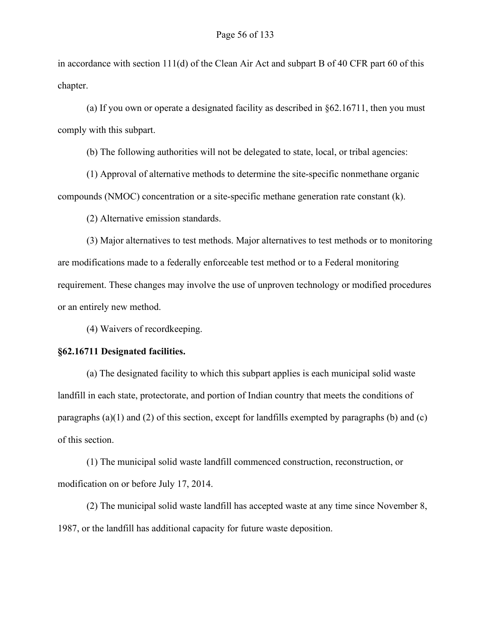in accordance with section 111(d) of the Clean Air Act and subpart B of 40 CFR part 60 of this chapter.

(a) If you own or operate a designated facility as described in §62.16711, then you must comply with this subpart.

(b) The following authorities will not be delegated to state, local, or tribal agencies:

(1) Approval of alternative methods to determine the site-specific nonmethane organic compounds (NMOC) concentration or a site-specific methane generation rate constant (k).

(2) Alternative emission standards.

(3) Major alternatives to test methods. Major alternatives to test methods or to monitoring are modifications made to a federally enforceable test method or to a Federal monitoring requirement. These changes may involve the use of unproven technology or modified procedures or an entirely new method.

(4) Waivers of recordkeeping.

### <span id="page-55-0"></span>**§62.16711 Designated facilities.**

(a) The designated facility to which this subpart applies is each municipal solid waste landfill in each state, protectorate, and portion of Indian country that meets the conditions of paragraphs (a)(1) and (2) of this section, except for landfills exempted by paragraphs (b) and (c) of this section.

(1) The municipal solid waste landfill commenced construction, reconstruction, or modification on or before July 17, 2014.

(2) The municipal solid waste landfill has accepted waste at any time since November 8, 1987, or the landfill has additional capacity for future waste deposition.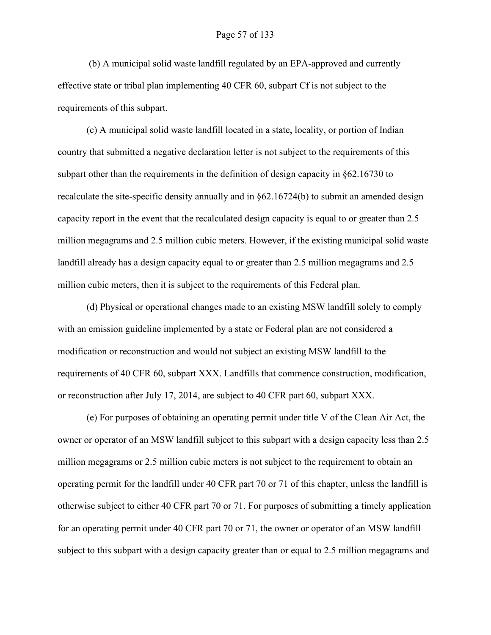(b) A municipal solid waste landfill regulated by an EPA-approved and currently effective state or tribal plan implementing 40 CFR 60, subpart Cf is not subject to the requirements of this subpart.

(c) A municipal solid waste landfill located in a state, locality, or portion of Indian country that submitted a negative declaration letter is not subject to the requirements of this subpart other than the requirements in the definition of design capacity in §62.16730 to recalculate the site-specific density annually and in §62.16724(b) to submit an amended design capacity report in the event that the recalculated design capacity is equal to or greater than 2.5 million megagrams and 2.5 million cubic meters. However, if the existing municipal solid waste landfill already has a design capacity equal to or greater than 2.5 million megagrams and 2.5 million cubic meters, then it is subject to the requirements of this Federal plan.

(d) Physical or operational changes made to an existing MSW landfill solely to comply with an emission guideline implemented by a state or Federal plan are not considered a modification or reconstruction and would not subject an existing MSW landfill to the requirements of 40 CFR 60, subpart XXX. Landfills that commence construction, modification, or reconstruction after July 17, 2014, are subject to 40 CFR part 60, subpart XXX.

(e) For purposes of obtaining an operating permit under title V of the Clean Air Act, the owner or operator of an MSW landfill subject to this subpart with a design capacity less than 2.5 million megagrams or 2.5 million cubic meters is not subject to the requirement to obtain an operating permit for the landfill under 40 CFR part 70 or 71 of this chapter, unless the landfill is otherwise subject to either 40 CFR part 70 or 71. For purposes of submitting a timely application for an operating permit under 40 CFR part 70 or 71, the owner or operator of an MSW landfill subject to this subpart with a design capacity greater than or equal to 2.5 million megagrams and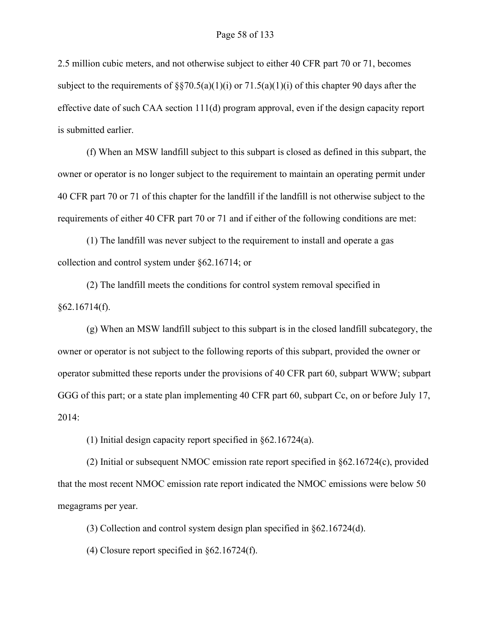2.5 million cubic meters, and not otherwise subject to either 40 CFR part 70 or 71, becomes subject to the requirements of  $\S$  $\S$ 70.5(a)(1)(i) or 71.5(a)(1)(i) of this chapter 90 days after the effective date of such CAA section 111(d) program approval, even if the design capacity report is submitted earlier.

(f) When an MSW landfill subject to this subpart is closed as defined in this subpart, the owner or operator is no longer subject to the requirement to maintain an operating permit under 40 CFR part 70 or 71 of this chapter for the landfill if the landfill is not otherwise subject to the requirements of either 40 CFR part 70 or 71 and if either of the following conditions are met:

(1) The landfill was never subject to the requirement to install and operate a gas collection and control system under §62.16714; or

(2) The landfill meets the conditions for control system removal specified in  $§62.16714(f).$ 

(g) When an MSW landfill subject to this subpart is in the closed landfill subcategory, the owner or operator is not subject to the following reports of this subpart, provided the owner or operator submitted these reports under the provisions of 40 CFR part 60, subpart WWW; subpart GGG of this part; or a state plan implementing 40 CFR part 60, subpart Cc, on or before July 17, 2014:

(1) Initial design capacity report specified in §62.16724(a).

(2) Initial or subsequent NMOC emission rate report specified in §62.16724(c), provided that the most recent NMOC emission rate report indicated the NMOC emissions were below 50 megagrams per year.

(3) Collection and control system design plan specified in §62.16724(d).

(4) Closure report specified in §62.16724(f).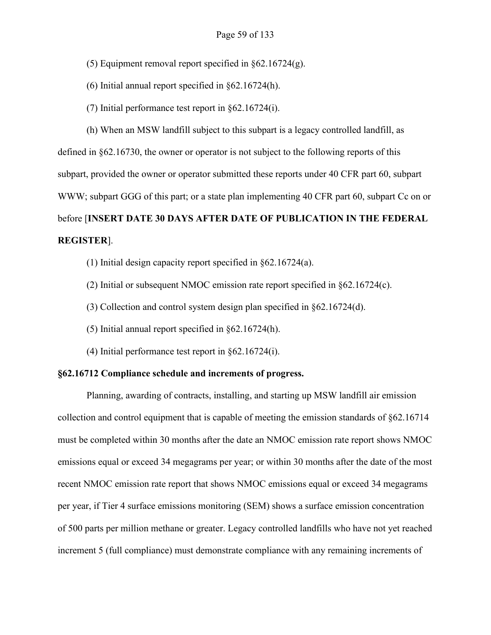- (5) Equipment removal report specified in §62.16724(g).
- (6) Initial annual report specified in §62.16724(h).
- (7) Initial performance test report in §62.16724(i).

(h) When an MSW landfill subject to this subpart is a legacy controlled landfill, as defined in §62.16730, the owner or operator is not subject to the following reports of this subpart, provided the owner or operator submitted these reports under 40 CFR part 60, subpart WWW; subpart GGG of this part; or a state plan implementing 40 CFR part 60, subpart Cc on or before [**INSERT DATE 30 DAYS AFTER DATE OF PUBLICATION IN THE FEDERAL REGISTER**].

- (1) Initial design capacity report specified in §62.16724(a).
- (2) Initial or subsequent NMOC emission rate report specified in §62.16724(c).
- (3) Collection and control system design plan specified in §62.16724(d).
- (5) Initial annual report specified in §62.16724(h).
- (4) Initial performance test report in §62.16724(i).

### <span id="page-58-0"></span>**§62.16712 Compliance schedule and increments of progress.**

Planning, awarding of contracts, installing, and starting up MSW landfill air emission collection and control equipment that is capable of meeting the emission standards of §62.16714 must be completed within 30 months after the date an NMOC emission rate report shows NMOC emissions equal or exceed 34 megagrams per year; or within 30 months after the date of the most recent NMOC emission rate report that shows NMOC emissions equal or exceed 34 megagrams per year, if Tier 4 surface emissions monitoring (SEM) shows a surface emission concentration of 500 parts per million methane or greater. Legacy controlled landfills who have not yet reached increment 5 (full compliance) must demonstrate compliance with any remaining increments of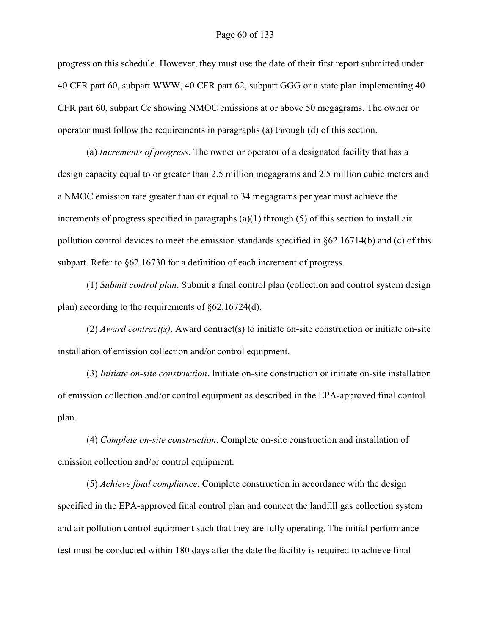#### Page 60 of 133

progress on this schedule. However, they must use the date of their first report submitted under 40 CFR part 60, subpart WWW, 40 CFR part 62, subpart GGG or a state plan implementing 40 CFR part 60, subpart Cc showing NMOC emissions at or above 50 megagrams. The owner or operator must follow the requirements in paragraphs (a) through (d) of this section.

(a) *Increments of progress*. The owner or operator of a designated facility that has a design capacity equal to or greater than 2.5 million megagrams and 2.5 million cubic meters and a NMOC emission rate greater than or equal to 34 megagrams per year must achieve the increments of progress specified in paragraphs (a)(1) through (5) of this section to install air pollution control devices to meet the emission standards specified in §62.16714(b) and (c) of this subpart. Refer to  $\S62.16730$  for a definition of each increment of progress.

(1) *Submit control plan*. Submit a final control plan (collection and control system design plan) according to the requirements of §62.16724(d).

(2) *Award contract(s)*. Award contract(s) to initiate on-site construction or initiate on-site installation of emission collection and/or control equipment.

(3) *Initiate on-site construction*. Initiate on-site construction or initiate on-site installation of emission collection and/or control equipment as described in the EPA-approved final control plan.

(4) *Complete on-site construction*. Complete on-site construction and installation of emission collection and/or control equipment.

(5) *Achieve final compliance*. Complete construction in accordance with the design specified in the EPA-approved final control plan and connect the landfill gas collection system and air pollution control equipment such that they are fully operating. The initial performance test must be conducted within 180 days after the date the facility is required to achieve final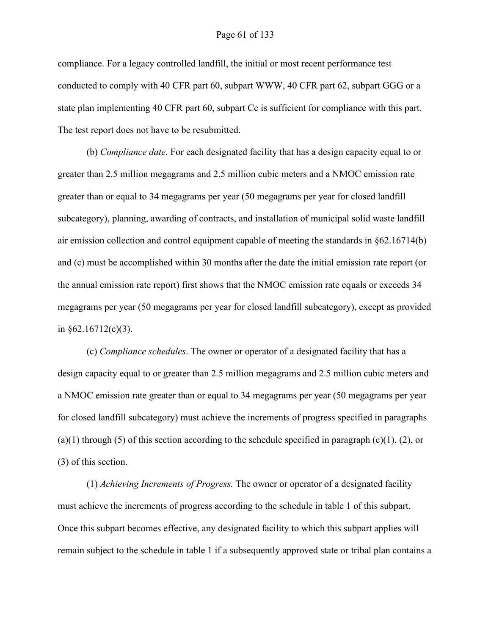compliance. For a legacy controlled landfill, the initial or most recent performance test conducted to comply with 40 CFR part 60, subpart WWW, 40 CFR part 62, subpart GGG or a state plan implementing 40 CFR part 60, subpart Cc is sufficient for compliance with this part. The test report does not have to be resubmitted.

(b) *Compliance date*. For each designated facility that has a design capacity equal to or greater than 2.5 million megagrams and 2.5 million cubic meters and a NMOC emission rate greater than or equal to 34 megagrams per year (50 megagrams per year for closed landfill subcategory), planning, awarding of contracts, and installation of municipal solid waste landfill air emission collection and control equipment capable of meeting the standards in §62.16714(b) and (c) must be accomplished within 30 months after the date the initial emission rate report (or the annual emission rate report) first shows that the NMOC emission rate equals or exceeds 34 megagrams per year (50 megagrams per year for closed landfill subcategory), except as provided in  $§62.16712(c)(3)$ .

(c) *Compliance schedules*. The owner or operator of a designated facility that has a design capacity equal to or greater than 2.5 million megagrams and 2.5 million cubic meters and a NMOC emission rate greater than or equal to 34 megagrams per year (50 megagrams per year for closed landfill subcategory) must achieve the increments of progress specified in paragraphs (a)(1) through (5) of this section according to the schedule specified in paragraph (c)(1), (2), or (3) of this section.

(1) *Achieving Increments of Progress.* The owner or operator of a designated facility must achieve the increments of progress according to the schedule in table 1 of this subpart. Once this subpart becomes effective, any designated facility to which this subpart applies will remain subject to the schedule in table 1 if a subsequently approved state or tribal plan contains a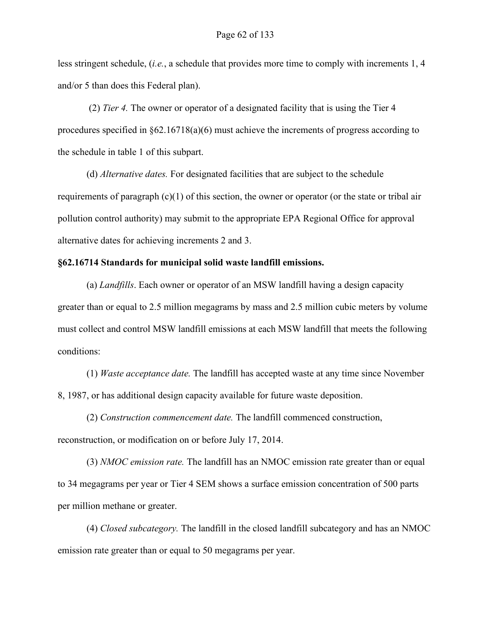less stringent schedule, (*i.e.*, a schedule that provides more time to comply with increments 1, 4 and/or 5 than does this Federal plan).

(2) *Tier 4.* The owner or operator of a designated facility that is using the Tier 4 procedures specified in §62.16718(a)(6) must achieve the increments of progress according to the schedule in table 1 of this subpart.

(d) *Alternative dates.* For designated facilities that are subject to the schedule requirements of paragraph (c)(1) of this section, the owner or operator (or the state or tribal air pollution control authority) may submit to the appropriate EPA Regional Office for approval alternative dates for achieving increments 2 and 3.

### <span id="page-61-0"></span>**§62.16714 Standards for municipal solid waste landfill emissions.**

(a) *Landfills*. Each owner or operator of an MSW landfill having a design capacity greater than or equal to 2.5 million megagrams by mass and 2.5 million cubic meters by volume must collect and control MSW landfill emissions at each MSW landfill that meets the following conditions:

(1) *Waste acceptance date.* The landfill has accepted waste at any time since November 8, 1987, or has additional design capacity available for future waste deposition.

(2) *Construction commencement date.* The landfill commenced construction, reconstruction, or modification on or before July 17, 2014.

(3) *NMOC emission rate.* The landfill has an NMOC emission rate greater than or equal to 34 megagrams per year or Tier 4 SEM shows a surface emission concentration of 500 parts per million methane or greater.

(4) *Closed subcategory.* The landfill in the closed landfill subcategory and has an NMOC emission rate greater than or equal to 50 megagrams per year.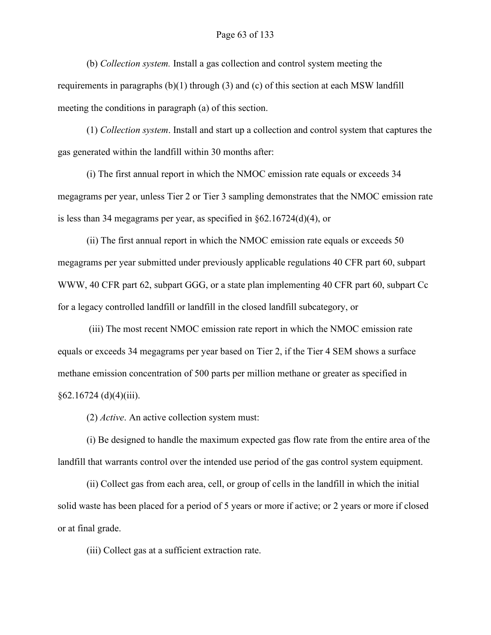### Page 63 of 133

(b) *Collection system.* Install a gas collection and control system meeting the requirements in paragraphs (b)(1) through (3) and (c) of this section at each MSW landfill meeting the conditions in paragraph (a) of this section.

(1) *Collection system*. Install and start up a collection and control system that captures the gas generated within the landfill within 30 months after:

(i) The first annual report in which the NMOC emission rate equals or exceeds 34 megagrams per year, unless Tier 2 or Tier 3 sampling demonstrates that the NMOC emission rate is less than 34 megagrams per year, as specified in §62.16724(d)(4), or

(ii) The first annual report in which the NMOC emission rate equals or exceeds 50 megagrams per year submitted under previously applicable regulations 40 CFR part 60, subpart WWW, 40 CFR part 62, subpart GGG, or a state plan implementing 40 CFR part 60, subpart Cc for a legacy controlled landfill or landfill in the closed landfill subcategory, or

(iii) The most recent NMOC emission rate report in which the NMOC emission rate equals or exceeds 34 megagrams per year based on Tier 2, if the Tier 4 SEM shows a surface methane emission concentration of 500 parts per million methane or greater as specified in  $§62.16724$  (d)(4)(iii).

(2) *Active*. An active collection system must:

(i) Be designed to handle the maximum expected gas flow rate from the entire area of the landfill that warrants control over the intended use period of the gas control system equipment.

(ii) Collect gas from each area, cell, or group of cells in the landfill in which the initial solid waste has been placed for a period of 5 years or more if active; or 2 years or more if closed or at final grade.

(iii) Collect gas at a sufficient extraction rate.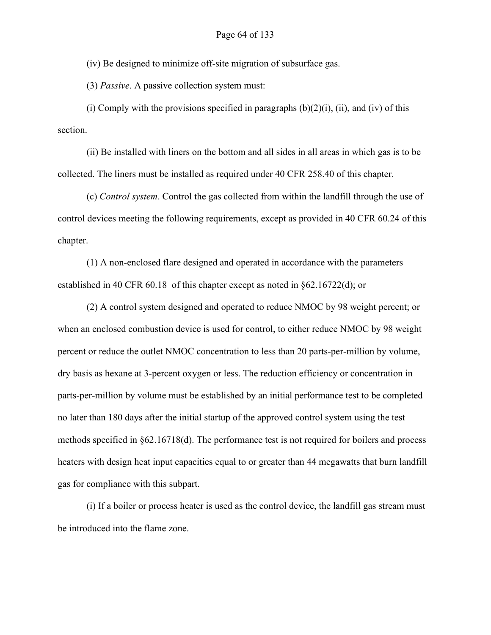(iv) Be designed to minimize off-site migration of subsurface gas.

(3) *Passive*. A passive collection system must:

(i) Comply with the provisions specified in paragraphs  $(b)(2)(i)$ , (ii), and (iv) of this section.

(ii) Be installed with liners on the bottom and all sides in all areas in which gas is to be collected. The liners must be installed as required under 40 CFR 258.40 of this chapter.

(c) *Control system*. Control the gas collected from within the landfill through the use of control devices meeting the following requirements, except as provided in 40 CFR 60.24 of this chapter.

(1) A non-enclosed flare designed and operated in accordance with the parameters established in 40 CFR 60.18 of this chapter except as noted in §62.16722(d); or

(2) A control system designed and operated to reduce NMOC by 98 weight percent; or when an enclosed combustion device is used for control, to either reduce NMOC by 98 weight percent or reduce the outlet NMOC concentration to less than 20 parts-per-million by volume, dry basis as hexane at 3-percent oxygen or less. The reduction efficiency or concentration in parts-per-million by volume must be established by an initial performance test to be completed no later than 180 days after the initial startup of the approved control system using the test methods specified in §62.16718(d). The performance test is not required for boilers and process heaters with design heat input capacities equal to or greater than 44 megawatts that burn landfill gas for compliance with this subpart.

(i) If a boiler or process heater is used as the control device, the landfill gas stream must be introduced into the flame zone.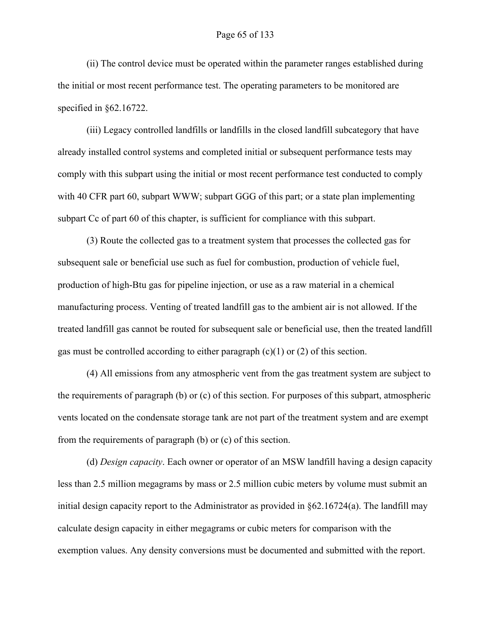(ii) The control device must be operated within the parameter ranges established during the initial or most recent performance test. The operating parameters to be monitored are specified in §62.16722.

(iii) Legacy controlled landfills or landfills in the closed landfill subcategory that have already installed control systems and completed initial or subsequent performance tests may comply with this subpart using the initial or most recent performance test conducted to comply with 40 CFR part 60, subpart WWW; subpart GGG of this part; or a state plan implementing subpart Cc of part 60 of this chapter, is sufficient for compliance with this subpart.

(3) Route the collected gas to a treatment system that processes the collected gas for subsequent sale or beneficial use such as fuel for combustion, production of vehicle fuel, production of high-Btu gas for pipeline injection, or use as a raw material in a chemical manufacturing process. Venting of treated landfill gas to the ambient air is not allowed. If the treated landfill gas cannot be routed for subsequent sale or beneficial use, then the treated landfill gas must be controlled according to either paragraph  $(c)(1)$  or  $(2)$  of this section.

(4) All emissions from any atmospheric vent from the gas treatment system are subject to the requirements of paragraph (b) or (c) of this section. For purposes of this subpart, atmospheric vents located on the condensate storage tank are not part of the treatment system and are exempt from the requirements of paragraph (b) or (c) of this section.

(d) *Design capacity*. Each owner or operator of an MSW landfill having a design capacity less than 2.5 million megagrams by mass or 2.5 million cubic meters by volume must submit an initial design capacity report to the Administrator as provided in §62.16724(a). The landfill may calculate design capacity in either megagrams or cubic meters for comparison with the exemption values. Any density conversions must be documented and submitted with the report.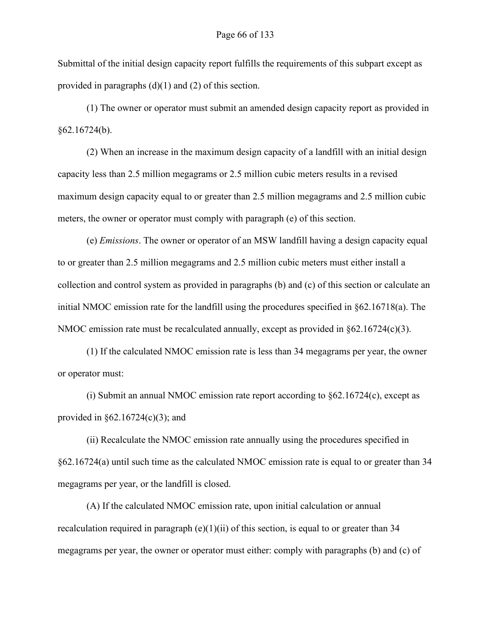Submittal of the initial design capacity report fulfills the requirements of this subpart except as provided in paragraphs (d)(1) and (2) of this section.

(1) The owner or operator must submit an amended design capacity report as provided in §62.16724(b).

(2) When an increase in the maximum design capacity of a landfill with an initial design capacity less than 2.5 million megagrams or 2.5 million cubic meters results in a revised maximum design capacity equal to or greater than 2.5 million megagrams and 2.5 million cubic meters, the owner or operator must comply with paragraph (e) of this section.

(e) *Emissions*. The owner or operator of an MSW landfill having a design capacity equal to or greater than 2.5 million megagrams and 2.5 million cubic meters must either install a collection and control system as provided in paragraphs (b) and (c) of this section or calculate an initial NMOC emission rate for the landfill using the procedures specified in §62.16718(a). The NMOC emission rate must be recalculated annually, except as provided in §62.16724(c)(3).

(1) If the calculated NMOC emission rate is less than 34 megagrams per year, the owner or operator must:

(i) Submit an annual NMOC emission rate report according to §62.16724(c), except as provided in  $\S 62.16724(c)(3)$ ; and

(ii) Recalculate the NMOC emission rate annually using the procedures specified in §62.16724(a) until such time as the calculated NMOC emission rate is equal to or greater than 34 megagrams per year, or the landfill is closed.

(A) If the calculated NMOC emission rate, upon initial calculation or annual recalculation required in paragraph (e)(1)(ii) of this section, is equal to or greater than 34 megagrams per year, the owner or operator must either: comply with paragraphs (b) and (c) of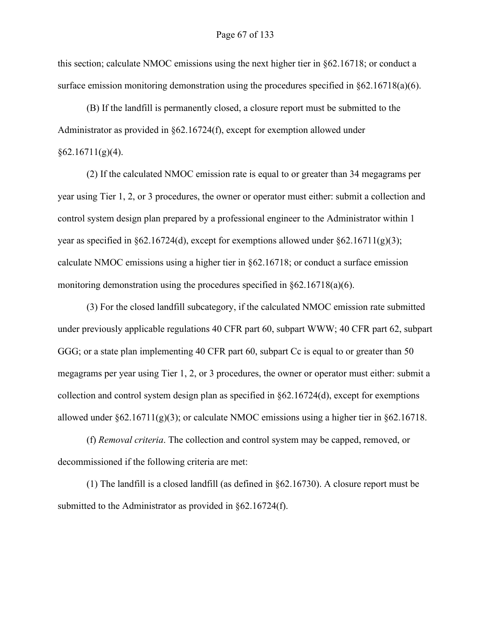this section; calculate NMOC emissions using the next higher tier in §62.16718; or conduct a surface emission monitoring demonstration using the procedures specified in §62.16718(a)(6).

(B) If the landfill is permanently closed, a closure report must be submitted to the Administrator as provided in §62.16724(f), except for exemption allowed under  $§62.16711(g)(4).$ 

(2) If the calculated NMOC emission rate is equal to or greater than 34 megagrams per year using Tier 1, 2, or 3 procedures, the owner or operator must either: submit a collection and control system design plan prepared by a professional engineer to the Administrator within 1 year as specified in §62.16724(d), except for exemptions allowed under §62.16711(g)(3); calculate NMOC emissions using a higher tier in §62.16718; or conduct a surface emission monitoring demonstration using the procedures specified in  $\S62.16718(a)(6)$ .

(3) For the closed landfill subcategory, if the calculated NMOC emission rate submitted under previously applicable regulations 40 CFR part 60, subpart WWW; 40 CFR part 62, subpart GGG; or a state plan implementing 40 CFR part 60, subpart Cc is equal to or greater than 50 megagrams per year using Tier 1, 2, or 3 procedures, the owner or operator must either: submit a collection and control system design plan as specified in §62.16724(d), except for exemptions allowed under  $\S62.16711(g)(3)$ ; or calculate NMOC emissions using a higher tier in  $\S62.16718$ .

(f) *Removal criteria*. The collection and control system may be capped, removed, or decommissioned if the following criteria are met:

(1) The landfill is a closed landfill (as defined in §62.16730). A closure report must be submitted to the Administrator as provided in §62.16724(f).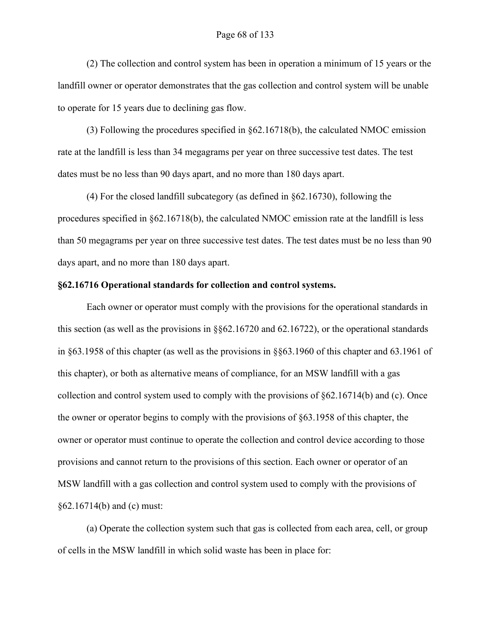(2) The collection and control system has been in operation a minimum of 15 years or the landfill owner or operator demonstrates that the gas collection and control system will be unable to operate for 15 years due to declining gas flow.

(3) Following the procedures specified in §62.16718(b), the calculated NMOC emission rate at the landfill is less than 34 megagrams per year on three successive test dates. The test dates must be no less than 90 days apart, and no more than 180 days apart.

(4) For the closed landfill subcategory (as defined in §62.16730), following the procedures specified in §62.16718(b), the calculated NMOC emission rate at the landfill is less than 50 megagrams per year on three successive test dates. The test dates must be no less than 90 days apart, and no more than 180 days apart.

### <span id="page-67-0"></span>**§62.16716 Operational standards for collection and control systems.**

Each owner or operator must comply with the provisions for the operational standards in this section (as well as the provisions in §§62.16720 and 62.16722), or the operational standards in §63.1958 of this chapter (as well as the provisions in §§63.1960 of this chapter and 63.1961 of this chapter), or both as alternative means of compliance, for an MSW landfill with a gas collection and control system used to comply with the provisions of §62.16714(b) and (c). Once the owner or operator begins to comply with the provisions of §63.1958 of this chapter, the owner or operator must continue to operate the collection and control device according to those provisions and cannot return to the provisions of this section. Each owner or operator of an MSW landfill with a gas collection and control system used to comply with the provisions of §62.16714(b) and (c) must:

(a) Operate the collection system such that gas is collected from each area, cell, or group of cells in the MSW landfill in which solid waste has been in place for: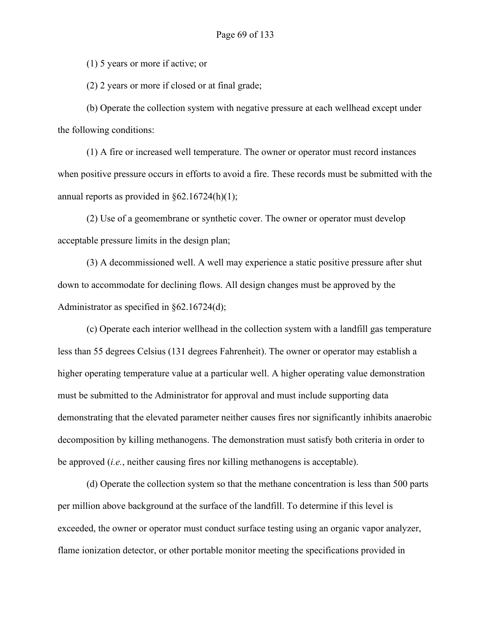(1) 5 years or more if active; or

(2) 2 years or more if closed or at final grade;

(b) Operate the collection system with negative pressure at each wellhead except under the following conditions:

(1) A fire or increased well temperature. The owner or operator must record instances when positive pressure occurs in efforts to avoid a fire. These records must be submitted with the annual reports as provided in §62.16724(h)(1);

(2) Use of a geomembrane or synthetic cover. The owner or operator must develop acceptable pressure limits in the design plan;

(3) A decommissioned well. A well may experience a static positive pressure after shut down to accommodate for declining flows. All design changes must be approved by the Administrator as specified in §62.16724(d);

(c) Operate each interior wellhead in the collection system with a landfill gas temperature less than 55 degrees Celsius (131 degrees Fahrenheit). The owner or operator may establish a higher operating temperature value at a particular well. A higher operating value demonstration must be submitted to the Administrator for approval and must include supporting data demonstrating that the elevated parameter neither causes fires nor significantly inhibits anaerobic decomposition by killing methanogens. The demonstration must satisfy both criteria in order to be approved (*i.e.*, neither causing fires nor killing methanogens is acceptable).

(d) Operate the collection system so that the methane concentration is less than 500 parts per million above background at the surface of the landfill. To determine if this level is exceeded, the owner or operator must conduct surface testing using an organic vapor analyzer, flame ionization detector, or other portable monitor meeting the specifications provided in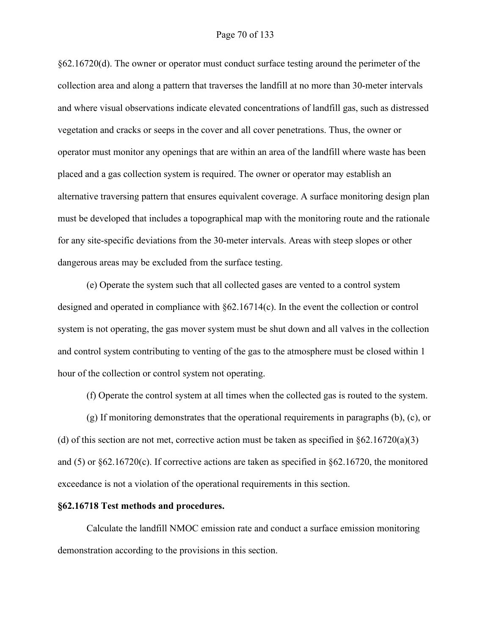### Page 70 of 133

§62.16720(d). The owner or operator must conduct surface testing around the perimeter of the collection area and along a pattern that traverses the landfill at no more than 30-meter intervals and where visual observations indicate elevated concentrations of landfill gas, such as distressed vegetation and cracks or seeps in the cover and all cover penetrations. Thus, the owner or operator must monitor any openings that are within an area of the landfill where waste has been placed and a gas collection system is required. The owner or operator may establish an alternative traversing pattern that ensures equivalent coverage. A surface monitoring design plan must be developed that includes a topographical map with the monitoring route and the rationale for any site-specific deviations from the 30-meter intervals. Areas with steep slopes or other dangerous areas may be excluded from the surface testing.

(e) Operate the system such that all collected gases are vented to a control system designed and operated in compliance with §62.16714(c). In the event the collection or control system is not operating, the gas mover system must be shut down and all valves in the collection and control system contributing to venting of the gas to the atmosphere must be closed within 1 hour of the collection or control system not operating.

(f) Operate the control system at all times when the collected gas is routed to the system.

(g) If monitoring demonstrates that the operational requirements in paragraphs (b), (c), or (d) of this section are not met, corrective action must be taken as specified in  $\S62.16720(a)(3)$ and (5) or  $\S62.16720(c)$ . If corrective actions are taken as specified in  $\S62.16720$ , the monitored exceedance is not a violation of the operational requirements in this section.

#### <span id="page-69-0"></span>**§62.16718 Test methods and procedures.**

Calculate the landfill NMOC emission rate and conduct a surface emission monitoring demonstration according to the provisions in this section.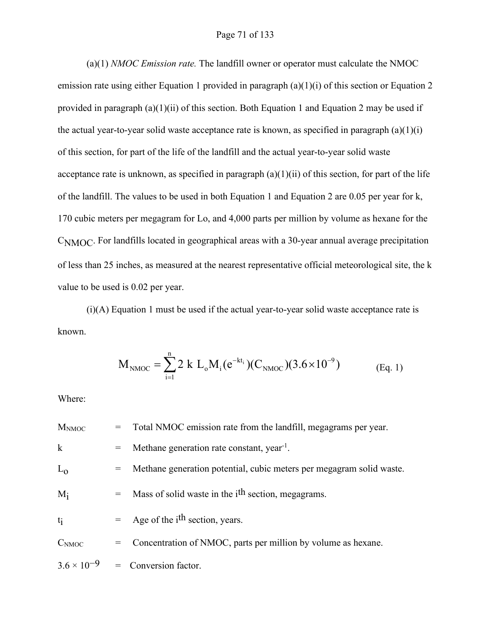### Page 71 of 133

(a)(1) *NMOC Emission rate.* The landfill owner or operator must calculate the NMOC emission rate using either Equation 1 provided in paragraph (a)(1)(i) of this section or Equation 2 provided in paragraph (a)(1)(ii) of this section. Both Equation 1 and Equation 2 may be used if the actual year-to-year solid waste acceptance rate is known, as specified in paragraph  $(a)(1)(i)$ of this section, for part of the life of the landfill and the actual year-to-year solid waste acceptance rate is unknown, as specified in paragraph  $(a)(1)(ii)$  of this section, for part of the life of the landfill. The values to be used in both Equation 1 and Equation 2 are 0.05 per year for k, 170 cubic meters per megagram for Lo, and 4,000 parts per million by volume as hexane for the CNMOC. For landfills located in geographical areas with a 30-year annual average precipitation of less than 25 inches, as measured at the nearest representative official meteorological site, the k value to be used is 0.02 per year.

 $(i)(A)$  Equation 1 must be used if the actual year-to-year solid waste acceptance rate is known.

$$
M_{\rm NMOC} = \sum_{i=1}^{n} 2 k L_o M_i (e^{-kt_i}) (C_{\rm NMOC}) (3.6 \times 10^{-9})
$$
 (Eq. 1)

Where:

| <b>MNMOC</b>         | = Total NMOC emission rate from the landfill, megagrams per year.    |
|----------------------|----------------------------------------------------------------------|
| $\bf k$              | Methane generation rate constant, year <sup>-1</sup> .               |
| $L_0$                | Methane generation potential, cubic meters per megagram solid waste. |
| $M_i$                | $=$ Mass of solid waste in the i <sup>th</sup> section, megagrams.   |
| $t_i$                | $=$ Age of the i <sup>th</sup> section, years.                       |
| C <sub>NMOC</sub>    | = Concentration of NMOC, parts per million by volume as hexane.      |
| $3.6 \times 10^{-9}$ | $=$ Conversion factor.                                               |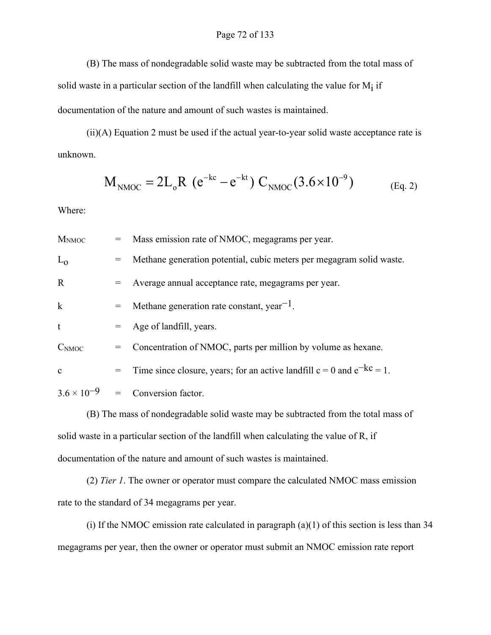(B) The mass of nondegradable solid waste may be subtracted from the total mass of solid waste in a particular section of the landfill when calculating the value for  $M_i$  if documentation of the nature and amount of such wastes is maintained.

(ii)(A) Equation 2 must be used if the actual year-to-year solid waste acceptance rate is unknown.

$$
M_{\rm NMOC} = 2L_o R (e^{-kc} - e^{-kt}) C_{\rm NMOC} (3.6 \times 10^{-9})
$$
 (Eq. 2)

Where:

| M <sub>NMOC</sub> |     | = Mass emission rate of NMOC, megagrams per year.                               |
|-------------------|-----|---------------------------------------------------------------------------------|
| $L_0$             |     | = Methane generation potential, cubic meters per megagram solid waste.          |
| $\mathbf R$       |     | $=$ Average annual acceptance rate, megagrams per year.                         |
| $\mathbf{k}$      | $=$ | Methane generation rate constant, year <sup>-1</sup> .                          |
| $\mathbf t$       |     | $=$ Age of landfill, years.                                                     |
| C <sub>NMOC</sub> |     | = Concentration of NMOC, parts per million by volume as hexane.                 |
| $\mathbf{c}$      |     | = Time since closure, years; for an active landfill $c = 0$ and $e^{-kc} = 1$ . |
|                   |     | $3.6 \times 10^{-9}$ = Conversion factor.                                       |

(B) The mass of nondegradable solid waste may be subtracted from the total mass of solid waste in a particular section of the landfill when calculating the value of R, if documentation of the nature and amount of such wastes is maintained.

(2) *Tier 1*. The owner or operator must compare the calculated NMOC mass emission rate to the standard of 34 megagrams per year.

(i) If the NMOC emission rate calculated in paragraph  $(a)(1)$  of this section is less than 34 megagrams per year, then the owner or operator must submit an NMOC emission rate report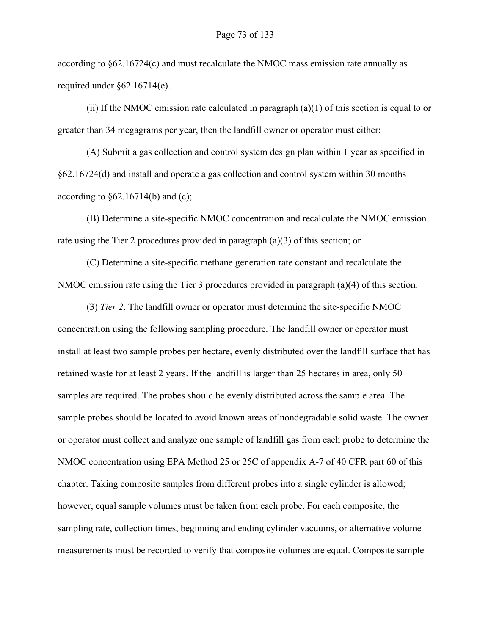according to  $\S62.16724(c)$  and must recalculate the NMOC mass emission rate annually as required under §62.16714(e).

(ii) If the NMOC emission rate calculated in paragraph  $(a)(1)$  of this section is equal to or greater than 34 megagrams per year, then the landfill owner or operator must either:

(A) Submit a gas collection and control system design plan within 1 year as specified in §62.16724(d) and install and operate a gas collection and control system within 30 months according to  $\S 62.16714(b)$  and (c);

(B) Determine a site-specific NMOC concentration and recalculate the NMOC emission rate using the Tier 2 procedures provided in paragraph (a)(3) of this section; or

(C) Determine a site-specific methane generation rate constant and recalculate the NMOC emission rate using the Tier 3 procedures provided in paragraph (a)(4) of this section.

(3) *Tier 2*. The landfill owner or operator must determine the site-specific NMOC concentration using the following sampling procedure. The landfill owner or operator must install at least two sample probes per hectare, evenly distributed over the landfill surface that has retained waste for at least 2 years. If the landfill is larger than 25 hectares in area, only 50 samples are required. The probes should be evenly distributed across the sample area. The sample probes should be located to avoid known areas of nondegradable solid waste. The owner or operator must collect and analyze one sample of landfill gas from each probe to determine the NMOC concentration using EPA Method 25 or 25C of appendix A-7 of 40 CFR part 60 of this chapter. Taking composite samples from different probes into a single cylinder is allowed; however, equal sample volumes must be taken from each probe. For each composite, the sampling rate, collection times, beginning and ending cylinder vacuums, or alternative volume measurements must be recorded to verify that composite volumes are equal. Composite sample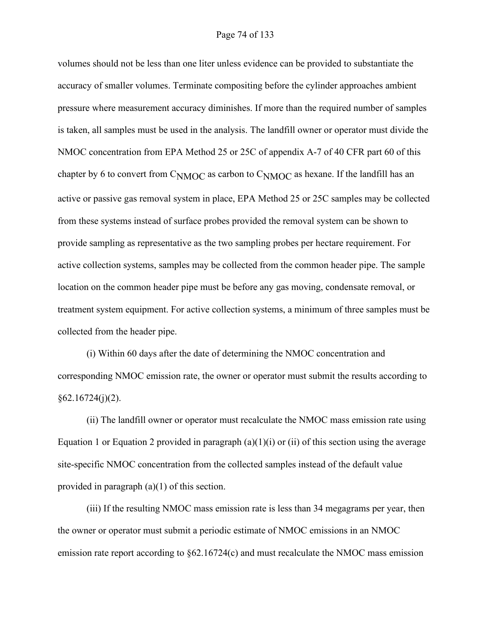## Page 74 of 133

volumes should not be less than one liter unless evidence can be provided to substantiate the accuracy of smaller volumes. Terminate compositing before the cylinder approaches ambient pressure where measurement accuracy diminishes. If more than the required number of samples is taken, all samples must be used in the analysis. The landfill owner or operator must divide the NMOC concentration from EPA Method 25 or 25C of appendix A-7 of 40 CFR part 60 of this chapter by 6 to convert from  $C_{NMOC}$  as carbon to  $C_{NMOC}$  as hexane. If the landfill has an active or passive gas removal system in place, EPA Method 25 or 25C samples may be collected from these systems instead of surface probes provided the removal system can be shown to provide sampling as representative as the two sampling probes per hectare requirement. For active collection systems, samples may be collected from the common header pipe. The sample location on the common header pipe must be before any gas moving, condensate removal, or treatment system equipment. For active collection systems, a minimum of three samples must be collected from the header pipe.

(i) Within 60 days after the date of determining the NMOC concentration and corresponding NMOC emission rate, the owner or operator must submit the results according to  $§62.16724(i)(2).$ 

(ii) The landfill owner or operator must recalculate the NMOC mass emission rate using Equation 1 or Equation 2 provided in paragraph  $(a)(1)(i)$  or  $(ii)$  of this section using the average site-specific NMOC concentration from the collected samples instead of the default value provided in paragraph (a)(1) of this section.

(iii) If the resulting NMOC mass emission rate is less than 34 megagrams per year, then the owner or operator must submit a periodic estimate of NMOC emissions in an NMOC emission rate report according to §62.16724(c) and must recalculate the NMOC mass emission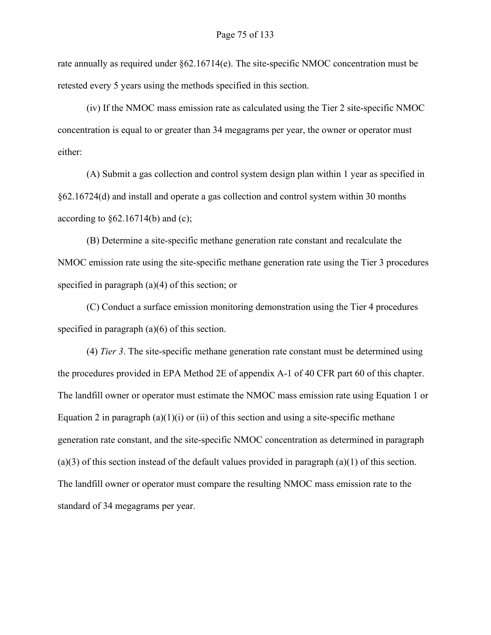rate annually as required under §62.16714(e). The site-specific NMOC concentration must be retested every 5 years using the methods specified in this section.

(iv) If the NMOC mass emission rate as calculated using the Tier 2 site-specific NMOC concentration is equal to or greater than 34 megagrams per year, the owner or operator must either:

(A) Submit a gas collection and control system design plan within 1 year as specified in §62.16724(d) and install and operate a gas collection and control system within 30 months according to  $\S 62.16714(b)$  and (c);

(B) Determine a site-specific methane generation rate constant and recalculate the NMOC emission rate using the site-specific methane generation rate using the Tier 3 procedures specified in paragraph (a)(4) of this section; or

(C) Conduct a surface emission monitoring demonstration using the Tier 4 procedures specified in paragraph (a)(6) of this section.

(4) *Tier 3*. The site-specific methane generation rate constant must be determined using the procedures provided in EPA Method 2E of appendix A-1 of 40 CFR part 60 of this chapter. The landfill owner or operator must estimate the NMOC mass emission rate using Equation 1 or Equation 2 in paragraph  $(a)(1)(i)$  or (ii) of this section and using a site-specific methane generation rate constant, and the site-specific NMOC concentration as determined in paragraph  $(a)(3)$  of this section instead of the default values provided in paragraph  $(a)(1)$  of this section. The landfill owner or operator must compare the resulting NMOC mass emission rate to the standard of 34 megagrams per year.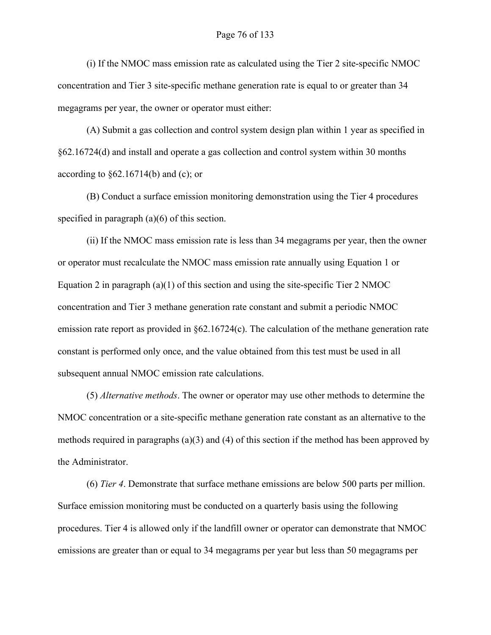(i) If the NMOC mass emission rate as calculated using the Tier 2 site-specific NMOC concentration and Tier 3 site-specific methane generation rate is equal to or greater than 34 megagrams per year, the owner or operator must either:

(A) Submit a gas collection and control system design plan within 1 year as specified in §62.16724(d) and install and operate a gas collection and control system within 30 months according to  $\S 62.16714(b)$  and (c); or

(B) Conduct a surface emission monitoring demonstration using the Tier 4 procedures specified in paragraph (a)(6) of this section.

(ii) If the NMOC mass emission rate is less than 34 megagrams per year, then the owner or operator must recalculate the NMOC mass emission rate annually using Equation 1 or Equation 2 in paragraph (a)(1) of this section and using the site-specific Tier 2 NMOC concentration and Tier 3 methane generation rate constant and submit a periodic NMOC emission rate report as provided in §62.16724(c). The calculation of the methane generation rate constant is performed only once, and the value obtained from this test must be used in all subsequent annual NMOC emission rate calculations.

(5) *Alternative methods*. The owner or operator may use other methods to determine the NMOC concentration or a site-specific methane generation rate constant as an alternative to the methods required in paragraphs (a)(3) and (4) of this section if the method has been approved by the Administrator.

(6) *Tier 4*. Demonstrate that surface methane emissions are below 500 parts per million. Surface emission monitoring must be conducted on a quarterly basis using the following procedures. Tier 4 is allowed only if the landfill owner or operator can demonstrate that NMOC emissions are greater than or equal to 34 megagrams per year but less than 50 megagrams per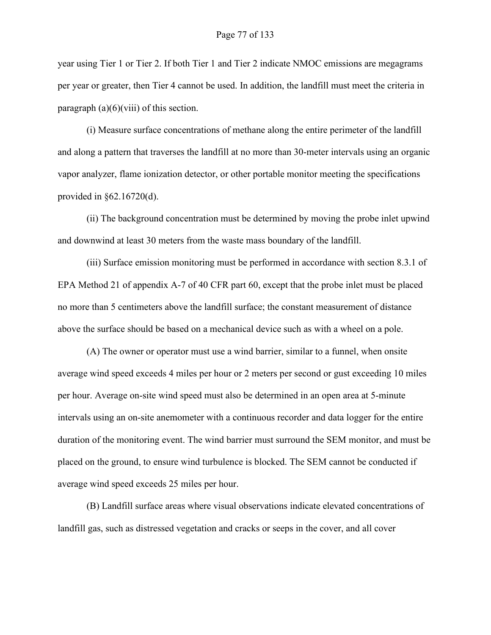year using Tier 1 or Tier 2. If both Tier 1 and Tier 2 indicate NMOC emissions are megagrams per year or greater, then Tier 4 cannot be used. In addition, the landfill must meet the criteria in paragraph  $(a)(6)(viii)$  of this section.

(i) Measure surface concentrations of methane along the entire perimeter of the landfill and along a pattern that traverses the landfill at no more than 30-meter intervals using an organic vapor analyzer, flame ionization detector, or other portable monitor meeting the specifications provided in §62.16720(d).

(ii) The background concentration must be determined by moving the probe inlet upwind and downwind at least 30 meters from the waste mass boundary of the landfill.

(iii) Surface emission monitoring must be performed in accordance with section 8.3.1 of EPA Method 21 of appendix A-7 of 40 CFR part 60, except that the probe inlet must be placed no more than 5 centimeters above the landfill surface; the constant measurement of distance above the surface should be based on a mechanical device such as with a wheel on a pole.

(A) The owner or operator must use a wind barrier, similar to a funnel, when onsite average wind speed exceeds 4 miles per hour or 2 meters per second or gust exceeding 10 miles per hour. Average on-site wind speed must also be determined in an open area at 5-minute intervals using an on-site anemometer with a continuous recorder and data logger for the entire duration of the monitoring event. The wind barrier must surround the SEM monitor, and must be placed on the ground, to ensure wind turbulence is blocked. The SEM cannot be conducted if average wind speed exceeds 25 miles per hour.

(B) Landfill surface areas where visual observations indicate elevated concentrations of landfill gas, such as distressed vegetation and cracks or seeps in the cover, and all cover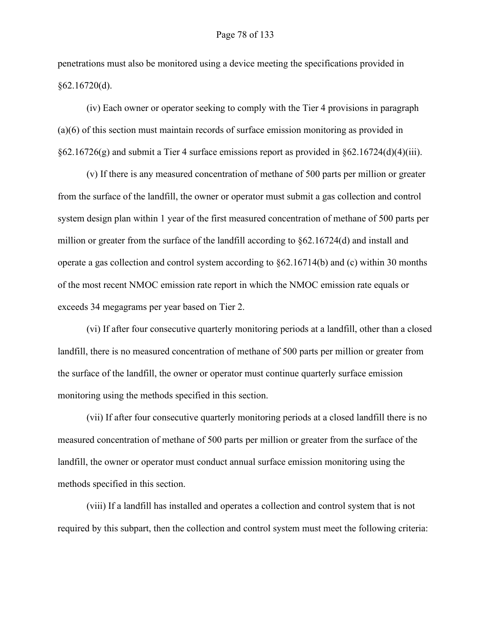penetrations must also be monitored using a device meeting the specifications provided in  $§62.16720(d).$ 

(iv) Each owner or operator seeking to comply with the Tier 4 provisions in paragraph (a)(6) of this section must maintain records of surface emission monitoring as provided in  $\S62.16726(g)$  and submit a Tier 4 surface emissions report as provided in  $\S62.16724(d)(4)(iii)$ .

(v) If there is any measured concentration of methane of 500 parts per million or greater from the surface of the landfill, the owner or operator must submit a gas collection and control system design plan within 1 year of the first measured concentration of methane of 500 parts per million or greater from the surface of the landfill according to §62.16724(d) and install and operate a gas collection and control system according to §62.16714(b) and (c) within 30 months of the most recent NMOC emission rate report in which the NMOC emission rate equals or exceeds 34 megagrams per year based on Tier 2.

(vi) If after four consecutive quarterly monitoring periods at a landfill, other than a closed landfill, there is no measured concentration of methane of 500 parts per million or greater from the surface of the landfill, the owner or operator must continue quarterly surface emission monitoring using the methods specified in this section.

(vii) If after four consecutive quarterly monitoring periods at a closed landfill there is no measured concentration of methane of 500 parts per million or greater from the surface of the landfill, the owner or operator must conduct annual surface emission monitoring using the methods specified in this section.

(viii) If a landfill has installed and operates a collection and control system that is not required by this subpart, then the collection and control system must meet the following criteria: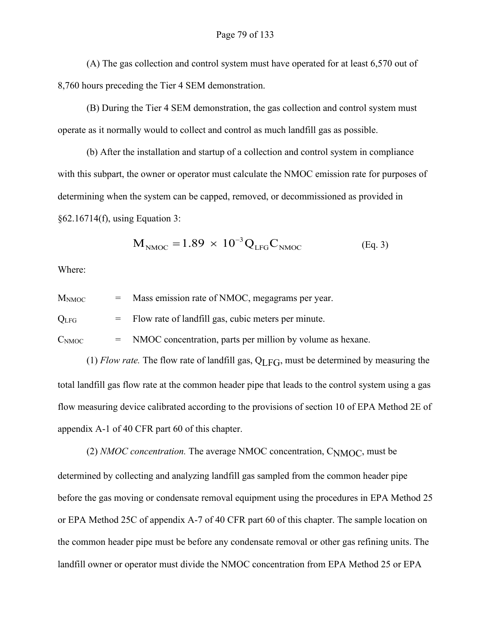(A) The gas collection and control system must have operated for at least 6,570 out of 8,760 hours preceding the Tier 4 SEM demonstration.

(B) During the Tier 4 SEM demonstration, the gas collection and control system must operate as it normally would to collect and control as much landfill gas as possible.

(b) After the installation and startup of a collection and control system in compliance with this subpart, the owner or operator must calculate the NMOC emission rate for purposes of determining when the system can be capped, removed, or decommissioned as provided in §62.16714(f), using Equation 3:

$$
\mathbf{M}_{\text{NMOC}} = 1.89 \times 10^{-3} \mathbf{Q}_{\text{LFG}} \mathbf{C}_{\text{NMOC}} \tag{Eq. 3}
$$

Where:

 $M_{\text{NMOC}}$  = Mass emission rate of NMOC, megagrams per year.

 $Q<sub>LFG</sub>$  = Flow rate of landfill gas, cubic meters per minute.

 $C_{\text{NMOC}}$  = NMOC concentration, parts per million by volume as hexane.

(1) *Flow rate*. The flow rate of landfill gas,  $Q<sub>LFG</sub>$ , must be determined by measuring the total landfill gas flow rate at the common header pipe that leads to the control system using a gas flow measuring device calibrated according to the provisions of section 10 of EPA Method 2E of appendix A-1 of 40 CFR part 60 of this chapter.

(2) *NMOC concentration.* The average NMOC concentration, CNMOC, must be determined by collecting and analyzing landfill gas sampled from the common header pipe before the gas moving or condensate removal equipment using the procedures in EPA Method 25 or EPA Method 25C of appendix A-7 of 40 CFR part 60 of this chapter. The sample location on the common header pipe must be before any condensate removal or other gas refining units. The landfill owner or operator must divide the NMOC concentration from EPA Method 25 or EPA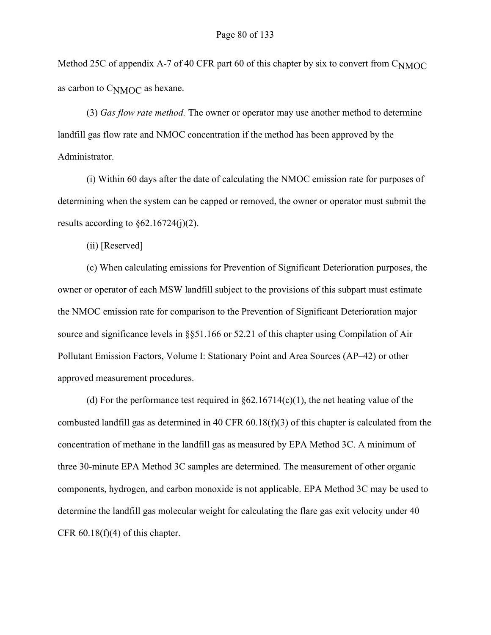Method 25C of appendix A-7 of 40 CFR part 60 of this chapter by six to convert from C<sub>NMOC</sub> as carbon to CNMOC as hexane.

(3) *Gas flow rate method.* The owner or operator may use another method to determine landfill gas flow rate and NMOC concentration if the method has been approved by the Administrator.

(i) Within 60 days after the date of calculating the NMOC emission rate for purposes of determining when the system can be capped or removed, the owner or operator must submit the results according to  $\S 62.16724(j)(2)$ .

(ii) [Reserved]

(c) When calculating emissions for Prevention of Significant Deterioration purposes, the owner or operator of each MSW landfill subject to the provisions of this subpart must estimate the NMOC emission rate for comparison to the Prevention of Significant Deterioration major source and significance levels in §§51.166 or 52.21 of this chapter using Compilation of Air Pollutant Emission Factors, Volume I: Stationary Point and Area Sources (AP–42) or other approved measurement procedures.

(d) For the performance test required in  $\S62.16714(c)(1)$ , the net heating value of the combusted landfill gas as determined in 40 CFR  $60.18(f)(3)$  of this chapter is calculated from the concentration of methane in the landfill gas as measured by EPA Method 3C. A minimum of three 30-minute EPA Method 3C samples are determined. The measurement of other organic components, hydrogen, and carbon monoxide is not applicable. EPA Method 3C may be used to determine the landfill gas molecular weight for calculating the flare gas exit velocity under 40 CFR  $60.18(f)(4)$  of this chapter.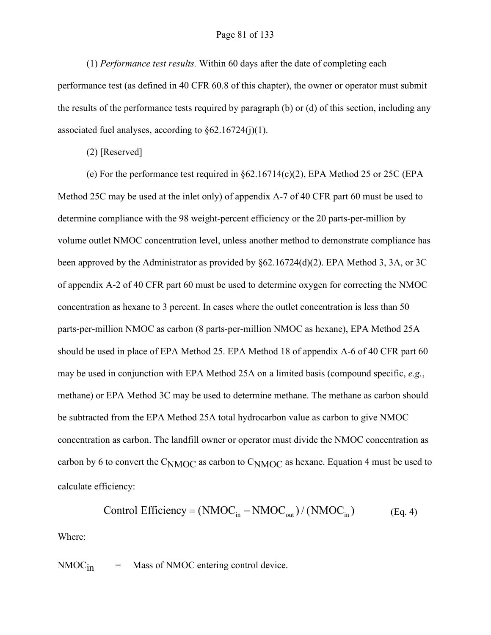#### Page 81 of 133

(1) *Performance test results.* Within 60 days after the date of completing each performance test (as defined in 40 CFR 60.8 of this chapter), the owner or operator must submit the results of the performance tests required by paragraph (b) or (d) of this section, including any associated fuel analyses, according to  $\S62.16724(j)(1)$ .

(2) [Reserved]

(e) For the performance test required in §62.16714(c)(2), EPA Method 25 or 25C (EPA Method 25C may be used at the inlet only) of appendix A-7 of 40 CFR part 60 must be used to determine compliance with the 98 weight-percent efficiency or the 20 parts-per-million by volume outlet NMOC concentration level, unless another method to demonstrate compliance has been approved by the Administrator as provided by §62.16724(d)(2). EPA Method 3, 3A, or 3C of appendix A-2 of 40 CFR part 60 must be used to determine oxygen for correcting the NMOC concentration as hexane to 3 percent. In cases where the outlet concentration is less than 50 parts-per-million NMOC as carbon (8 parts-per-million NMOC as hexane), EPA Method 25A should be used in place of EPA Method 25. EPA Method 18 of appendix A-6 of 40 CFR part 60 may be used in conjunction with EPA Method 25A on a limited basis (compound specific, *e.g.*, methane) or EPA Method 3C may be used to determine methane. The methane as carbon should be subtracted from the EPA Method 25A total hydrocarbon value as carbon to give NMOC concentration as carbon. The landfill owner or operator must divide the NMOC concentration as carbon by 6 to convert the  $C<sub>NMOC</sub>$  as carbon to  $C<sub>NMOC</sub>$  as hexane. Equation 4 must be used to calculate efficiency:

Control Efficiency = 
$$
(NMOC_{in} - NMOC_{out})/(NMOC_{in})
$$
 (Eq. 4)

Where:

 $NMOC<sub>in</sub>$  = Mass of NMOC entering control device.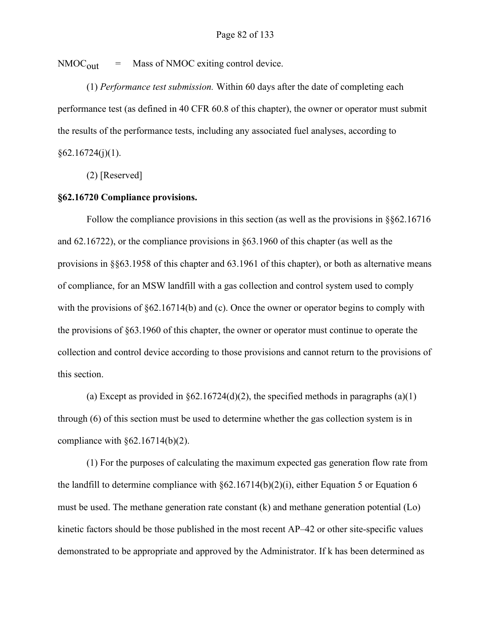$NMOC<sub>out</sub>$  = Mass of NMOC exiting control device.

(1) *Performance test submission.* Within 60 days after the date of completing each performance test (as defined in 40 CFR 60.8 of this chapter), the owner or operator must submit the results of the performance tests, including any associated fuel analyses, according to  $§62.16724(j)(1).$ 

(2) [Reserved]

## **§62.16720 Compliance provisions.**

Follow the compliance provisions in this section (as well as the provisions in §§62.16716 and 62.16722), or the compliance provisions in §63.1960 of this chapter (as well as the provisions in §§63.1958 of this chapter and 63.1961 of this chapter), or both as alternative means of compliance, for an MSW landfill with a gas collection and control system used to comply with the provisions of  $\S 62.16714(b)$  and (c). Once the owner or operator begins to comply with the provisions of §63.1960 of this chapter, the owner or operator must continue to operate the collection and control device according to those provisions and cannot return to the provisions of this section.

(a) Except as provided in  $\S62.16724(d)(2)$ , the specified methods in paragraphs (a)(1) through (6) of this section must be used to determine whether the gas collection system is in compliance with  $§62.16714(b)(2)$ .

(1) For the purposes of calculating the maximum expected gas generation flow rate from the landfill to determine compliance with  $\S62.16714(b)(2)(i)$ , either Equation 5 or Equation 6 must be used. The methane generation rate constant (k) and methane generation potential (Lo) kinetic factors should be those published in the most recent AP–42 or other site-specific values demonstrated to be appropriate and approved by the Administrator. If k has been determined as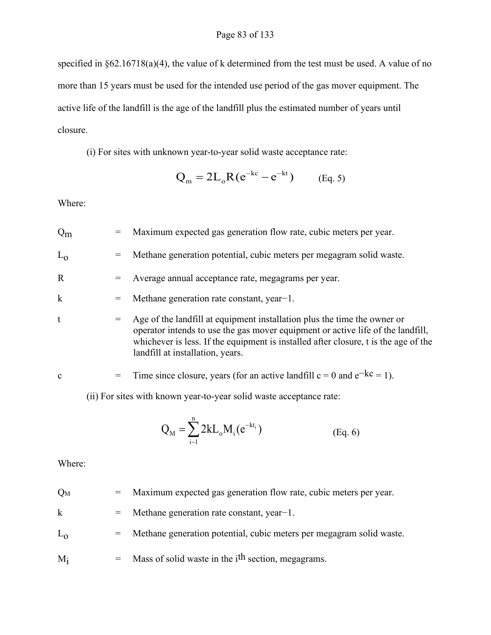specified in §62.16718(a)(4), the value of k determined from the test must be used. A value of no more than 15 years must be used for the intended use period of the gas mover equipment. The active life of the landfill is the age of the landfill plus the estimated number of years until closure.

(i) For sites with unknown year-to-year solid waste acceptance rate:

$$
Q_{m} = 2L_{o}R(e^{-kc} - e^{-kt})
$$
 (Eq. 5)

Where:

| $Q_{\rm m}$  | $=$ | Maximum expected gas generation flow rate, cubic meters per year.                                                                                                                                                                                                                      |  |
|--------------|-----|----------------------------------------------------------------------------------------------------------------------------------------------------------------------------------------------------------------------------------------------------------------------------------------|--|
| $L_0$        | $=$ | Methane generation potential, cubic meters per megagram solid waste.                                                                                                                                                                                                                   |  |
| $\mathbf{R}$ | $=$ | Average annual acceptance rate, megagrams per year.                                                                                                                                                                                                                                    |  |
| $\mathbf k$  | $=$ | Methane generation rate constant, year-1.                                                                                                                                                                                                                                              |  |
| t            | $=$ | Age of the landfill at equipment installation plus the time the owner or<br>operator intends to use the gas mover equipment or active life of the landfill,<br>whichever is less. If the equipment is installed after closure, t is the age of the<br>landfill at installation, years. |  |
| $\mathbf{c}$ | $=$ | Time since closure, years (for an active landfill $c = 0$ and $e^{-kc} = 1$ ).                                                                                                                                                                                                         |  |
|              |     | (ii) For sites with known year-to-year solid waste acceptance rate:                                                                                                                                                                                                                    |  |

$$
Q_M = \sum_{i=1}^{n} 2k L_o M_i(e^{-kt_i})
$$
 (Eq. 6)

Where:

| $Q_M$ |  |  | Maximum expected gas generation flow rate, cubic meters per year. |
|-------|--|--|-------------------------------------------------------------------|
|-------|--|--|-------------------------------------------------------------------|

- k = Methane generation rate constant, year−1.
- $L_0$  = Methane generation potential, cubic meters per megagram solid waste.
- $M_i$  = Mass of solid waste in the i<sup>th</sup> section, megagrams.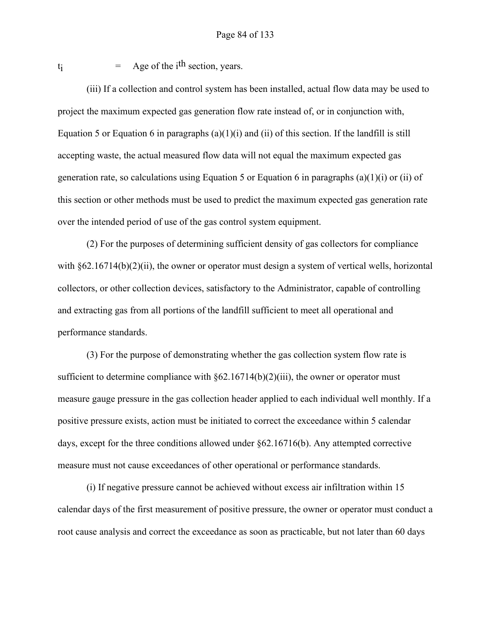$t_i$  = Age of the i<sup>th</sup> section, years.

(iii) If a collection and control system has been installed, actual flow data may be used to project the maximum expected gas generation flow rate instead of, or in conjunction with, Equation 5 or Equation 6 in paragraphs  $(a)(1)(i)$  and  $(ii)$  of this section. If the landfill is still accepting waste, the actual measured flow data will not equal the maximum expected gas generation rate, so calculations using Equation 5 or Equation 6 in paragraphs (a)(1)(i) or (ii) of this section or other methods must be used to predict the maximum expected gas generation rate over the intended period of use of the gas control system equipment.

(2) For the purposes of determining sufficient density of gas collectors for compliance with §62.16714(b)(2)(ii), the owner or operator must design a system of vertical wells, horizontal collectors, or other collection devices, satisfactory to the Administrator, capable of controlling and extracting gas from all portions of the landfill sufficient to meet all operational and performance standards.

(3) For the purpose of demonstrating whether the gas collection system flow rate is sufficient to determine compliance with  $\S62.16714(b)(2)(iii)$ , the owner or operator must measure gauge pressure in the gas collection header applied to each individual well monthly. If a positive pressure exists, action must be initiated to correct the exceedance within 5 calendar days, except for the three conditions allowed under §62.16716(b). Any attempted corrective measure must not cause exceedances of other operational or performance standards.

(i) If negative pressure cannot be achieved without excess air infiltration within 15 calendar days of the first measurement of positive pressure, the owner or operator must conduct a root cause analysis and correct the exceedance as soon as practicable, but not later than 60 days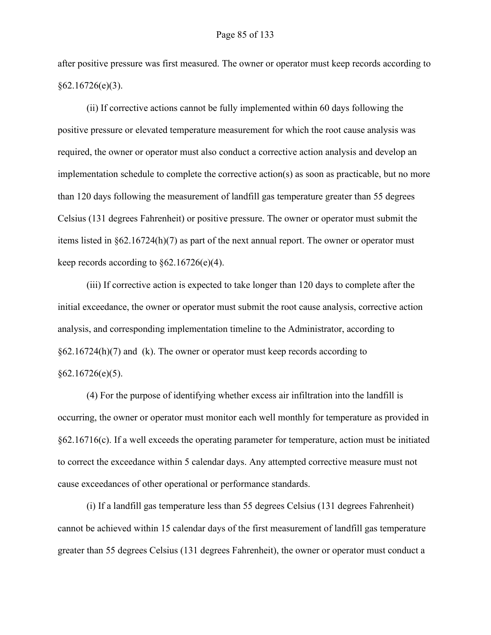after positive pressure was first measured. The owner or operator must keep records according to §62.16726(e)(3).

(ii) If corrective actions cannot be fully implemented within 60 days following the positive pressure or elevated temperature measurement for which the root cause analysis was required, the owner or operator must also conduct a corrective action analysis and develop an implementation schedule to complete the corrective action(s) as soon as practicable, but no more than 120 days following the measurement of landfill gas temperature greater than 55 degrees Celsius (131 degrees Fahrenheit) or positive pressure. The owner or operator must submit the items listed in §62.16724(h)(7) as part of the next annual report. The owner or operator must keep records according to  $\S 62.16726(e)(4)$ .

(iii) If corrective action is expected to take longer than 120 days to complete after the initial exceedance, the owner or operator must submit the root cause analysis, corrective action analysis, and corresponding implementation timeline to the Administrator, according to  $§62.16724(h)(7)$  and (k). The owner or operator must keep records according to  $§62.16726(e)(5).$ 

(4) For the purpose of identifying whether excess air infiltration into the landfill is occurring, the owner or operator must monitor each well monthly for temperature as provided in  $§62.16716(c)$ . If a well exceeds the operating parameter for temperature, action must be initiated to correct the exceedance within 5 calendar days. Any attempted corrective measure must not cause exceedances of other operational or performance standards.

(i) If a landfill gas temperature less than 55 degrees Celsius (131 degrees Fahrenheit) cannot be achieved within 15 calendar days of the first measurement of landfill gas temperature greater than 55 degrees Celsius (131 degrees Fahrenheit), the owner or operator must conduct a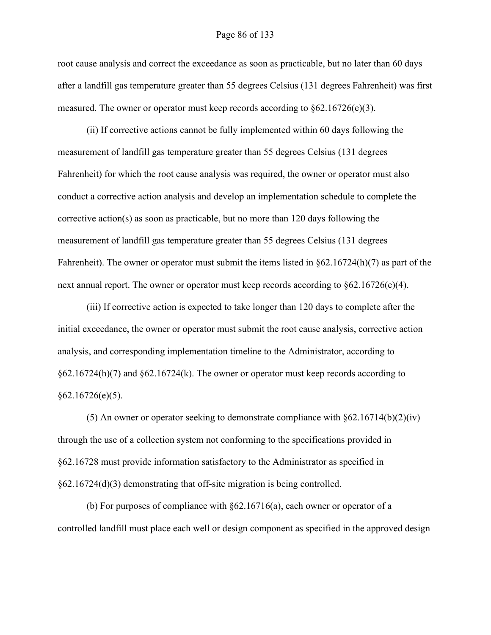#### Page 86 of 133

root cause analysis and correct the exceedance as soon as practicable, but no later than 60 days after a landfill gas temperature greater than 55 degrees Celsius (131 degrees Fahrenheit) was first measured. The owner or operator must keep records according to  $\S62.16726(e)(3)$ .

(ii) If corrective actions cannot be fully implemented within 60 days following the measurement of landfill gas temperature greater than 55 degrees Celsius (131 degrees Fahrenheit) for which the root cause analysis was required, the owner or operator must also conduct a corrective action analysis and develop an implementation schedule to complete the corrective action(s) as soon as practicable, but no more than 120 days following the measurement of landfill gas temperature greater than 55 degrees Celsius (131 degrees Fahrenheit). The owner or operator must submit the items listed in  $\delta 62.16724(h)(7)$  as part of the next annual report. The owner or operator must keep records according to  $\S62.16726(e)(4)$ .

(iii) If corrective action is expected to take longer than 120 days to complete after the initial exceedance, the owner or operator must submit the root cause analysis, corrective action analysis, and corresponding implementation timeline to the Administrator, according to  $§62.16724(h)(7)$  and  $§62.16724(k)$ . The owner or operator must keep records according to  $§62.16726(e)(5).$ 

(5) An owner or operator seeking to demonstrate compliance with  $\S62.16714(b)(2)(iv)$ through the use of a collection system not conforming to the specifications provided in §62.16728 must provide information satisfactory to the Administrator as specified in §62.16724(d)(3) demonstrating that off-site migration is being controlled.

(b) For purposes of compliance with  $\S 62.16716(a)$ , each owner or operator of a controlled landfill must place each well or design component as specified in the approved design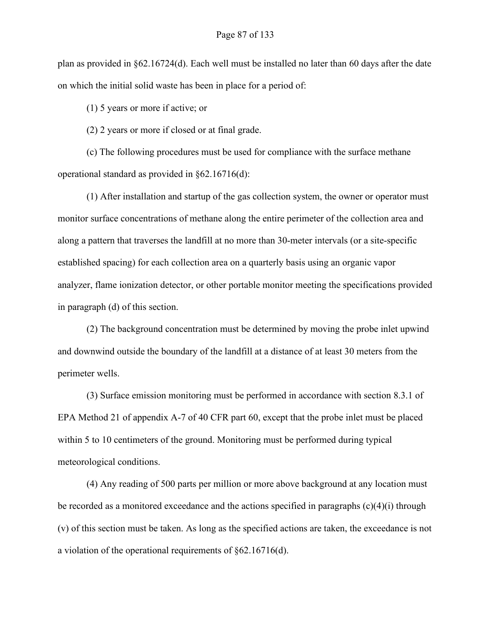plan as provided in §62.16724(d). Each well must be installed no later than 60 days after the date on which the initial solid waste has been in place for a period of:

(1) 5 years or more if active; or

(2) 2 years or more if closed or at final grade.

(c) The following procedures must be used for compliance with the surface methane operational standard as provided in §62.16716(d):

(1) After installation and startup of the gas collection system, the owner or operator must monitor surface concentrations of methane along the entire perimeter of the collection area and along a pattern that traverses the landfill at no more than 30-meter intervals (or a site-specific established spacing) for each collection area on a quarterly basis using an organic vapor analyzer, flame ionization detector, or other portable monitor meeting the specifications provided in paragraph (d) of this section.

(2) The background concentration must be determined by moving the probe inlet upwind and downwind outside the boundary of the landfill at a distance of at least 30 meters from the perimeter wells.

(3) Surface emission monitoring must be performed in accordance with section 8.3.1 of EPA Method 21 of appendix A-7 of 40 CFR part 60, except that the probe inlet must be placed within 5 to 10 centimeters of the ground. Monitoring must be performed during typical meteorological conditions.

(4) Any reading of 500 parts per million or more above background at any location must be recorded as a monitored exceedance and the actions specified in paragraphs (c)(4)(i) through (v) of this section must be taken. As long as the specified actions are taken, the exceedance is not a violation of the operational requirements of §62.16716(d).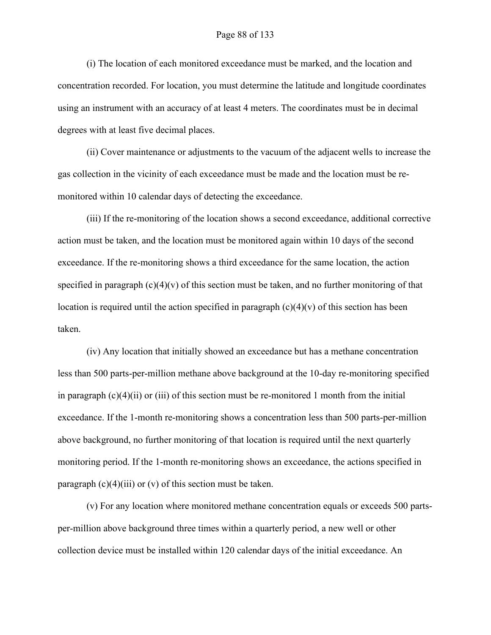## Page 88 of 133

(i) The location of each monitored exceedance must be marked, and the location and concentration recorded. For location, you must determine the latitude and longitude coordinates using an instrument with an accuracy of at least 4 meters. The coordinates must be in decimal degrees with at least five decimal places.

(ii) Cover maintenance or adjustments to the vacuum of the adjacent wells to increase the gas collection in the vicinity of each exceedance must be made and the location must be remonitored within 10 calendar days of detecting the exceedance.

(iii) If the re-monitoring of the location shows a second exceedance, additional corrective action must be taken, and the location must be monitored again within 10 days of the second exceedance. If the re-monitoring shows a third exceedance for the same location, the action specified in paragraph  $(c)(4)(v)$  of this section must be taken, and no further monitoring of that location is required until the action specified in paragraph  $(c)(4)(v)$  of this section has been taken.

(iv) Any location that initially showed an exceedance but has a methane concentration less than 500 parts-per-million methane above background at the 10-day re-monitoring specified in paragraph  $(c)(4)(ii)$  or (iii) of this section must be re-monitored 1 month from the initial exceedance. If the 1-month re-monitoring shows a concentration less than 500 parts-per-million above background, no further monitoring of that location is required until the next quarterly monitoring period. If the 1-month re-monitoring shows an exceedance, the actions specified in paragraph  $(c)(4)(iii)$  or  $(v)$  of this section must be taken.

(v) For any location where monitored methane concentration equals or exceeds 500 partsper-million above background three times within a quarterly period, a new well or other collection device must be installed within 120 calendar days of the initial exceedance. An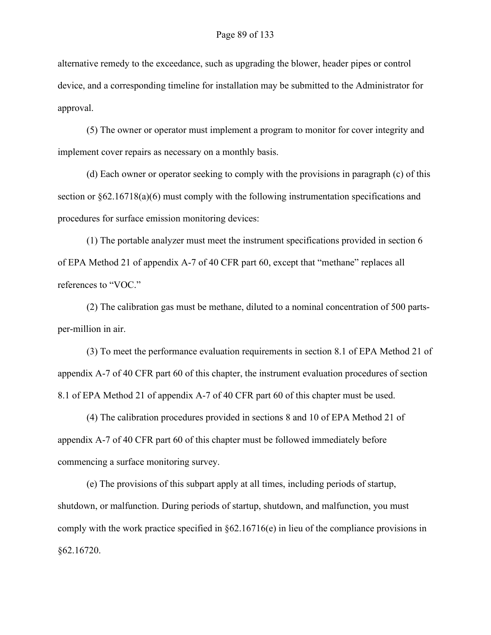alternative remedy to the exceedance, such as upgrading the blower, header pipes or control device, and a corresponding timeline for installation may be submitted to the Administrator for approval.

(5) The owner or operator must implement a program to monitor for cover integrity and implement cover repairs as necessary on a monthly basis.

(d) Each owner or operator seeking to comply with the provisions in paragraph (c) of this section or  $\S62.16718(a)(6)$  must comply with the following instrumentation specifications and procedures for surface emission monitoring devices:

(1) The portable analyzer must meet the instrument specifications provided in section 6 of EPA Method 21 of appendix A-7 of 40 CFR part 60, except that "methane" replaces all references to "VOC."

(2) The calibration gas must be methane, diluted to a nominal concentration of 500 partsper-million in air.

(3) To meet the performance evaluation requirements in section 8.1 of EPA Method 21 of appendix A-7 of 40 CFR part 60 of this chapter, the instrument evaluation procedures of section 8.1 of EPA Method 21 of appendix A-7 of 40 CFR part 60 of this chapter must be used.

(4) The calibration procedures provided in sections 8 and 10 of EPA Method 21 of appendix A-7 of 40 CFR part 60 of this chapter must be followed immediately before commencing a surface monitoring survey.

(e) The provisions of this subpart apply at all times, including periods of startup, shutdown, or malfunction. During periods of startup, shutdown, and malfunction, you must comply with the work practice specified in §62.16716(e) in lieu of the compliance provisions in §62.16720.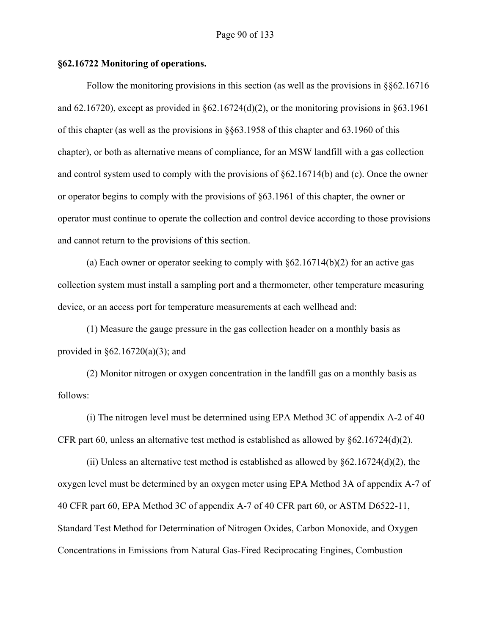## **§62.16722 Monitoring of operations.**

Follow the monitoring provisions in this section (as well as the provisions in §§62.16716 and 62.16720), except as provided in  $\S 62.16724(d)(2)$ , or the monitoring provisions in  $\S 63.1961$ of this chapter (as well as the provisions in §§63.1958 of this chapter and 63.1960 of this chapter), or both as alternative means of compliance, for an MSW landfill with a gas collection and control system used to comply with the provisions of §62.16714(b) and (c). Once the owner or operator begins to comply with the provisions of §63.1961 of this chapter, the owner or operator must continue to operate the collection and control device according to those provisions and cannot return to the provisions of this section.

(a) Each owner or operator seeking to comply with §62.16714(b)(2) for an active gas collection system must install a sampling port and a thermometer, other temperature measuring device, or an access port for temperature measurements at each wellhead and:

(1) Measure the gauge pressure in the gas collection header on a monthly basis as provided in  $\S 62.16720(a)(3)$ ; and

(2) Monitor nitrogen or oxygen concentration in the landfill gas on a monthly basis as follows:

(i) The nitrogen level must be determined using EPA Method 3C of appendix A-2 of 40 CFR part 60, unless an alternative test method is established as allowed by  $§62.16724(d)(2)$ .

(ii) Unless an alternative test method is established as allowed by  $\S62.16724(d)(2)$ , the oxygen level must be determined by an oxygen meter using EPA Method 3A of appendix A-7 of 40 CFR part 60, EPA Method 3C of appendix A-7 of 40 CFR part 60, or ASTM D6522-11, Standard Test Method for Determination of Nitrogen Oxides, Carbon Monoxide, and Oxygen Concentrations in Emissions from Natural Gas-Fired Reciprocating Engines, Combustion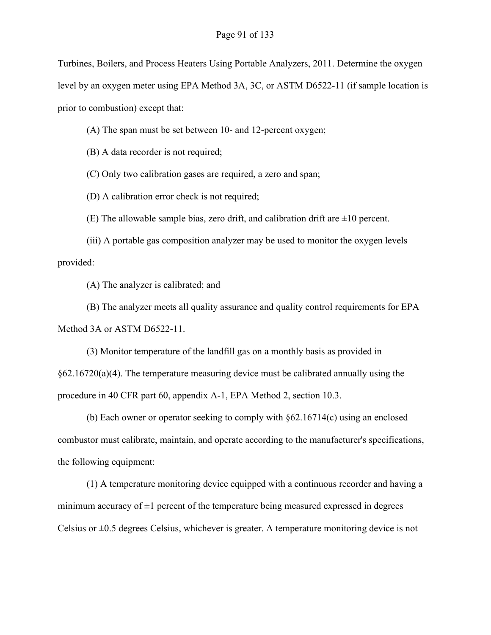Turbines, Boilers, and Process Heaters Using Portable Analyzers, 2011. Determine the oxygen level by an oxygen meter using EPA Method 3A, 3C, or ASTM D6522-11 (if sample location is prior to combustion) except that:

(A) The span must be set between 10- and 12-percent oxygen;

(B) A data recorder is not required;

(C) Only two calibration gases are required, a zero and span;

(D) A calibration error check is not required;

(E) The allowable sample bias, zero drift, and calibration drift are  $\pm 10$  percent.

(iii) A portable gas composition analyzer may be used to monitor the oxygen levels provided:

(A) The analyzer is calibrated; and

(B) The analyzer meets all quality assurance and quality control requirements for EPA Method 3A or ASTM D6522-11.

(3) Monitor temperature of the landfill gas on a monthly basis as provided in  $§62.16720(a)(4)$ . The temperature measuring device must be calibrated annually using the procedure in 40 CFR part 60, appendix A-1, EPA Method 2, section 10.3.

(b) Each owner or operator seeking to comply with §62.16714(c) using an enclosed combustor must calibrate, maintain, and operate according to the manufacturer's specifications, the following equipment:

(1) A temperature monitoring device equipped with a continuous recorder and having a minimum accuracy of  $\pm 1$  percent of the temperature being measured expressed in degrees Celsius or  $\pm 0.5$  degrees Celsius, whichever is greater. A temperature monitoring device is not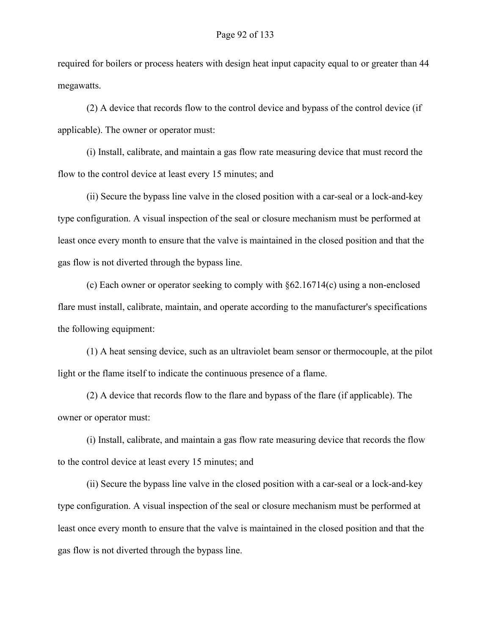required for boilers or process heaters with design heat input capacity equal to or greater than 44 megawatts.

(2) A device that records flow to the control device and bypass of the control device (if applicable). The owner or operator must:

(i) Install, calibrate, and maintain a gas flow rate measuring device that must record the flow to the control device at least every 15 minutes; and

(ii) Secure the bypass line valve in the closed position with a car-seal or a lock-and-key type configuration. A visual inspection of the seal or closure mechanism must be performed at least once every month to ensure that the valve is maintained in the closed position and that the gas flow is not diverted through the bypass line.

(c) Each owner or operator seeking to comply with §62.16714(c) using a non-enclosed flare must install, calibrate, maintain, and operate according to the manufacturer's specifications the following equipment:

(1) A heat sensing device, such as an ultraviolet beam sensor or thermocouple, at the pilot light or the flame itself to indicate the continuous presence of a flame.

(2) A device that records flow to the flare and bypass of the flare (if applicable). The owner or operator must:

(i) Install, calibrate, and maintain a gas flow rate measuring device that records the flow to the control device at least every 15 minutes; and

(ii) Secure the bypass line valve in the closed position with a car-seal or a lock-and-key type configuration. A visual inspection of the seal or closure mechanism must be performed at least once every month to ensure that the valve is maintained in the closed position and that the gas flow is not diverted through the bypass line.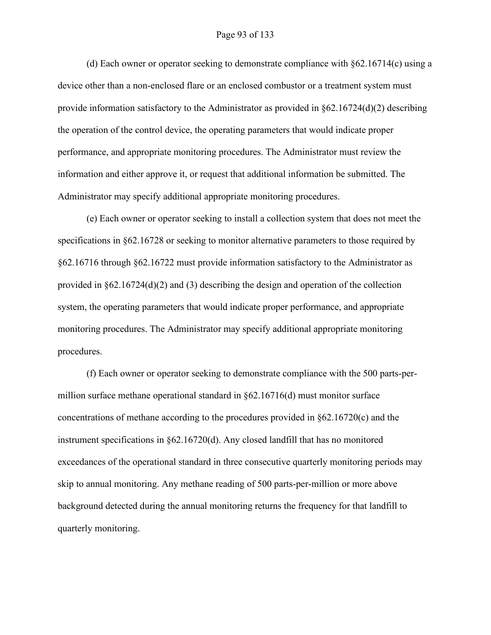#### Page 93 of 133

(d) Each owner or operator seeking to demonstrate compliance with §62.16714(c) using a device other than a non-enclosed flare or an enclosed combustor or a treatment system must provide information satisfactory to the Administrator as provided in  $\delta$ 62.16724(d)(2) describing the operation of the control device, the operating parameters that would indicate proper performance, and appropriate monitoring procedures. The Administrator must review the information and either approve it, or request that additional information be submitted. The Administrator may specify additional appropriate monitoring procedures.

(e) Each owner or operator seeking to install a collection system that does not meet the specifications in §62.16728 or seeking to monitor alternative parameters to those required by §62.16716 through §62.16722 must provide information satisfactory to the Administrator as provided in  $\S62.16724(d)(2)$  and (3) describing the design and operation of the collection system, the operating parameters that would indicate proper performance, and appropriate monitoring procedures. The Administrator may specify additional appropriate monitoring procedures.

(f) Each owner or operator seeking to demonstrate compliance with the 500 parts-permillion surface methane operational standard in  $\S62.16716(d)$  must monitor surface concentrations of methane according to the procedures provided in §62.16720(c) and the instrument specifications in §62.16720(d). Any closed landfill that has no monitored exceedances of the operational standard in three consecutive quarterly monitoring periods may skip to annual monitoring. Any methane reading of 500 parts-per-million or more above background detected during the annual monitoring returns the frequency for that landfill to quarterly monitoring.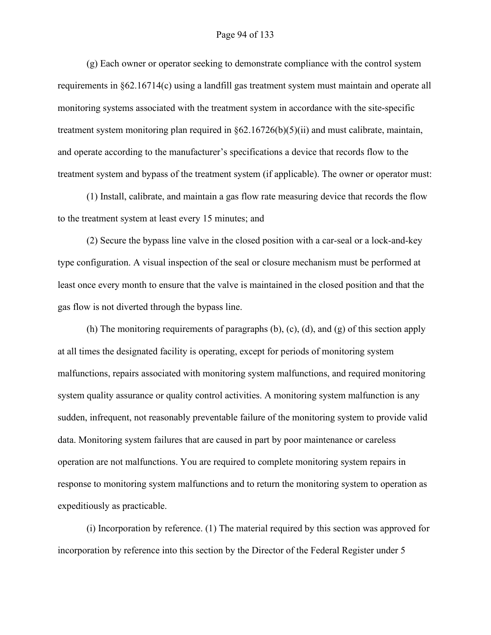#### Page 94 of 133

(g) Each owner or operator seeking to demonstrate compliance with the control system requirements in §62.16714(c) using a landfill gas treatment system must maintain and operate all monitoring systems associated with the treatment system in accordance with the site-specific treatment system monitoring plan required in §62.16726(b)(5)(ii) and must calibrate, maintain, and operate according to the manufacturer's specifications a device that records flow to the treatment system and bypass of the treatment system (if applicable). The owner or operator must:

(1) Install, calibrate, and maintain a gas flow rate measuring device that records the flow to the treatment system at least every 15 minutes; and

(2) Secure the bypass line valve in the closed position with a car-seal or a lock-and-key type configuration. A visual inspection of the seal or closure mechanism must be performed at least once every month to ensure that the valve is maintained in the closed position and that the gas flow is not diverted through the bypass line.

(h) The monitoring requirements of paragraphs (b), (c), (d), and (g) of this section apply at all times the designated facility is operating, except for periods of monitoring system malfunctions, repairs associated with monitoring system malfunctions, and required monitoring system quality assurance or quality control activities. A monitoring system malfunction is any sudden, infrequent, not reasonably preventable failure of the monitoring system to provide valid data. Monitoring system failures that are caused in part by poor maintenance or careless operation are not malfunctions. You are required to complete monitoring system repairs in response to monitoring system malfunctions and to return the monitoring system to operation as expeditiously as practicable.

(i) Incorporation by reference. (1) The material required by this section was approved for incorporation by reference into this section by the Director of the Federal Register under 5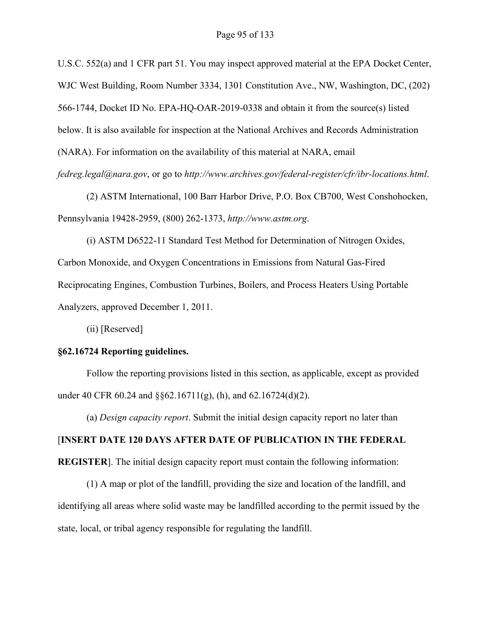U.S.C. 552(a) and 1 CFR part 51. You may inspect approved material at the EPA Docket Center, WJC West Building, Room Number 3334, 1301 Constitution Ave., NW, Washington, DC, (202) 566-1744, Docket ID No. EPA-HQ-OAR-2019-0338 and obtain it from the source(s) listed below. It is also available for inspection at the National Archives and Records Administration (NARA). For information on the availability of this material at NARA, email *fedreg.legal@nara.gov*, or go to *http://www.archives.gov/federal-register/cfr/ibr-locations.html*.

(2) ASTM International, 100 Barr Harbor Drive, P.O. Box CB700, West Conshohocken, Pennsylvania 19428-2959, (800) 262-1373, *http://www.astm.org*.

(i) ASTM D6522-11 Standard Test Method for Determination of Nitrogen Oxides, Carbon Monoxide, and Oxygen Concentrations in Emissions from Natural Gas-Fired Reciprocating Engines, Combustion Turbines, Boilers, and Process Heaters Using Portable Analyzers, approved December 1, 2011.

(ii) [Reserved]

# **§62.16724 Reporting guidelines.**

Follow the reporting provisions listed in this section, as applicable, except as provided under 40 CFR 60.24 and  $\S$ §62.16711(g), (h), and 62.16724(d)(2).

(a) *Design capacity report*. Submit the initial design capacity report no later than

# [**INSERT DATE 120 DAYS AFTER DATE OF PUBLICATION IN THE FEDERAL**

**REGISTER**]. The initial design capacity report must contain the following information:

(1) A map or plot of the landfill, providing the size and location of the landfill, and identifying all areas where solid waste may be landfilled according to the permit issued by the state, local, or tribal agency responsible for regulating the landfill.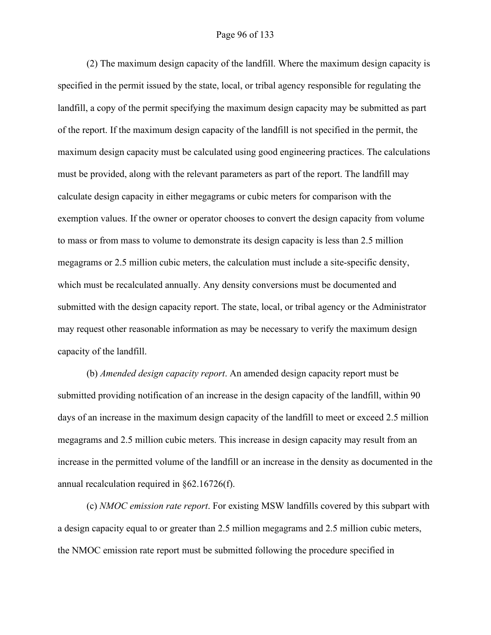### Page 96 of 133

(2) The maximum design capacity of the landfill. Where the maximum design capacity is specified in the permit issued by the state, local, or tribal agency responsible for regulating the landfill, a copy of the permit specifying the maximum design capacity may be submitted as part of the report. If the maximum design capacity of the landfill is not specified in the permit, the maximum design capacity must be calculated using good engineering practices. The calculations must be provided, along with the relevant parameters as part of the report. The landfill may calculate design capacity in either megagrams or cubic meters for comparison with the exemption values. If the owner or operator chooses to convert the design capacity from volume to mass or from mass to volume to demonstrate its design capacity is less than 2.5 million megagrams or 2.5 million cubic meters, the calculation must include a site-specific density, which must be recalculated annually. Any density conversions must be documented and submitted with the design capacity report. The state, local, or tribal agency or the Administrator may request other reasonable information as may be necessary to verify the maximum design capacity of the landfill.

(b) *Amended design capacity report*. An amended design capacity report must be submitted providing notification of an increase in the design capacity of the landfill, within 90 days of an increase in the maximum design capacity of the landfill to meet or exceed 2.5 million megagrams and 2.5 million cubic meters. This increase in design capacity may result from an increase in the permitted volume of the landfill or an increase in the density as documented in the annual recalculation required in §62.16726(f).

(c) *NMOC emission rate report*. For existing MSW landfills covered by this subpart with a design capacity equal to or greater than 2.5 million megagrams and 2.5 million cubic meters, the NMOC emission rate report must be submitted following the procedure specified in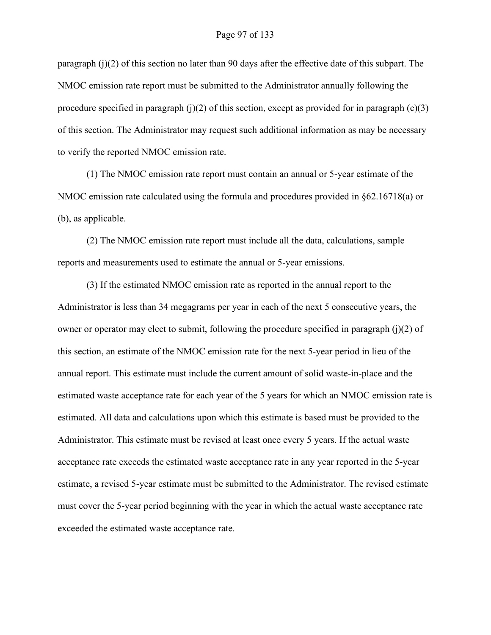paragraph  $(i)(2)$  of this section no later than 90 days after the effective date of this subpart. The NMOC emission rate report must be submitted to the Administrator annually following the procedure specified in paragraph (j)(2) of this section, except as provided for in paragraph  $(c)(3)$ of this section. The Administrator may request such additional information as may be necessary to verify the reported NMOC emission rate.

(1) The NMOC emission rate report must contain an annual or 5-year estimate of the NMOC emission rate calculated using the formula and procedures provided in §62.16718(a) or (b), as applicable.

(2) The NMOC emission rate report must include all the data, calculations, sample reports and measurements used to estimate the annual or 5-year emissions.

(3) If the estimated NMOC emission rate as reported in the annual report to the Administrator is less than 34 megagrams per year in each of the next 5 consecutive years, the owner or operator may elect to submit, following the procedure specified in paragraph (j)(2) of this section, an estimate of the NMOC emission rate for the next 5-year period in lieu of the annual report. This estimate must include the current amount of solid waste-in-place and the estimated waste acceptance rate for each year of the 5 years for which an NMOC emission rate is estimated. All data and calculations upon which this estimate is based must be provided to the Administrator. This estimate must be revised at least once every 5 years. If the actual waste acceptance rate exceeds the estimated waste acceptance rate in any year reported in the 5-year estimate, a revised 5-year estimate must be submitted to the Administrator. The revised estimate must cover the 5-year period beginning with the year in which the actual waste acceptance rate exceeded the estimated waste acceptance rate.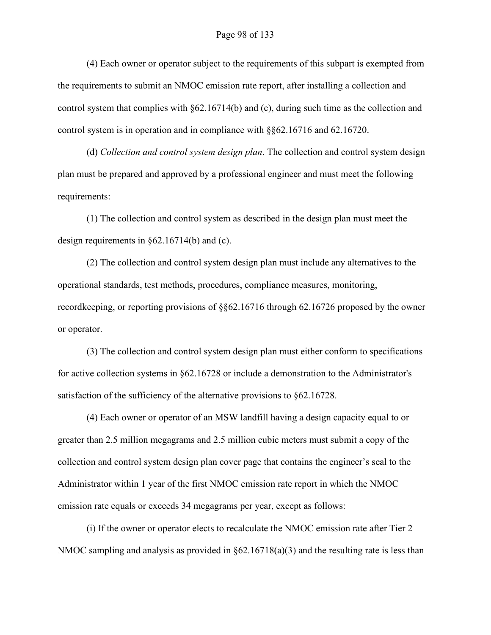#### Page 98 of 133

(4) Each owner or operator subject to the requirements of this subpart is exempted from the requirements to submit an NMOC emission rate report, after installing a collection and control system that complies with §62.16714(b) and (c), during such time as the collection and control system is in operation and in compliance with §§62.16716 and 62.16720.

(d) *Collection and control system design plan*. The collection and control system design plan must be prepared and approved by a professional engineer and must meet the following requirements:

(1) The collection and control system as described in the design plan must meet the design requirements in §62.16714(b) and (c).

(2) The collection and control system design plan must include any alternatives to the operational standards, test methods, procedures, compliance measures, monitoring, recordkeeping, or reporting provisions of §§62.16716 through 62.16726 proposed by the owner or operator.

(3) The collection and control system design plan must either conform to specifications for active collection systems in §62.16728 or include a demonstration to the Administrator's satisfaction of the sufficiency of the alternative provisions to §62.16728.

(4) Each owner or operator of an MSW landfill having a design capacity equal to or greater than 2.5 million megagrams and 2.5 million cubic meters must submit a copy of the collection and control system design plan cover page that contains the engineer's seal to the Administrator within 1 year of the first NMOC emission rate report in which the NMOC emission rate equals or exceeds 34 megagrams per year, except as follows:

(i) If the owner or operator elects to recalculate the NMOC emission rate after Tier 2 NMOC sampling and analysis as provided in  $\S62.16718(a)(3)$  and the resulting rate is less than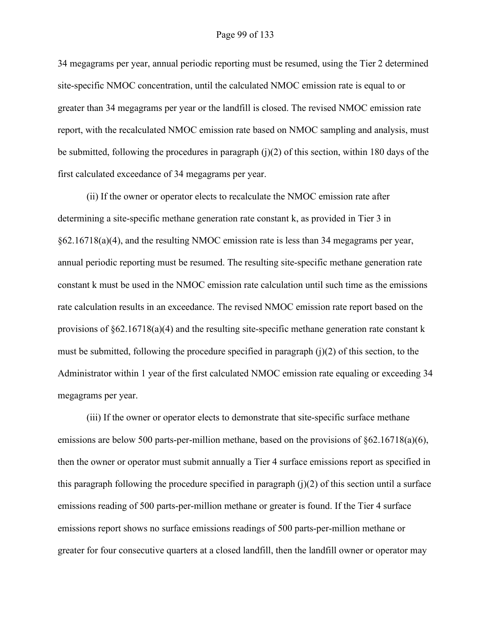34 megagrams per year, annual periodic reporting must be resumed, using the Tier 2 determined site-specific NMOC concentration, until the calculated NMOC emission rate is equal to or greater than 34 megagrams per year or the landfill is closed. The revised NMOC emission rate report, with the recalculated NMOC emission rate based on NMOC sampling and analysis, must be submitted, following the procedures in paragraph  $(i)(2)$  of this section, within 180 days of the first calculated exceedance of 34 megagrams per year.

(ii) If the owner or operator elects to recalculate the NMOC emission rate after determining a site-specific methane generation rate constant k, as provided in Tier 3 in §62.16718(a)(4), and the resulting NMOC emission rate is less than 34 megagrams per year, annual periodic reporting must be resumed. The resulting site-specific methane generation rate constant k must be used in the NMOC emission rate calculation until such time as the emissions rate calculation results in an exceedance. The revised NMOC emission rate report based on the provisions of §62.16718(a)(4) and the resulting site-specific methane generation rate constant k must be submitted, following the procedure specified in paragraph  $(i)(2)$  of this section, to the Administrator within 1 year of the first calculated NMOC emission rate equaling or exceeding 34 megagrams per year.

(iii) If the owner or operator elects to demonstrate that site-specific surface methane emissions are below 500 parts-per-million methane, based on the provisions of  $\S62.16718(a)(6)$ , then the owner or operator must submit annually a Tier 4 surface emissions report as specified in this paragraph following the procedure specified in paragraph  $(j)(2)$  of this section until a surface emissions reading of 500 parts-per-million methane or greater is found. If the Tier 4 surface emissions report shows no surface emissions readings of 500 parts-per-million methane or greater for four consecutive quarters at a closed landfill, then the landfill owner or operator may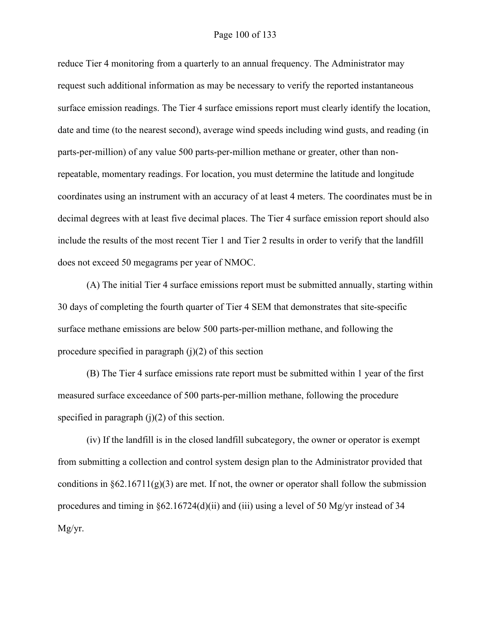## Page 100 of 133

reduce Tier 4 monitoring from a quarterly to an annual frequency. The Administrator may request such additional information as may be necessary to verify the reported instantaneous surface emission readings. The Tier 4 surface emissions report must clearly identify the location, date and time (to the nearest second), average wind speeds including wind gusts, and reading (in parts-per-million) of any value 500 parts-per-million methane or greater, other than nonrepeatable, momentary readings. For location, you must determine the latitude and longitude coordinates using an instrument with an accuracy of at least 4 meters. The coordinates must be in decimal degrees with at least five decimal places. The Tier 4 surface emission report should also include the results of the most recent Tier 1 and Tier 2 results in order to verify that the landfill does not exceed 50 megagrams per year of NMOC.

(A) The initial Tier 4 surface emissions report must be submitted annually, starting within 30 days of completing the fourth quarter of Tier 4 SEM that demonstrates that site-specific surface methane emissions are below 500 parts-per-million methane, and following the procedure specified in paragraph  $(i)(2)$  of this section

(B) The Tier 4 surface emissions rate report must be submitted within 1 year of the first measured surface exceedance of 500 parts-per-million methane, following the procedure specified in paragraph  $(j)(2)$  of this section.

(iv) If the landfill is in the closed landfill subcategory, the owner or operator is exempt from submitting a collection and control system design plan to the Administrator provided that conditions in  $\S62.16711(g)(3)$  are met. If not, the owner or operator shall follow the submission procedures and timing in  $\frac{62.16724(d)}{ii}$  and (iii) using a level of 50 Mg/yr instead of 34 Mg/yr.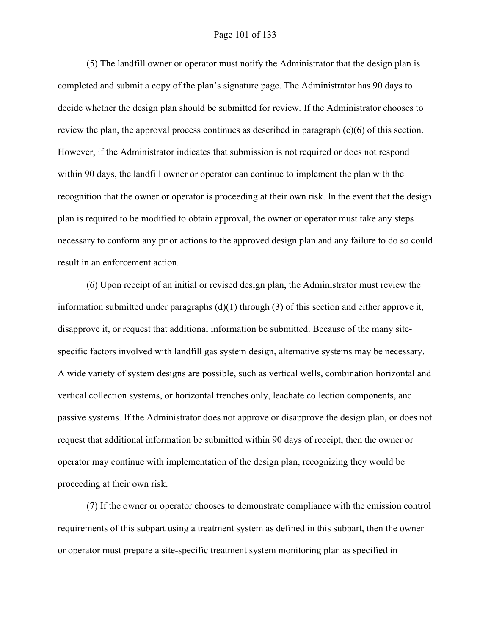## Page 101 of 133

(5) The landfill owner or operator must notify the Administrator that the design plan is completed and submit a copy of the plan's signature page. The Administrator has 90 days to decide whether the design plan should be submitted for review. If the Administrator chooses to review the plan, the approval process continues as described in paragraph (c)(6) of this section. However, if the Administrator indicates that submission is not required or does not respond within 90 days, the landfill owner or operator can continue to implement the plan with the recognition that the owner or operator is proceeding at their own risk. In the event that the design plan is required to be modified to obtain approval, the owner or operator must take any steps necessary to conform any prior actions to the approved design plan and any failure to do so could result in an enforcement action.

(6) Upon receipt of an initial or revised design plan, the Administrator must review the information submitted under paragraphs  $(d)(1)$  through  $(3)$  of this section and either approve it, disapprove it, or request that additional information be submitted. Because of the many sitespecific factors involved with landfill gas system design, alternative systems may be necessary. A wide variety of system designs are possible, such as vertical wells, combination horizontal and vertical collection systems, or horizontal trenches only, leachate collection components, and passive systems. If the Administrator does not approve or disapprove the design plan, or does not request that additional information be submitted within 90 days of receipt, then the owner or operator may continue with implementation of the design plan, recognizing they would be proceeding at their own risk.

(7) If the owner or operator chooses to demonstrate compliance with the emission control requirements of this subpart using a treatment system as defined in this subpart, then the owner or operator must prepare a site-specific treatment system monitoring plan as specified in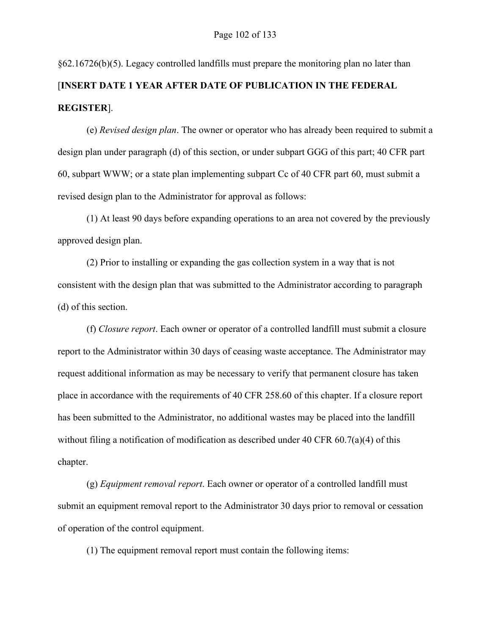§62.16726(b)(5). Legacy controlled landfills must prepare the monitoring plan no later than [**INSERT DATE 1 YEAR AFTER DATE OF PUBLICATION IN THE FEDERAL REGISTER**].

(e) *Revised design plan*. The owner or operator who has already been required to submit a design plan under paragraph (d) of this section, or under subpart GGG of this part; 40 CFR part 60, subpart WWW; or a state plan implementing subpart Cc of 40 CFR part 60, must submit a revised design plan to the Administrator for approval as follows:

(1) At least 90 days before expanding operations to an area not covered by the previously approved design plan.

(2) Prior to installing or expanding the gas collection system in a way that is not consistent with the design plan that was submitted to the Administrator according to paragraph (d) of this section.

(f) *Closure report*. Each owner or operator of a controlled landfill must submit a closure report to the Administrator within 30 days of ceasing waste acceptance. The Administrator may request additional information as may be necessary to verify that permanent closure has taken place in accordance with the requirements of 40 CFR 258.60 of this chapter. If a closure report has been submitted to the Administrator, no additional wastes may be placed into the landfill without filing a notification of modification as described under 40 CFR  $60.7(a)(4)$  of this chapter.

(g) *Equipment removal report*. Each owner or operator of a controlled landfill must submit an equipment removal report to the Administrator 30 days prior to removal or cessation of operation of the control equipment.

(1) The equipment removal report must contain the following items: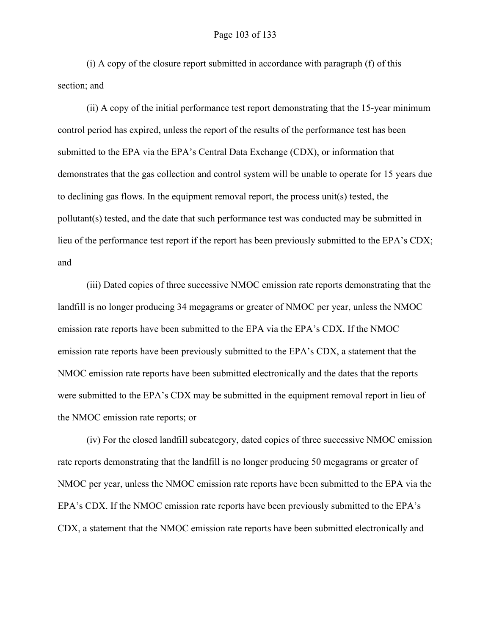(i) A copy of the closure report submitted in accordance with paragraph (f) of this section; and

(ii) A copy of the initial performance test report demonstrating that the 15-year minimum control period has expired, unless the report of the results of the performance test has been submitted to the EPA via the EPA's Central Data Exchange (CDX), or information that demonstrates that the gas collection and control system will be unable to operate for 15 years due to declining gas flows. In the equipment removal report, the process unit(s) tested, the pollutant(s) tested, and the date that such performance test was conducted may be submitted in lieu of the performance test report if the report has been previously submitted to the EPA's CDX; and

(iii) Dated copies of three successive NMOC emission rate reports demonstrating that the landfill is no longer producing 34 megagrams or greater of NMOC per year, unless the NMOC emission rate reports have been submitted to the EPA via the EPA's CDX. If the NMOC emission rate reports have been previously submitted to the EPA's CDX, a statement that the NMOC emission rate reports have been submitted electronically and the dates that the reports were submitted to the EPA's CDX may be submitted in the equipment removal report in lieu of the NMOC emission rate reports; or

(iv) For the closed landfill subcategory, dated copies of three successive NMOC emission rate reports demonstrating that the landfill is no longer producing 50 megagrams or greater of NMOC per year, unless the NMOC emission rate reports have been submitted to the EPA via the EPA's CDX. If the NMOC emission rate reports have been previously submitted to the EPA's CDX, a statement that the NMOC emission rate reports have been submitted electronically and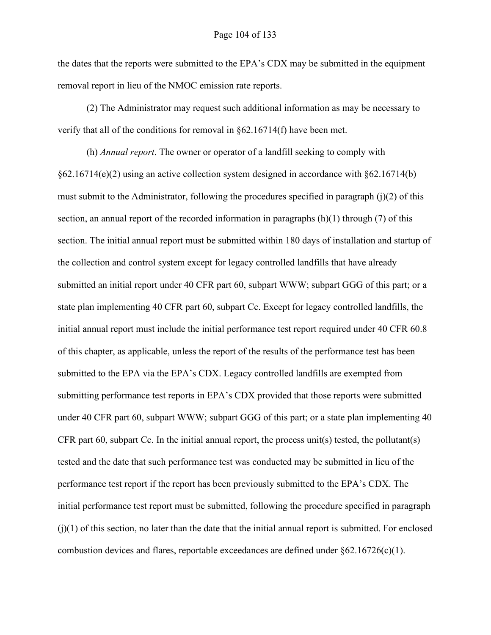the dates that the reports were submitted to the EPA's CDX may be submitted in the equipment removal report in lieu of the NMOC emission rate reports.

(2) The Administrator may request such additional information as may be necessary to verify that all of the conditions for removal in §62.16714(f) have been met.

(h) *Annual report*. The owner or operator of a landfill seeking to comply with §62.16714(e)(2) using an active collection system designed in accordance with §62.16714(b) must submit to the Administrator, following the procedures specified in paragraph  $(j)(2)$  of this section, an annual report of the recorded information in paragraphs  $(h)(1)$  through  $(7)$  of this section. The initial annual report must be submitted within 180 days of installation and startup of the collection and control system except for legacy controlled landfills that have already submitted an initial report under 40 CFR part 60, subpart WWW; subpart GGG of this part; or a state plan implementing 40 CFR part 60, subpart Cc. Except for legacy controlled landfills, the initial annual report must include the initial performance test report required under 40 CFR 60.8 of this chapter, as applicable, unless the report of the results of the performance test has been submitted to the EPA via the EPA's CDX. Legacy controlled landfills are exempted from submitting performance test reports in EPA's CDX provided that those reports were submitted under 40 CFR part 60, subpart WWW; subpart GGG of this part; or a state plan implementing 40 CFR part 60, subpart Cc. In the initial annual report, the process unit(s) tested, the pollutant(s) tested and the date that such performance test was conducted may be submitted in lieu of the performance test report if the report has been previously submitted to the EPA's CDX. The initial performance test report must be submitted, following the procedure specified in paragraph  $(j)(1)$  of this section, no later than the date that the initial annual report is submitted. For enclosed combustion devices and flares, reportable exceedances are defined under  $§62.16726(c)(1)$ .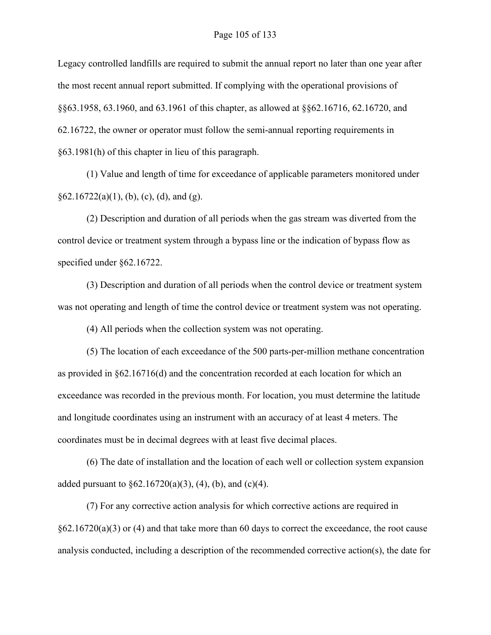Legacy controlled landfills are required to submit the annual report no later than one year after the most recent annual report submitted. If complying with the operational provisions of §§63.1958, 63.1960, and 63.1961 of this chapter, as allowed at §§62.16716, 62.16720, and 62.16722, the owner or operator must follow the semi-annual reporting requirements in §63.1981(h) of this chapter in lieu of this paragraph.

(1) Value and length of time for exceedance of applicable parameters monitored under  $§62.16722(a)(1), (b), (c), (d), and (g).$ 

(2) Description and duration of all periods when the gas stream was diverted from the control device or treatment system through a bypass line or the indication of bypass flow as specified under §62.16722.

(3) Description and duration of all periods when the control device or treatment system was not operating and length of time the control device or treatment system was not operating.

(4) All periods when the collection system was not operating.

(5) The location of each exceedance of the 500 parts-per-million methane concentration as provided in §62.16716(d) and the concentration recorded at each location for which an exceedance was recorded in the previous month. For location, you must determine the latitude and longitude coordinates using an instrument with an accuracy of at least 4 meters. The coordinates must be in decimal degrees with at least five decimal places.

(6) The date of installation and the location of each well or collection system expansion added pursuant to  $\S 62.16720(a)(3)$ , (4), (b), and (c)(4).

(7) For any corrective action analysis for which corrective actions are required in  $§62.16720(a)(3)$  or (4) and that take more than 60 days to correct the exceedance, the root cause analysis conducted, including a description of the recommended corrective action(s), the date for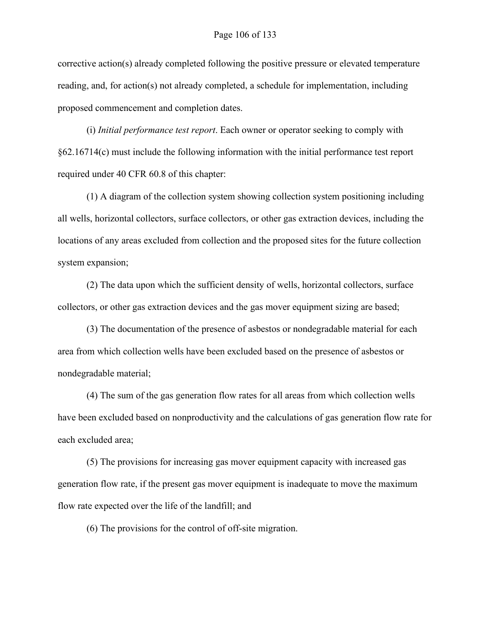corrective action(s) already completed following the positive pressure or elevated temperature reading, and, for action(s) not already completed, a schedule for implementation, including proposed commencement and completion dates.

(i) *Initial performance test report*. Each owner or operator seeking to comply with §62.16714(c) must include the following information with the initial performance test report required under 40 CFR 60.8 of this chapter:

(1) A diagram of the collection system showing collection system positioning including all wells, horizontal collectors, surface collectors, or other gas extraction devices, including the locations of any areas excluded from collection and the proposed sites for the future collection system expansion;

(2) The data upon which the sufficient density of wells, horizontal collectors, surface collectors, or other gas extraction devices and the gas mover equipment sizing are based;

(3) The documentation of the presence of asbestos or nondegradable material for each area from which collection wells have been excluded based on the presence of asbestos or nondegradable material;

(4) The sum of the gas generation flow rates for all areas from which collection wells have been excluded based on nonproductivity and the calculations of gas generation flow rate for each excluded area;

(5) The provisions for increasing gas mover equipment capacity with increased gas generation flow rate, if the present gas mover equipment is inadequate to move the maximum flow rate expected over the life of the landfill; and

(6) The provisions for the control of off-site migration.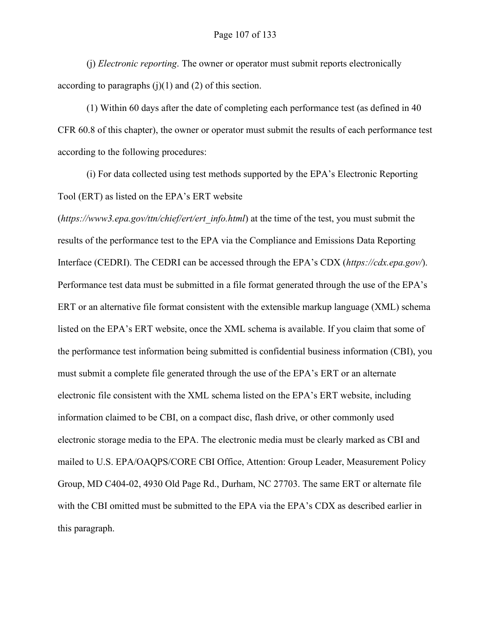(j) *Electronic reporting*. The owner or operator must submit reports electronically according to paragraphs  $(j)(1)$  and  $(2)$  of this section.

(1) Within 60 days after the date of completing each performance test (as defined in 40 CFR 60.8 of this chapter), the owner or operator must submit the results of each performance test according to the following procedures:

(i) For data collected using test methods supported by the EPA's Electronic Reporting Tool (ERT) as listed on the EPA's ERT website

(*https://www3.epa.gov/ttn/chief/ert/ert\_info.html*) at the time of the test, you must submit the results of the performance test to the EPA via the Compliance and Emissions Data Reporting Interface (CEDRI). The CEDRI can be accessed through the EPA's CDX (*https://cdx.epa.gov/*). Performance test data must be submitted in a file format generated through the use of the EPA's ERT or an alternative file format consistent with the extensible markup language (XML) schema listed on the EPA's ERT website, once the XML schema is available. If you claim that some of the performance test information being submitted is confidential business information (CBI), you must submit a complete file generated through the use of the EPA's ERT or an alternate electronic file consistent with the XML schema listed on the EPA's ERT website, including information claimed to be CBI, on a compact disc, flash drive, or other commonly used electronic storage media to the EPA. The electronic media must be clearly marked as CBI and mailed to U.S. EPA/OAQPS/CORE CBI Office, Attention: Group Leader, Measurement Policy Group, MD C404-02, 4930 Old Page Rd., Durham, NC 27703. The same ERT or alternate file with the CBI omitted must be submitted to the EPA via the EPA's CDX as described earlier in this paragraph.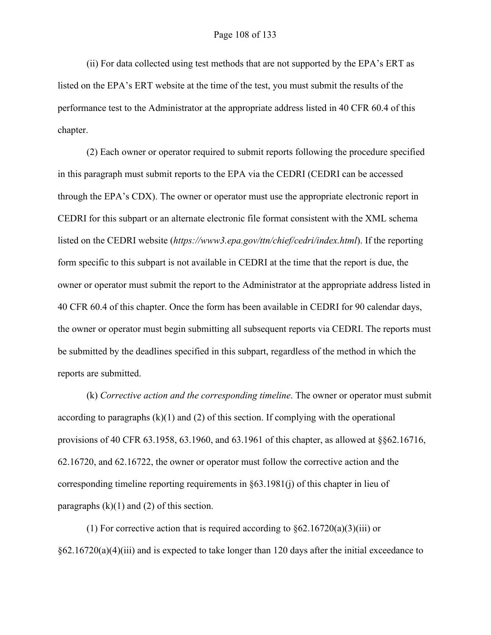(ii) For data collected using test methods that are not supported by the EPA's ERT as listed on the EPA's ERT website at the time of the test, you must submit the results of the performance test to the Administrator at the appropriate address listed in 40 CFR 60.4 of this chapter.

(2) Each owner or operator required to submit reports following the procedure specified in this paragraph must submit reports to the EPA via the CEDRI (CEDRI can be accessed through the EPA's CDX). The owner or operator must use the appropriate electronic report in CEDRI for this subpart or an alternate electronic file format consistent with the XML schema listed on the CEDRI website (*https://www3.epa.gov/ttn/chief/cedri/index.html*). If the reporting form specific to this subpart is not available in CEDRI at the time that the report is due, the owner or operator must submit the report to the Administrator at the appropriate address listed in 40 CFR 60.4 of this chapter. Once the form has been available in CEDRI for 90 calendar days, the owner or operator must begin submitting all subsequent reports via CEDRI. The reports must be submitted by the deadlines specified in this subpart, regardless of the method in which the reports are submitted.

(k) *Corrective action and the corresponding timeline*. The owner or operator must submit according to paragraphs  $(k)(1)$  and  $(2)$  of this section. If complying with the operational provisions of 40 CFR 63.1958, 63.1960, and 63.1961 of this chapter, as allowed at §§62.16716, 62.16720, and 62.16722, the owner or operator must follow the corrective action and the corresponding timeline reporting requirements in §63.1981(j) of this chapter in lieu of paragraphs  $(k)(1)$  and  $(2)$  of this section.

(1) For corrective action that is required according to  $\S62.16720(a)(3)(iii)$  or  $§62.16720(a)(4)(iii)$  and is expected to take longer than 120 days after the initial exceedance to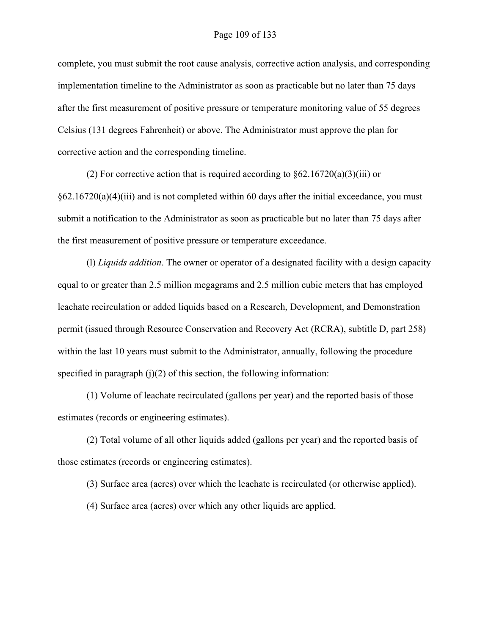complete, you must submit the root cause analysis, corrective action analysis, and corresponding implementation timeline to the Administrator as soon as practicable but no later than 75 days after the first measurement of positive pressure or temperature monitoring value of 55 degrees Celsius (131 degrees Fahrenheit) or above. The Administrator must approve the plan for corrective action and the corresponding timeline.

(2) For corrective action that is required according to  $\S62.16720(a)(3)(iii)$  or  $§62.16720(a)(4)(iii)$  and is not completed within 60 days after the initial exceedance, you must submit a notification to the Administrator as soon as practicable but no later than 75 days after the first measurement of positive pressure or temperature exceedance.

(l) *Liquids addition*. The owner or operator of a designated facility with a design capacity equal to or greater than 2.5 million megagrams and 2.5 million cubic meters that has employed leachate recirculation or added liquids based on a Research, Development, and Demonstration permit (issued through Resource Conservation and Recovery Act (RCRA), subtitle D, part 258) within the last 10 years must submit to the Administrator, annually, following the procedure specified in paragraph  $(j)(2)$  of this section, the following information:

(1) Volume of leachate recirculated (gallons per year) and the reported basis of those estimates (records or engineering estimates).

(2) Total volume of all other liquids added (gallons per year) and the reported basis of those estimates (records or engineering estimates).

(3) Surface area (acres) over which the leachate is recirculated (or otherwise applied).

(4) Surface area (acres) over which any other liquids are applied.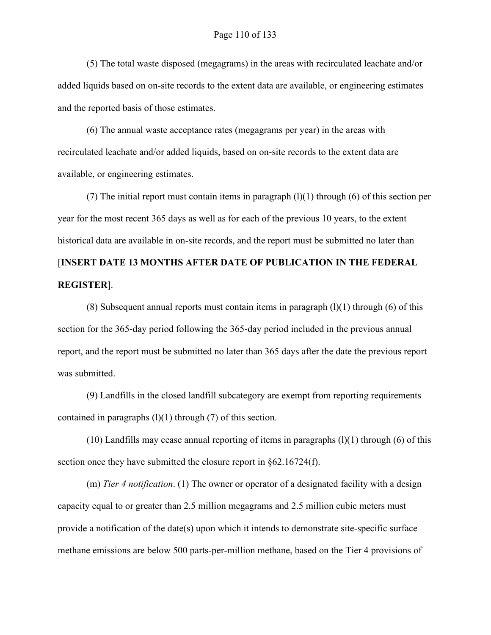(5) The total waste disposed (megagrams) in the areas with recirculated leachate and/or added liquids based on on-site records to the extent data are available, or engineering estimates and the reported basis of those estimates.

(6) The annual waste acceptance rates (megagrams per year) in the areas with recirculated leachate and/or added liquids, based on on-site records to the extent data are available, or engineering estimates.

(7) The initial report must contain items in paragraph  $(1)(1)$  through (6) of this section per year for the most recent 365 days as well as for each of the previous 10 years, to the extent historical data are available in on-site records, and the report must be submitted no later than [**INSERT DATE 13 MONTHS AFTER DATE OF PUBLICATION IN THE FEDERAL** 

# **REGISTER**].

(8) Subsequent annual reports must contain items in paragraph  $(l)(1)$  through (6) of this section for the 365-day period following the 365-day period included in the previous annual report, and the report must be submitted no later than 365 days after the date the previous report was submitted.

(9) Landfills in the closed landfill subcategory are exempt from reporting requirements contained in paragraphs  $(l)(1)$  through  $(7)$  of this section.

 $(10)$  Landfills may cease annual reporting of items in paragraphs  $(1)(1)$  through  $(6)$  of this section once they have submitted the closure report in §62.16724(f).

(m) *Tier 4 notification*. (1) The owner or operator of a designated facility with a design capacity equal to or greater than 2.5 million megagrams and 2.5 million cubic meters must provide a notification of the date(s) upon which it intends to demonstrate site-specific surface methane emissions are below 500 parts-per-million methane, based on the Tier 4 provisions of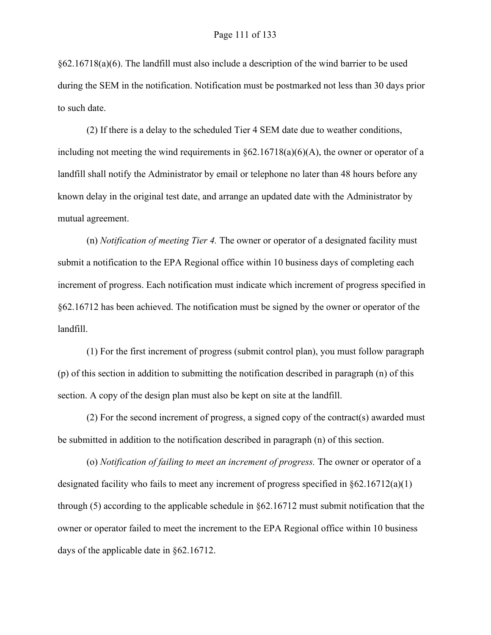§62.16718(a)(6). The landfill must also include a description of the wind barrier to be used during the SEM in the notification. Notification must be postmarked not less than 30 days prior to such date.

(2) If there is a delay to the scheduled Tier 4 SEM date due to weather conditions, including not meeting the wind requirements in  $\S62.16718(a)(6)(A)$ , the owner or operator of a landfill shall notify the Administrator by email or telephone no later than 48 hours before any known delay in the original test date, and arrange an updated date with the Administrator by mutual agreement.

(n) *Notification of meeting Tier 4.* The owner or operator of a designated facility must submit a notification to the EPA Regional office within 10 business days of completing each increment of progress. Each notification must indicate which increment of progress specified in §62.16712 has been achieved. The notification must be signed by the owner or operator of the landfill.

(1) For the first increment of progress (submit control plan), you must follow paragraph (p) of this section in addition to submitting the notification described in paragraph (n) of this section. A copy of the design plan must also be kept on site at the landfill.

(2) For the second increment of progress, a signed copy of the contract(s) awarded must be submitted in addition to the notification described in paragraph (n) of this section.

(o) *Notification of failing to meet an increment of progress.* The owner or operator of a designated facility who fails to meet any increment of progress specified in §62.16712(a)(1) through (5) according to the applicable schedule in §62.16712 must submit notification that the owner or operator failed to meet the increment to the EPA Regional office within 10 business days of the applicable date in §62.16712.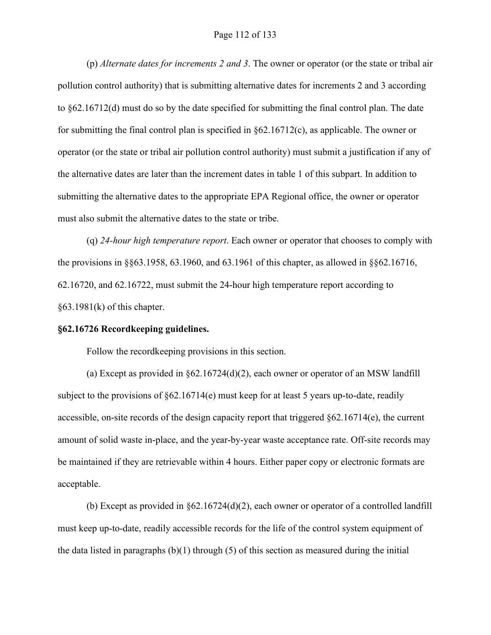# Page 112 of 133

(p) *Alternate dates for increments 2 and 3*. The owner or operator (or the state or tribal air pollution control authority) that is submitting alternative dates for increments 2 and 3 according to §62.16712(d) must do so by the date specified for submitting the final control plan. The date for submitting the final control plan is specified in §62.16712(c), as applicable. The owner or operator (or the state or tribal air pollution control authority) must submit a justification if any of the alternative dates are later than the increment dates in table 1 of this subpart. In addition to submitting the alternative dates to the appropriate EPA Regional office, the owner or operator must also submit the alternative dates to the state or tribe.

(q) *24-hour high temperature report*. Each owner or operator that chooses to comply with the provisions in §§63.1958, 63.1960, and 63.1961 of this chapter, as allowed in §§62.16716, 62.16720, and 62.16722, must submit the 24-hour high temperature report according to  $§63.1981(k)$  of this chapter.

#### **§62.16726 Recordkeeping guidelines.**

Follow the recordkeeping provisions in this section.

(a) Except as provided in §62.16724(d)(2), each owner or operator of an MSW landfill subject to the provisions of  $\S62.16714(e)$  must keep for at least 5 years up-to-date, readily accessible, on-site records of the design capacity report that triggered  $\S62.16714(e)$ , the current amount of solid waste in-place, and the year-by-year waste acceptance rate. Off-site records may be maintained if they are retrievable within 4 hours. Either paper copy or electronic formats are acceptable.

(b) Except as provided in §62.16724(d)(2), each owner or operator of a controlled landfill must keep up-to-date, readily accessible records for the life of the control system equipment of the data listed in paragraphs  $(b)(1)$  through  $(5)$  of this section as measured during the initial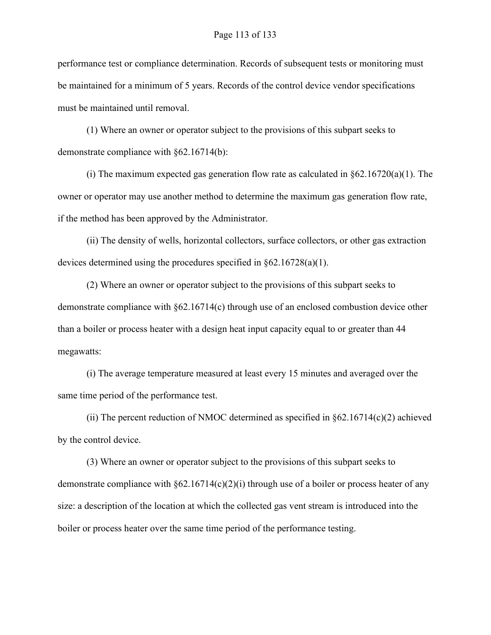performance test or compliance determination. Records of subsequent tests or monitoring must be maintained for a minimum of 5 years. Records of the control device vendor specifications must be maintained until removal.

(1) Where an owner or operator subject to the provisions of this subpart seeks to demonstrate compliance with §62.16714(b):

(i) The maximum expected gas generation flow rate as calculated in  $\S62.16720(a)(1)$ . The owner or operator may use another method to determine the maximum gas generation flow rate, if the method has been approved by the Administrator.

(ii) The density of wells, horizontal collectors, surface collectors, or other gas extraction devices determined using the procedures specified in §62.16728(a)(1).

(2) Where an owner or operator subject to the provisions of this subpart seeks to demonstrate compliance with §62.16714(c) through use of an enclosed combustion device other than a boiler or process heater with a design heat input capacity equal to or greater than 44 megawatts:

(i) The average temperature measured at least every 15 minutes and averaged over the same time period of the performance test.

(ii) The percent reduction of NMOC determined as specified in  $\S62.16714(c)(2)$  achieved by the control device.

(3) Where an owner or operator subject to the provisions of this subpart seeks to demonstrate compliance with §62.16714(c)(2)(i) through use of a boiler or process heater of any size: a description of the location at which the collected gas vent stream is introduced into the boiler or process heater over the same time period of the performance testing.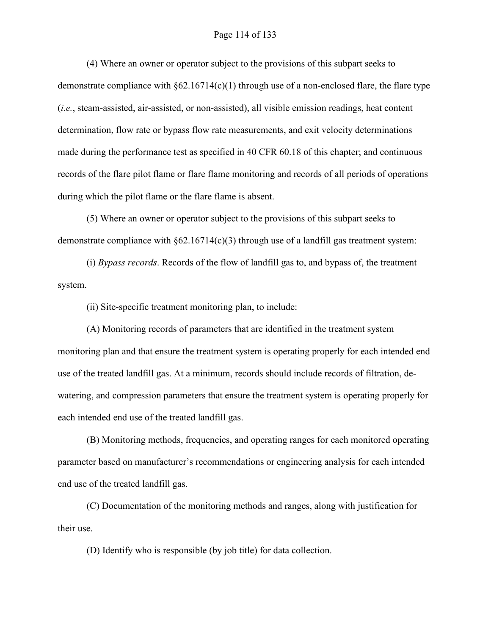# Page 114 of 133

(4) Where an owner or operator subject to the provisions of this subpart seeks to demonstrate compliance with  $\S62.16714(c)(1)$  through use of a non-enclosed flare, the flare type (*i.e.*, steam-assisted, air-assisted, or non-assisted), all visible emission readings, heat content determination, flow rate or bypass flow rate measurements, and exit velocity determinations made during the performance test as specified in 40 CFR 60.18 of this chapter; and continuous records of the flare pilot flame or flare flame monitoring and records of all periods of operations during which the pilot flame or the flare flame is absent.

(5) Where an owner or operator subject to the provisions of this subpart seeks to demonstrate compliance with  $\S62.16714(c)(3)$  through use of a landfill gas treatment system:

(i) *Bypass records*. Records of the flow of landfill gas to, and bypass of, the treatment system.

(ii) Site-specific treatment monitoring plan, to include:

(A) Monitoring records of parameters that are identified in the treatment system monitoring plan and that ensure the treatment system is operating properly for each intended end use of the treated landfill gas. At a minimum, records should include records of filtration, dewatering, and compression parameters that ensure the treatment system is operating properly for each intended end use of the treated landfill gas.

(B) Monitoring methods, frequencies, and operating ranges for each monitored operating parameter based on manufacturer's recommendations or engineering analysis for each intended end use of the treated landfill gas.

(C) Documentation of the monitoring methods and ranges, along with justification for their use.

(D) Identify who is responsible (by job title) for data collection.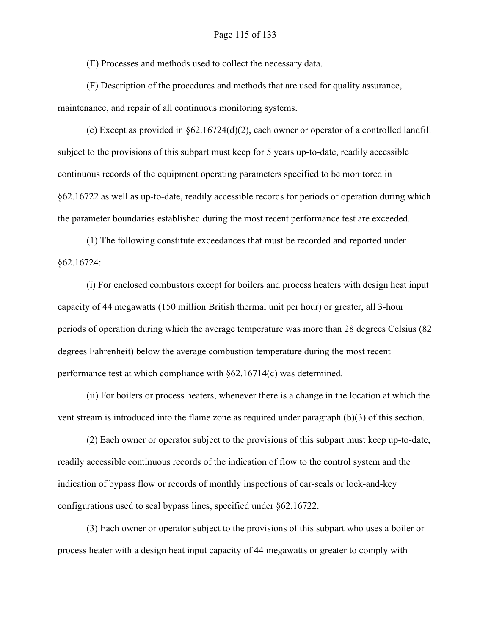# Page 115 of 133

(E) Processes and methods used to collect the necessary data.

(F) Description of the procedures and methods that are used for quality assurance, maintenance, and repair of all continuous monitoring systems.

(c) Except as provided in §62.16724(d)(2), each owner or operator of a controlled landfill subject to the provisions of this subpart must keep for 5 years up-to-date, readily accessible continuous records of the equipment operating parameters specified to be monitored in §62.16722 as well as up-to-date, readily accessible records for periods of operation during which the parameter boundaries established during the most recent performance test are exceeded.

(1) The following constitute exceedances that must be recorded and reported under §62.16724:

(i) For enclosed combustors except for boilers and process heaters with design heat input capacity of 44 megawatts (150 million British thermal unit per hour) or greater, all 3-hour periods of operation during which the average temperature was more than 28 degrees Celsius (82 degrees Fahrenheit) below the average combustion temperature during the most recent performance test at which compliance with §62.16714(c) was determined.

(ii) For boilers or process heaters, whenever there is a change in the location at which the vent stream is introduced into the flame zone as required under paragraph (b)(3) of this section.

(2) Each owner or operator subject to the provisions of this subpart must keep up-to-date, readily accessible continuous records of the indication of flow to the control system and the indication of bypass flow or records of monthly inspections of car-seals or lock-and-key configurations used to seal bypass lines, specified under §62.16722.

(3) Each owner or operator subject to the provisions of this subpart who uses a boiler or process heater with a design heat input capacity of 44 megawatts or greater to comply with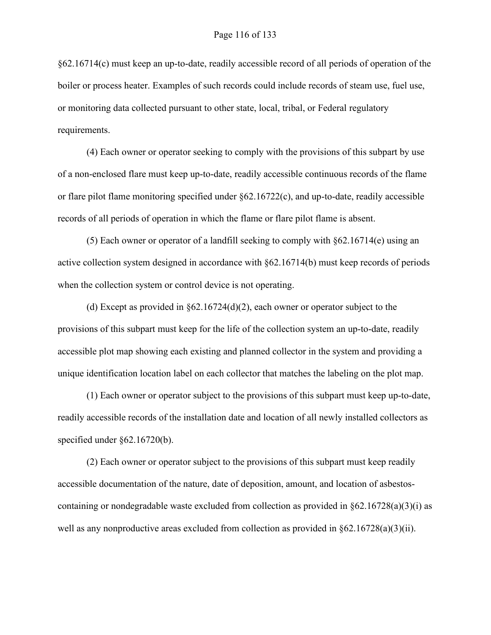§62.16714(c) must keep an up-to-date, readily accessible record of all periods of operation of the boiler or process heater. Examples of such records could include records of steam use, fuel use, or monitoring data collected pursuant to other state, local, tribal, or Federal regulatory requirements.

(4) Each owner or operator seeking to comply with the provisions of this subpart by use of a non-enclosed flare must keep up-to-date, readily accessible continuous records of the flame or flare pilot flame monitoring specified under §62.16722(c), and up-to-date, readily accessible records of all periods of operation in which the flame or flare pilot flame is absent.

(5) Each owner or operator of a landfill seeking to comply with §62.16714(e) using an active collection system designed in accordance with §62.16714(b) must keep records of periods when the collection system or control device is not operating.

(d) Except as provided in  $\S62.16724(d)(2)$ , each owner or operator subject to the provisions of this subpart must keep for the life of the collection system an up-to-date, readily accessible plot map showing each existing and planned collector in the system and providing a unique identification location label on each collector that matches the labeling on the plot map.

(1) Each owner or operator subject to the provisions of this subpart must keep up-to-date, readily accessible records of the installation date and location of all newly installed collectors as specified under §62.16720(b).

(2) Each owner or operator subject to the provisions of this subpart must keep readily accessible documentation of the nature, date of deposition, amount, and location of asbestoscontaining or nondegradable waste excluded from collection as provided in §62.16728(a)(3)(i) as well as any nonproductive areas excluded from collection as provided in  $\S62.16728(a)(3)(ii)$ .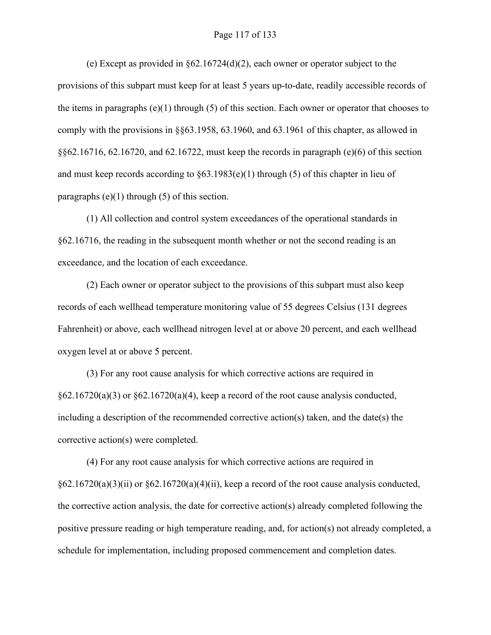# Page 117 of 133

(e) Except as provided in §62.16724(d)(2), each owner or operator subject to the provisions of this subpart must keep for at least 5 years up-to-date, readily accessible records of the items in paragraphs (e)(1) through (5) of this section. Each owner or operator that chooses to comply with the provisions in §§63.1958, 63.1960, and 63.1961 of this chapter, as allowed in §§62.16716, 62.16720, and 62.16722, must keep the records in paragraph (e)(6) of this section and must keep records according to  $\S 63.1983(e)(1)$  through (5) of this chapter in lieu of paragraphs  $(e)(1)$  through  $(5)$  of this section.

(1) All collection and control system exceedances of the operational standards in §62.16716, the reading in the subsequent month whether or not the second reading is an exceedance, and the location of each exceedance.

(2) Each owner or operator subject to the provisions of this subpart must also keep records of each wellhead temperature monitoring value of 55 degrees Celsius (131 degrees Fahrenheit) or above, each wellhead nitrogen level at or above 20 percent, and each wellhead oxygen level at or above 5 percent.

(3) For any root cause analysis for which corrective actions are required in  $\S62.16720(a)(3)$  or  $\S62.16720(a)(4)$ , keep a record of the root cause analysis conducted, including a description of the recommended corrective action(s) taken, and the date(s) the corrective action(s) were completed.

(4) For any root cause analysis for which corrective actions are required in  $§62.16720(a)(3)(ii)$  or  $§62.16720(a)(4)(ii)$ , keep a record of the root cause analysis conducted, the corrective action analysis, the date for corrective action(s) already completed following the positive pressure reading or high temperature reading, and, for action(s) not already completed, a schedule for implementation, including proposed commencement and completion dates.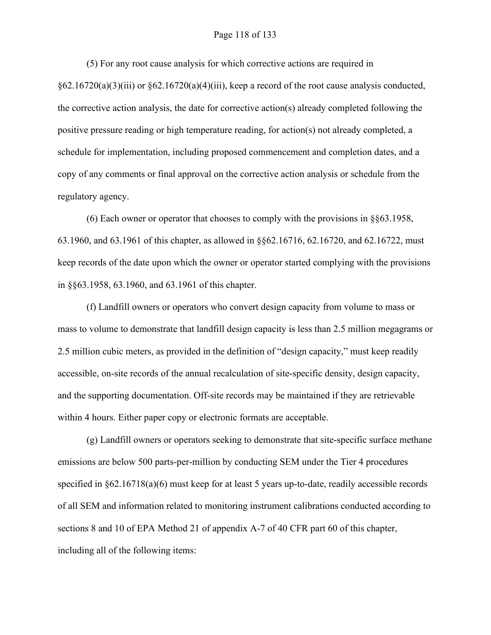### Page 118 of 133

(5) For any root cause analysis for which corrective actions are required in

 $§62.16720(a)(3)(iii)$  or  $§62.16720(a)(4)(iii)$ , keep a record of the root cause analysis conducted, the corrective action analysis, the date for corrective action(s) already completed following the positive pressure reading or high temperature reading, for action(s) not already completed, a schedule for implementation, including proposed commencement and completion dates, and a copy of any comments or final approval on the corrective action analysis or schedule from the regulatory agency.

(6) Each owner or operator that chooses to comply with the provisions in §§63.1958, 63.1960, and 63.1961 of this chapter, as allowed in §§62.16716, 62.16720, and 62.16722, must keep records of the date upon which the owner or operator started complying with the provisions in §§63.1958, 63.1960, and 63.1961 of this chapter.

(f) Landfill owners or operators who convert design capacity from volume to mass or mass to volume to demonstrate that landfill design capacity is less than 2.5 million megagrams or 2.5 million cubic meters, as provided in the definition of "design capacity," must keep readily accessible, on-site records of the annual recalculation of site-specific density, design capacity, and the supporting documentation. Off-site records may be maintained if they are retrievable within 4 hours. Either paper copy or electronic formats are acceptable.

(g) Landfill owners or operators seeking to demonstrate that site-specific surface methane emissions are below 500 parts-per-million by conducting SEM under the Tier 4 procedures specified in §62.16718(a)(6) must keep for at least 5 years up-to-date, readily accessible records of all SEM and information related to monitoring instrument calibrations conducted according to sections 8 and 10 of EPA Method 21 of appendix A-7 of 40 CFR part 60 of this chapter, including all of the following items: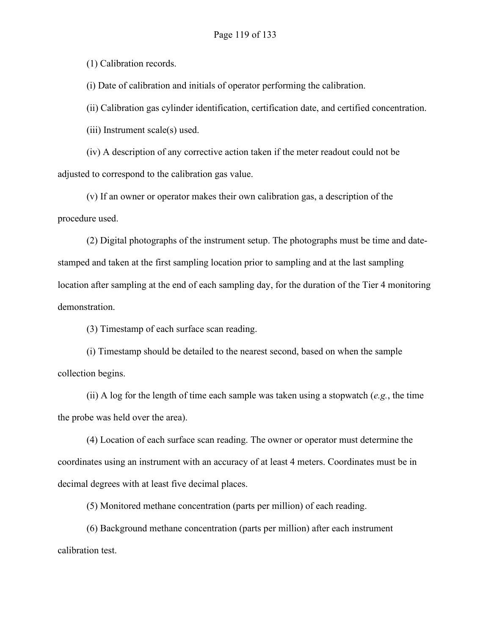(1) Calibration records.

(i) Date of calibration and initials of operator performing the calibration.

(ii) Calibration gas cylinder identification, certification date, and certified concentration.

(iii) Instrument scale(s) used.

(iv) A description of any corrective action taken if the meter readout could not be adjusted to correspond to the calibration gas value.

(v) If an owner or operator makes their own calibration gas, a description of the procedure used.

(2) Digital photographs of the instrument setup. The photographs must be time and datestamped and taken at the first sampling location prior to sampling and at the last sampling location after sampling at the end of each sampling day, for the duration of the Tier 4 monitoring demonstration.

(3) Timestamp of each surface scan reading.

(i) Timestamp should be detailed to the nearest second, based on when the sample collection begins.

(ii) A log for the length of time each sample was taken using a stopwatch (*e.g.*, the time the probe was held over the area).

(4) Location of each surface scan reading. The owner or operator must determine the coordinates using an instrument with an accuracy of at least 4 meters. Coordinates must be in decimal degrees with at least five decimal places.

(5) Monitored methane concentration (parts per million) of each reading.

(6) Background methane concentration (parts per million) after each instrument calibration test.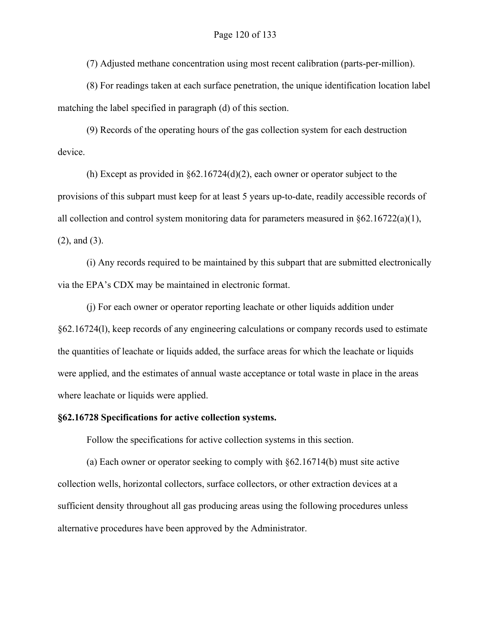(7) Adjusted methane concentration using most recent calibration (parts-per-million).

(8) For readings taken at each surface penetration, the unique identification location label matching the label specified in paragraph (d) of this section.

(9) Records of the operating hours of the gas collection system for each destruction device.

(h) Except as provided in §62.16724(d)(2), each owner or operator subject to the provisions of this subpart must keep for at least 5 years up-to-date, readily accessible records of all collection and control system monitoring data for parameters measured in §62.16722(a)(1), (2), and (3).

(i) Any records required to be maintained by this subpart that are submitted electronically via the EPA's CDX may be maintained in electronic format.

(j) For each owner or operator reporting leachate or other liquids addition under §62.16724(l), keep records of any engineering calculations or company records used to estimate the quantities of leachate or liquids added, the surface areas for which the leachate or liquids were applied, and the estimates of annual waste acceptance or total waste in place in the areas where leachate or liquids were applied.

# **§62.16728 Specifications for active collection systems.**

Follow the specifications for active collection systems in this section.

(a) Each owner or operator seeking to comply with §62.16714(b) must site active collection wells, horizontal collectors, surface collectors, or other extraction devices at a sufficient density throughout all gas producing areas using the following procedures unless alternative procedures have been approved by the Administrator.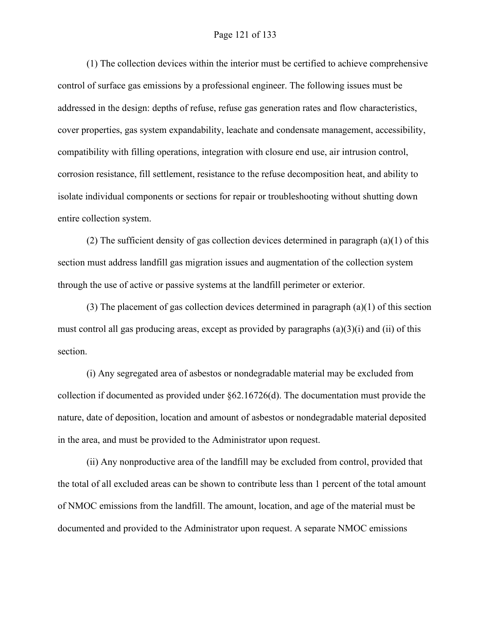# Page 121 of 133

(1) The collection devices within the interior must be certified to achieve comprehensive control of surface gas emissions by a professional engineer. The following issues must be addressed in the design: depths of refuse, refuse gas generation rates and flow characteristics, cover properties, gas system expandability, leachate and condensate management, accessibility, compatibility with filling operations, integration with closure end use, air intrusion control, corrosion resistance, fill settlement, resistance to the refuse decomposition heat, and ability to isolate individual components or sections for repair or troubleshooting without shutting down entire collection system.

(2) The sufficient density of gas collection devices determined in paragraph (a)(1) of this section must address landfill gas migration issues and augmentation of the collection system through the use of active or passive systems at the landfill perimeter or exterior.

(3) The placement of gas collection devices determined in paragraph  $(a)(1)$  of this section must control all gas producing areas, except as provided by paragraphs (a)(3)(i) and (ii) of this section.

(i) Any segregated area of asbestos or nondegradable material may be excluded from collection if documented as provided under §62.16726(d). The documentation must provide the nature, date of deposition, location and amount of asbestos or nondegradable material deposited in the area, and must be provided to the Administrator upon request.

(ii) Any nonproductive area of the landfill may be excluded from control, provided that the total of all excluded areas can be shown to contribute less than 1 percent of the total amount of NMOC emissions from the landfill. The amount, location, and age of the material must be documented and provided to the Administrator upon request. A separate NMOC emissions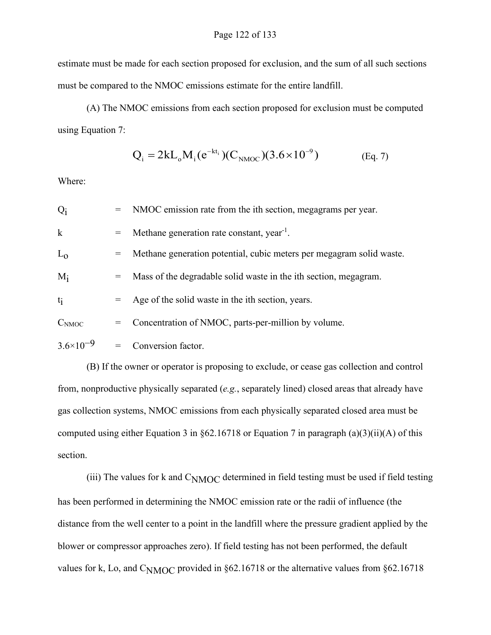estimate must be made for each section proposed for exclusion, and the sum of all such sections must be compared to the NMOC emissions estimate for the entire landfill.

(A) The NMOC emissions from each section proposed for exclusion must be computed using Equation 7:

$$
Q_i = 2kL_o M_i(e^{-kt_i})(C_{NMOC})(3.6 \times 10^{-9})
$$
 (Eq. 7)

Where:

| $Q_i$                |     | = NMOC emission rate from the ith section, megagrams per year.       |  |
|----------------------|-----|----------------------------------------------------------------------|--|
| $\mathbf k$          |     | Methane generation rate constant, year <sup>-1</sup> .               |  |
| $L_0$                | $=$ | Methane generation potential, cubic meters per megagram solid waste. |  |
| $M_i$                |     | Mass of the degradable solid waste in the ith section, megagram.     |  |
| $t_i$                |     | Age of the solid waste in the ith section, years.                    |  |
| C <sub>NMOC</sub>    | $=$ | Concentration of NMOC, parts-per-million by volume.                  |  |
| $3.6 \times 10^{-9}$ | $=$ | Conversion factor.                                                   |  |

(B) If the owner or operator is proposing to exclude, or cease gas collection and control from, nonproductive physically separated (*e.g.*, separately lined) closed areas that already have gas collection systems, NMOC emissions from each physically separated closed area must be computed using either Equation 3 in §62.16718 or Equation 7 in paragraph (a)(3)(ii)(A) of this section.

(iii) The values for k and C<sub>NMOC</sub> determined in field testing must be used if field testing has been performed in determining the NMOC emission rate or the radii of influence (the distance from the well center to a point in the landfill where the pressure gradient applied by the blower or compressor approaches zero). If field testing has not been performed, the default values for k, Lo, and  $C<sub>NMOC</sub>$  provided in §62.16718 or the alternative values from §62.16718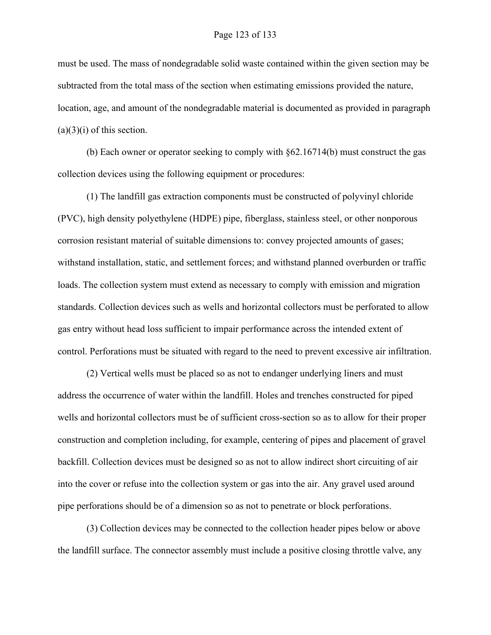must be used. The mass of nondegradable solid waste contained within the given section may be subtracted from the total mass of the section when estimating emissions provided the nature, location, age, and amount of the nondegradable material is documented as provided in paragraph  $(a)(3)(i)$  of this section.

(b) Each owner or operator seeking to comply with §62.16714(b) must construct the gas collection devices using the following equipment or procedures:

(1) The landfill gas extraction components must be constructed of polyvinyl chloride (PVC), high density polyethylene (HDPE) pipe, fiberglass, stainless steel, or other nonporous corrosion resistant material of suitable dimensions to: convey projected amounts of gases; withstand installation, static, and settlement forces; and withstand planned overburden or traffic loads. The collection system must extend as necessary to comply with emission and migration standards. Collection devices such as wells and horizontal collectors must be perforated to allow gas entry without head loss sufficient to impair performance across the intended extent of control. Perforations must be situated with regard to the need to prevent excessive air infiltration.

(2) Vertical wells must be placed so as not to endanger underlying liners and must address the occurrence of water within the landfill. Holes and trenches constructed for piped wells and horizontal collectors must be of sufficient cross-section so as to allow for their proper construction and completion including, for example, centering of pipes and placement of gravel backfill. Collection devices must be designed so as not to allow indirect short circuiting of air into the cover or refuse into the collection system or gas into the air. Any gravel used around pipe perforations should be of a dimension so as not to penetrate or block perforations.

(3) Collection devices may be connected to the collection header pipes below or above the landfill surface. The connector assembly must include a positive closing throttle valve, any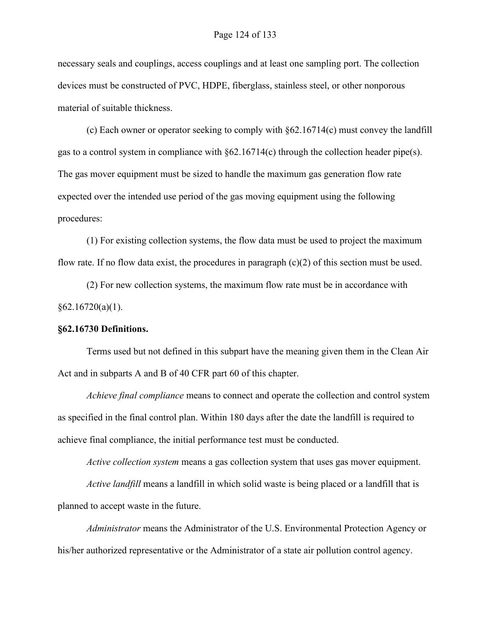necessary seals and couplings, access couplings and at least one sampling port. The collection devices must be constructed of PVC, HDPE, fiberglass, stainless steel, or other nonporous material of suitable thickness.

(c) Each owner or operator seeking to comply with §62.16714(c) must convey the landfill gas to a control system in compliance with  $\frac{62.16714(c)}{c}$  through the collection header pipe(s). The gas mover equipment must be sized to handle the maximum gas generation flow rate expected over the intended use period of the gas moving equipment using the following procedures:

(1) For existing collection systems, the flow data must be used to project the maximum flow rate. If no flow data exist, the procedures in paragraph  $(c)(2)$  of this section must be used.

(2) For new collection systems, the maximum flow rate must be in accordance with  $§62.16720(a)(1).$ 

# **§62.16730 Definitions.**

Terms used but not defined in this subpart have the meaning given them in the Clean Air Act and in subparts A and B of 40 CFR part 60 of this chapter.

*Achieve final compliance* means to connect and operate the collection and control system as specified in the final control plan. Within 180 days after the date the landfill is required to achieve final compliance, the initial performance test must be conducted.

*Active collection system* means a gas collection system that uses gas mover equipment.

*Active landfill* means a landfill in which solid waste is being placed or a landfill that is planned to accept waste in the future.

*Administrator* means the Administrator of the U.S. Environmental Protection Agency or his/her authorized representative or the Administrator of a state air pollution control agency.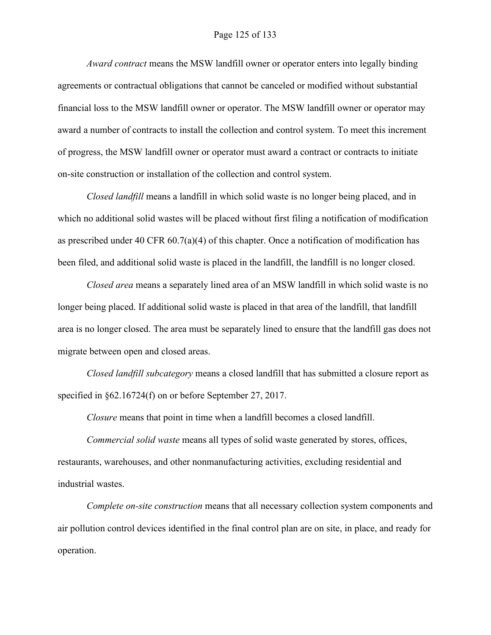# Page 125 of 133

*Award contract* means the MSW landfill owner or operator enters into legally binding agreements or contractual obligations that cannot be canceled or modified without substantial financial loss to the MSW landfill owner or operator. The MSW landfill owner or operator may award a number of contracts to install the collection and control system. To meet this increment of progress, the MSW landfill owner or operator must award a contract or contracts to initiate on-site construction or installation of the collection and control system.

*Closed landfill* means a landfill in which solid waste is no longer being placed, and in which no additional solid wastes will be placed without first filing a notification of modification as prescribed under 40 CFR 60.7(a)(4) of this chapter. Once a notification of modification has been filed, and additional solid waste is placed in the landfill, the landfill is no longer closed.

*Closed area* means a separately lined area of an MSW landfill in which solid waste is no longer being placed. If additional solid waste is placed in that area of the landfill, that landfill area is no longer closed. The area must be separately lined to ensure that the landfill gas does not migrate between open and closed areas.

*Closed landfill subcategory* means a closed landfill that has submitted a closure report as specified in §62.16724(f) on or before September 27, 2017.

*Closure* means that point in time when a landfill becomes a closed landfill.

*Commercial solid waste* means all types of solid waste generated by stores, offices, restaurants, warehouses, and other nonmanufacturing activities, excluding residential and industrial wastes.

*Complete on-site construction* means that all necessary collection system components and air pollution control devices identified in the final control plan are on site, in place, and ready for operation.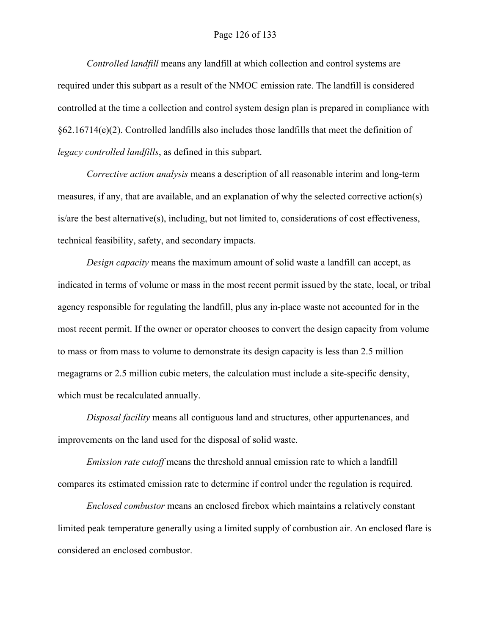# Page 126 of 133

*Controlled landfill* means any landfill at which collection and control systems are required under this subpart as a result of the NMOC emission rate. The landfill is considered controlled at the time a collection and control system design plan is prepared in compliance with §62.16714(e)(2). Controlled landfills also includes those landfills that meet the definition of *legacy controlled landfills*, as defined in this subpart.

*Corrective action analysis* means a description of all reasonable interim and long-term measures, if any, that are available, and an explanation of why the selected corrective action(s) is/are the best alternative(s), including, but not limited to, considerations of cost effectiveness, technical feasibility, safety, and secondary impacts.

*Design capacity* means the maximum amount of solid waste a landfill can accept, as indicated in terms of volume or mass in the most recent permit issued by the state, local, or tribal agency responsible for regulating the landfill, plus any in-place waste not accounted for in the most recent permit. If the owner or operator chooses to convert the design capacity from volume to mass or from mass to volume to demonstrate its design capacity is less than 2.5 million megagrams or 2.5 million cubic meters, the calculation must include a site-specific density, which must be recalculated annually.

*Disposal facility* means all contiguous land and structures, other appurtenances, and improvements on the land used for the disposal of solid waste.

*Emission rate cutoff* means the threshold annual emission rate to which a landfill compares its estimated emission rate to determine if control under the regulation is required.

*Enclosed combustor* means an enclosed firebox which maintains a relatively constant limited peak temperature generally using a limited supply of combustion air. An enclosed flare is considered an enclosed combustor.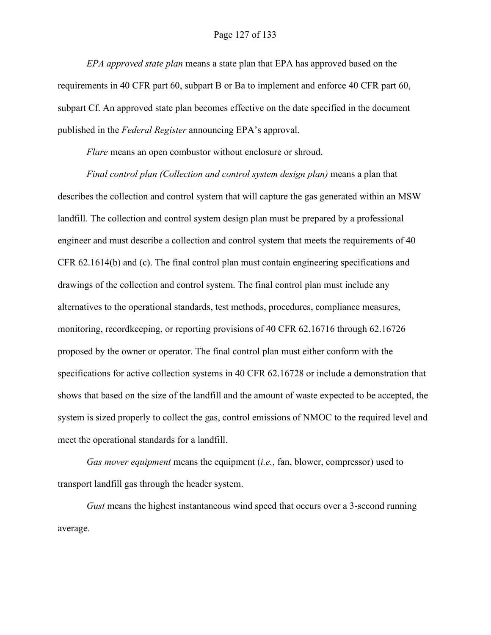# Page 127 of 133

*EPA approved state plan* means a state plan that EPA has approved based on the requirements in 40 CFR part 60, subpart B or Ba to implement and enforce 40 CFR part 60, subpart Cf. An approved state plan becomes effective on the date specified in the document published in the *Federal Register* announcing EPA's approval.

*Flare* means an open combustor without enclosure or shroud.

*Final control plan (Collection and control system design plan)* means a plan that describes the collection and control system that will capture the gas generated within an MSW landfill. The collection and control system design plan must be prepared by a professional engineer and must describe a collection and control system that meets the requirements of 40 CFR 62.1614(b) and (c). The final control plan must contain engineering specifications and drawings of the collection and control system. The final control plan must include any alternatives to the operational standards, test methods, procedures, compliance measures, monitoring, recordkeeping, or reporting provisions of 40 CFR 62.16716 through 62.16726 proposed by the owner or operator. The final control plan must either conform with the specifications for active collection systems in 40 CFR 62.16728 or include a demonstration that shows that based on the size of the landfill and the amount of waste expected to be accepted, the system is sized properly to collect the gas, control emissions of NMOC to the required level and meet the operational standards for a landfill.

*Gas mover equipment* means the equipment (*i.e.*, fan, blower, compressor) used to transport landfill gas through the header system.

*Gust* means the highest instantaneous wind speed that occurs over a 3-second running average.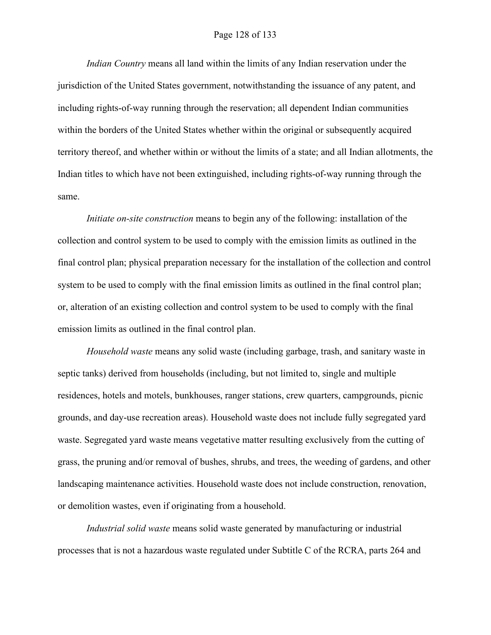# Page 128 of 133

*Indian Country* means all land within the limits of any Indian reservation under the jurisdiction of the United States government, notwithstanding the issuance of any patent, and including rights-of-way running through the reservation; all dependent Indian communities within the borders of the United States whether within the original or subsequently acquired territory thereof, and whether within or without the limits of a state; and all Indian allotments, the Indian titles to which have not been extinguished, including rights-of-way running through the same.

*Initiate on-site construction* means to begin any of the following: installation of the collection and control system to be used to comply with the emission limits as outlined in the final control plan; physical preparation necessary for the installation of the collection and control system to be used to comply with the final emission limits as outlined in the final control plan; or, alteration of an existing collection and control system to be used to comply with the final emission limits as outlined in the final control plan.

*Household waste* means any solid waste (including garbage, trash, and sanitary waste in septic tanks) derived from households (including, but not limited to, single and multiple residences, hotels and motels, bunkhouses, ranger stations, crew quarters, campgrounds, picnic grounds, and day-use recreation areas). Household waste does not include fully segregated yard waste. Segregated yard waste means vegetative matter resulting exclusively from the cutting of grass, the pruning and/or removal of bushes, shrubs, and trees, the weeding of gardens, and other landscaping maintenance activities. Household waste does not include construction, renovation, or demolition wastes, even if originating from a household.

*Industrial solid waste* means solid waste generated by manufacturing or industrial processes that is not a hazardous waste regulated under Subtitle C of the RCRA, parts 264 and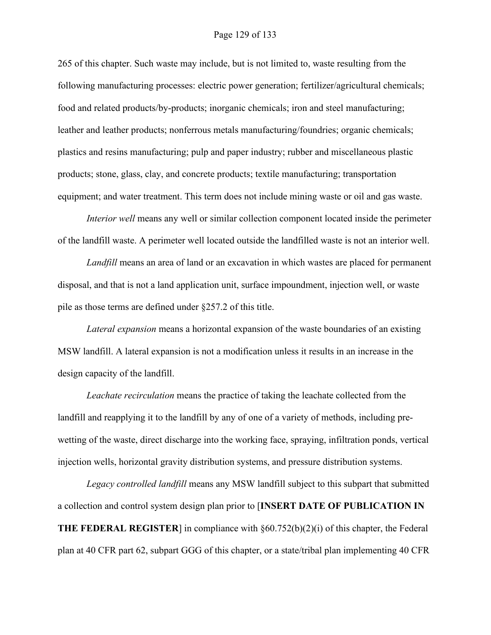# Page 129 of 133

265 of this chapter. Such waste may include, but is not limited to, waste resulting from the following manufacturing processes: electric power generation; fertilizer/agricultural chemicals; food and related products/by-products; inorganic chemicals; iron and steel manufacturing; leather and leather products; nonferrous metals manufacturing/foundries; organic chemicals; plastics and resins manufacturing; pulp and paper industry; rubber and miscellaneous plastic products; stone, glass, clay, and concrete products; textile manufacturing; transportation equipment; and water treatment. This term does not include mining waste or oil and gas waste.

*Interior well* means any well or similar collection component located inside the perimeter of the landfill waste. A perimeter well located outside the landfilled waste is not an interior well.

*Landfill* means an area of land or an excavation in which wastes are placed for permanent disposal, and that is not a land application unit, surface impoundment, injection well, or waste pile as those terms are defined under §257.2 of this title.

*Lateral expansion* means a horizontal expansion of the waste boundaries of an existing MSW landfill. A lateral expansion is not a modification unless it results in an increase in the design capacity of the landfill.

*Leachate recirculation* means the practice of taking the leachate collected from the landfill and reapplying it to the landfill by any of one of a variety of methods, including prewetting of the waste, direct discharge into the working face, spraying, infiltration ponds, vertical injection wells, horizontal gravity distribution systems, and pressure distribution systems.

*Legacy controlled landfill* means any MSW landfill subject to this subpart that submitted a collection and control system design plan prior to [**INSERT DATE OF PUBLICATION IN THE FEDERAL REGISTER**] in compliance with §60.752(b)(2)(i) of this chapter, the Federal plan at 40 CFR part 62, subpart GGG of this chapter, or a state/tribal plan implementing 40 CFR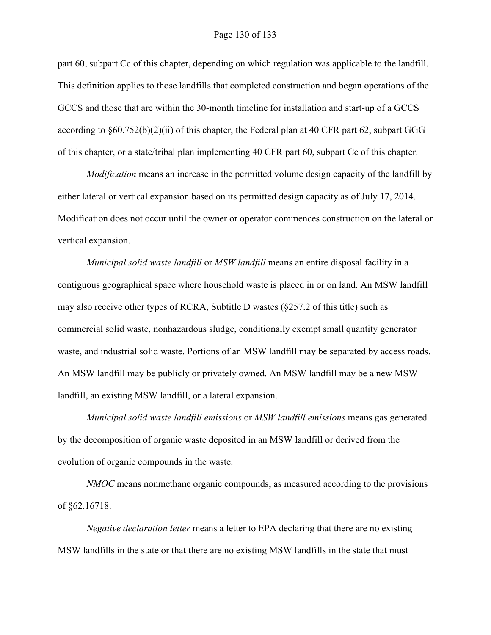#### Page 130 of 133

part 60, subpart Cc of this chapter, depending on which regulation was applicable to the landfill. This definition applies to those landfills that completed construction and began operations of the GCCS and those that are within the 30-month timeline for installation and start-up of a GCCS according to §60.752(b)(2)(ii) of this chapter, the Federal plan at 40 CFR part 62, subpart GGG of this chapter, or a state/tribal plan implementing 40 CFR part 60, subpart Cc of this chapter.

*Modification* means an increase in the permitted volume design capacity of the landfill by either lateral or vertical expansion based on its permitted design capacity as of July 17, 2014. Modification does not occur until the owner or operator commences construction on the lateral or vertical expansion.

*Municipal solid waste landfill* or *MSW landfill* means an entire disposal facility in a contiguous geographical space where household waste is placed in or on land. An MSW landfill may also receive other types of RCRA, Subtitle D wastes (§257.2 of this title) such as commercial solid waste, nonhazardous sludge, conditionally exempt small quantity generator waste, and industrial solid waste. Portions of an MSW landfill may be separated by access roads. An MSW landfill may be publicly or privately owned. An MSW landfill may be a new MSW landfill, an existing MSW landfill, or a lateral expansion.

*Municipal solid waste landfill emissions* or *MSW landfill emissions* means gas generated by the decomposition of organic waste deposited in an MSW landfill or derived from the evolution of organic compounds in the waste.

*NMOC* means nonmethane organic compounds, as measured according to the provisions of §62.16718.

*Negative declaration letter* means a letter to EPA declaring that there are no existing MSW landfills in the state or that there are no existing MSW landfills in the state that must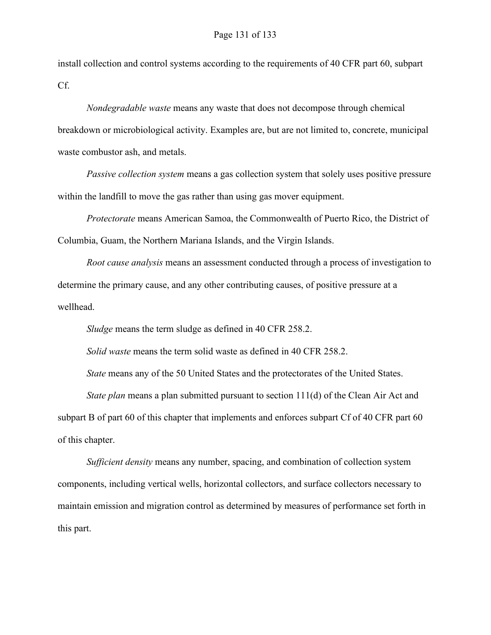install collection and control systems according to the requirements of 40 CFR part 60, subpart Cf.

*Nondegradable waste* means any waste that does not decompose through chemical breakdown or microbiological activity. Examples are, but are not limited to, concrete, municipal waste combustor ash, and metals.

*Passive collection system* means a gas collection system that solely uses positive pressure within the landfill to move the gas rather than using gas mover equipment.

*Protectorate* means American Samoa, the Commonwealth of Puerto Rico, the District of Columbia, Guam, the Northern Mariana Islands, and the Virgin Islands.

*Root cause analysis* means an assessment conducted through a process of investigation to determine the primary cause, and any other contributing causes, of positive pressure at a wellhead.

*Sludge* means the term sludge as defined in 40 CFR 258.2.

*Solid waste* means the term solid waste as defined in 40 CFR 258.2.

*State* means any of the 50 United States and the protectorates of the United States.

*State plan* means a plan submitted pursuant to section 111(d) of the Clean Air Act and subpart B of part 60 of this chapter that implements and enforces subpart Cf of 40 CFR part 60 of this chapter.

*Sufficient density* means any number, spacing, and combination of collection system components, including vertical wells, horizontal collectors, and surface collectors necessary to maintain emission and migration control as determined by measures of performance set forth in this part.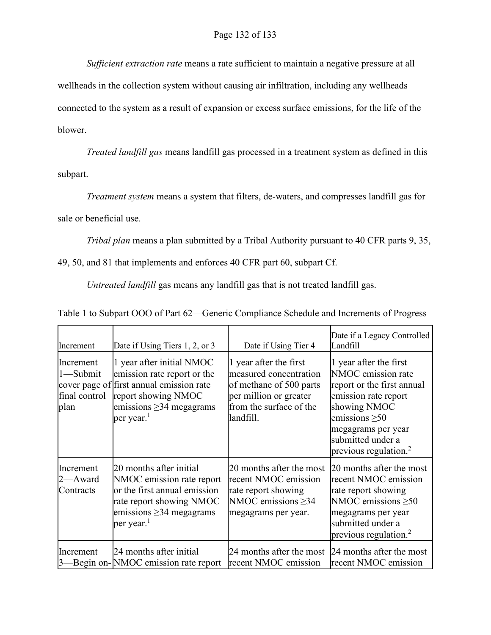*Sufficient extraction rate* means a rate sufficient to maintain a negative pressure at all

wellheads in the collection system without causing air infiltration, including any wellheads connected to the system as a result of expansion or excess surface emissions, for the life of the blower.

*Treated landfill gas* means landfill gas processed in a treatment system as defined in this subpart.

*Treatment system* means a system that filters, de-waters, and compresses landfill gas for

sale or beneficial use.

*Tribal plan* means a plan submitted by a Tribal Authority pursuant to 40 CFR parts 9, 35,

49, 50, and 81 that implements and enforces 40 CFR part 60, subpart Cf.

*Untreated landfill* gas means any landfill gas that is not treated landfill gas.

| Increment                                      | Date if Using Tiers 1, 2, or 3                                                                                                                                                | Date if Using Tier 4                                                                                                                          | Date if a Legacy Controlled<br>Landfill                                                                                                                                                                          |
|------------------------------------------------|-------------------------------------------------------------------------------------------------------------------------------------------------------------------------------|-----------------------------------------------------------------------------------------------------------------------------------------------|------------------------------------------------------------------------------------------------------------------------------------------------------------------------------------------------------------------|
| Increment<br>1-Submit<br>final control<br>plan | 1 year after initial NMOC<br>emission rate report or the<br>cover page of first annual emission rate<br>report showing NMOC<br>emissions $\geq$ 34 megagrams<br>per year. $1$ | 1 year after the first<br>measured concentration<br>of methane of 500 parts<br>per million or greater<br>from the surface of the<br>landfill. | 1 year after the first<br>NMOC emission rate<br>report or the first annual<br>emission rate report<br>showing NMOC<br>emissions $\geq 50$<br>megagrams per year<br>submitted under a<br>previous regulation. $2$ |
| Increment<br>2—Award<br>Contracts              | 20 months after initial<br>NMOC emission rate report<br>or the first annual emission<br>rate report showing NMOC<br>emissions $\geq$ 34 megagrams<br>per year. <sup>1</sup>   | 20 months after the most<br>recent NMOC emission<br>rate report showing<br>NMOC emissions > 34<br>megagrams per year.                         | 20 months after the most<br>recent NMOC emission<br>rate report showing<br>NMOC emissions >50<br>megagrams per year<br>submitted under a<br>previous regulation. $2$                                             |
| Increment                                      | 24 months after initial<br>-Begin on-NMOC emission rate report                                                                                                                | 24 months after the most<br>recent NMOC emission                                                                                              | 24 months after the most<br>recent NMOC emission                                                                                                                                                                 |

Table 1 to Subpart OOO of Part 62—Generic Compliance Schedule and Increments of Progress